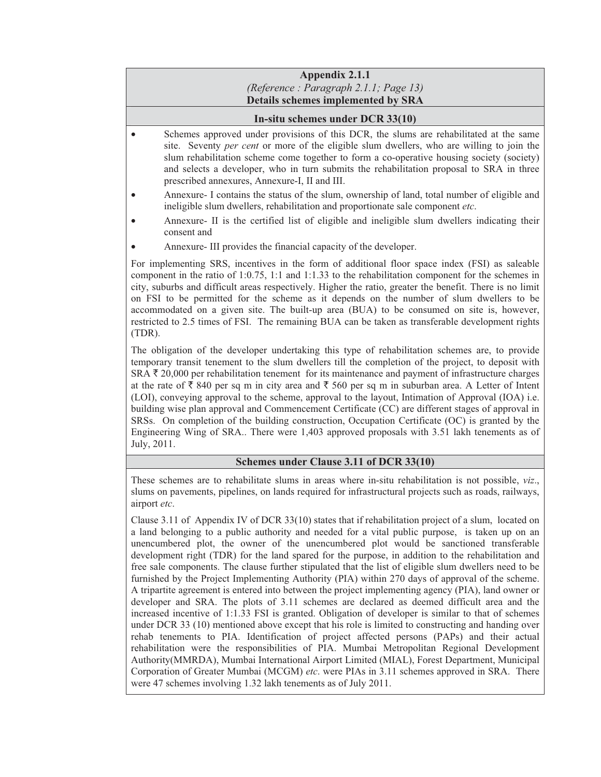# **Appendix 2.1.1**  *(Reference : Paragraph 2.1.1; Page 13)* **Details schemes implemented by SRA**

### **In-situ schemes under DCR 33(10)**

- Schemes approved under provisions of this DCR, the slums are rehabilitated at the same site. Seventy *per cent* or more of the eligible slum dwellers, who are willing to join the slum rehabilitation scheme come together to form a co-operative housing society (society) and selects a developer, who in turn submits the rehabilitation proposal to SRA in three prescribed annexures, Annexure-I, II and III.
- Annexure- I contains the status of the slum, ownership of land, total number of eligible and ineligible slum dwellers, rehabilitation and proportionate sale component *etc*.
- Annexure- II is the certified list of eligible and ineligible slum dwellers indicating their consent and
- Annexure- III provides the financial capacity of the developer.

For implementing SRS, incentives in the form of additional floor space index (FSI) as saleable component in the ratio of 1:0.75, 1:1 and 1:1.33 to the rehabilitation component for the schemes in city, suburbs and difficult areas respectively. Higher the ratio, greater the benefit. There is no limit on FSI to be permitted for the scheme as it depends on the number of slum dwellers to be accommodated on a given site. The built-up area (BUA) to be consumed on site is, however, restricted to 2.5 times of FSI. The remaining BUA can be taken as transferable development rights (TDR).

The obligation of the developer undertaking this type of rehabilitation schemes are, to provide temporary transit tenement to the slum dwellers till the completion of the project, to deposit with SRA  $\bar{\tau}$  20,000 per rehabilitation tenement for its maintenance and payment of infrastructure charges at the rate of  $\bar{\tau}$  840 per sq m in city area and  $\bar{\tau}$  560 per sq m in suburban area. A Letter of Intent (LOI), conveying approval to the scheme, approval to the layout, Intimation of Approval (IOA) i.e. building wise plan approval and Commencement Certificate (CC) are different stages of approval in SRSs. On completion of the building construction, Occupation Certificate (OC) is granted by the Engineering Wing of SRA.. There were 1,403 approved proposals with 3.51 lakh tenements as of July, 2011.

#### **Schemes under Clause 3.11 of DCR 33(10)**

These schemes are to rehabilitate slums in areas where in-situ rehabilitation is not possible, *viz*., slums on pavements, pipelines, on lands required for infrastructural projects such as roads, railways, airport *etc*.

Clause 3.11 of Appendix IV of DCR 33(10) states that if rehabilitation project of a slum, located on a land belonging to a public authority and needed for a vital public purpose, is taken up on an unencumbered plot, the owner of the unencumbered plot would be sanctioned transferable development right (TDR) for the land spared for the purpose, in addition to the rehabilitation and free sale components. The clause further stipulated that the list of eligible slum dwellers need to be furnished by the Project Implementing Authority (PIA) within 270 days of approval of the scheme. A tripartite agreement is entered into between the project implementing agency (PIA), land owner or developer and SRA. The plots of 3.11 schemes are declared as deemed difficult area and the increased incentive of 1:1.33 FSI is granted. Obligation of developer is similar to that of schemes under DCR 33 (10) mentioned above except that his role is limited to constructing and handing over rehab tenements to PIA. Identification of project affected persons (PAPs) and their actual rehabilitation were the responsibilities of PIA. Mumbai Metropolitan Regional Development Authority(MMRDA), Mumbai International Airport Limited (MIAL), Forest Department, Municipal Corporation of Greater Mumbai (MCGM) *etc*. were PIAs in 3.11 schemes approved in SRA. There were 47 schemes involving 1.32 lakh tenements as of July 2011.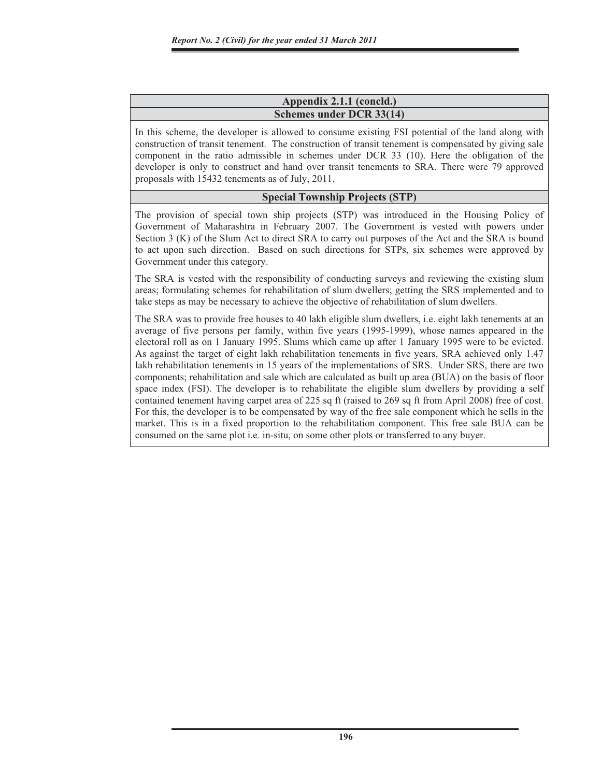### **Appendix 2.1.1 (concld.) Schemes under DCR 33(14)**

In this scheme, the developer is allowed to consume existing FSI potential of the land along with construction of transit tenement. The construction of transit tenement is compensated by giving sale component in the ratio admissible in schemes under DCR 33 (10). Here the obligation of the developer is only to construct and hand over transit tenements to SRA. There were 79 approved proposals with 15432 tenements as of July, 2011.

## **Special Township Projects (STP)**

The provision of special town ship projects (STP) was introduced in the Housing Policy of Government of Maharashtra in February 2007. The Government is vested with powers under Section 3 (K) of the Slum Act to direct SRA to carry out purposes of the Act and the SRA is bound to act upon such direction. Based on such directions for STPs, six schemes were approved by Government under this category.

The SRA is vested with the responsibility of conducting surveys and reviewing the existing slum areas; formulating schemes for rehabilitation of slum dwellers; getting the SRS implemented and to take steps as may be necessary to achieve the objective of rehabilitation of slum dwellers.

The SRA was to provide free houses to 40 lakh eligible slum dwellers, i.e. eight lakh tenements at an average of five persons per family, within five years (1995-1999), whose names appeared in the electoral roll as on 1 January 1995. Slums which came up after 1 January 1995 were to be evicted. As against the target of eight lakh rehabilitation tenements in five years, SRA achieved only 1.47 lakh rehabilitation tenements in 15 years of the implementations of SRS. Under SRS, there are two components; rehabilitation and sale which are calculated as built up area (BUA) on the basis of floor space index (FSI). The developer is to rehabilitate the eligible slum dwellers by providing a self contained tenement having carpet area of 225 sq ft (raised to 269 sq ft from April 2008) free of cost. For this, the developer is to be compensated by way of the free sale component which he sells in the market. This is in a fixed proportion to the rehabilitation component. This free sale BUA can be consumed on the same plot i.e. in-situ, on some other plots or transferred to any buyer.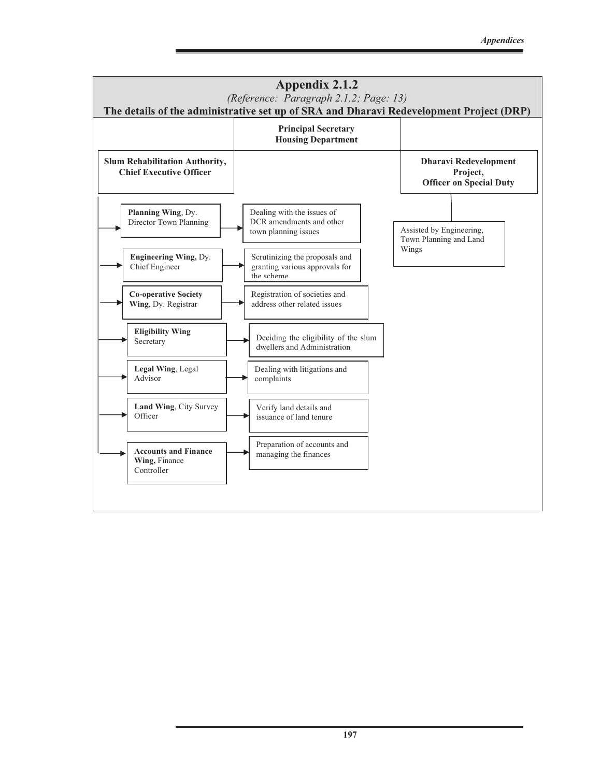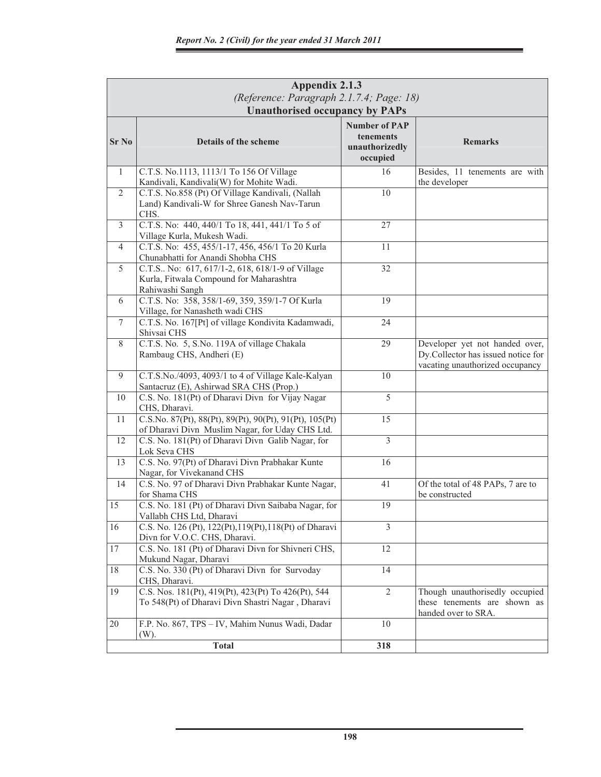|              | Appendix 2.1.3<br>(Reference: Paragraph 2.1.7.4; Page: 18)                                                 |                                                     |                                                                                                         |  |  |  |  |
|--------------|------------------------------------------------------------------------------------------------------------|-----------------------------------------------------|---------------------------------------------------------------------------------------------------------|--|--|--|--|
| <b>Sr No</b> | <b>Unauthorised occupancy by PAPs</b><br>Details of the scheme                                             | <b>Number of PAP</b><br>tenements<br>unauthorizedly | <b>Remarks</b>                                                                                          |  |  |  |  |
|              |                                                                                                            | occupied                                            |                                                                                                         |  |  |  |  |
| 1            | C.T.S. No.1113, 1113/1 To 156 Of Village                                                                   | 16                                                  | Besides, 11 tenements are with                                                                          |  |  |  |  |
| 2            | Kandivali, Kandivali(W) for Mohite Wadi.<br>C.T.S. No.858 (Pt) Of Village Kandivali, (Nallah               | 10                                                  | the developer                                                                                           |  |  |  |  |
|              | Land) Kandivali-W for Shree Ganesh Nav-Tarun                                                               |                                                     |                                                                                                         |  |  |  |  |
|              | CHS.                                                                                                       |                                                     |                                                                                                         |  |  |  |  |
| 3            | C.T.S. No: 440, 440/1 To 18, 441, 441/1 To 5 of                                                            | 27                                                  |                                                                                                         |  |  |  |  |
|              | Village Kurla, Mukesh Wadi.                                                                                |                                                     |                                                                                                         |  |  |  |  |
| 4            | C.T.S. No: 455, 455/1-17, 456, 456/1 To 20 Kurla                                                           | 11                                                  |                                                                                                         |  |  |  |  |
|              | Chunabhatti for Anandi Shobha CHS                                                                          |                                                     |                                                                                                         |  |  |  |  |
| 5            | C.T.S No: 617, 617/1-2, 618, 618/1-9 of Village                                                            | 32                                                  |                                                                                                         |  |  |  |  |
|              | Kurla, Fitwala Compound for Maharashtra                                                                    |                                                     |                                                                                                         |  |  |  |  |
| 6            | Rahiwashi Sangh<br>C.T.S. No: 358, 358/1-69, 359, 359/1-7 Of Kurla                                         | 19                                                  |                                                                                                         |  |  |  |  |
|              | Village, for Nanasheth wadi CHS                                                                            |                                                     |                                                                                                         |  |  |  |  |
| $\tau$       | C.T.S. No. 167[Pt] of village Kondivita Kadamwadi,                                                         | 24                                                  |                                                                                                         |  |  |  |  |
|              | Shivsai CHS                                                                                                |                                                     |                                                                                                         |  |  |  |  |
| 8            | C.T.S. No. 5, S.No. 119A of village Chakala<br>Rambaug CHS, Andheri (E)                                    | 29                                                  | Developer yet not handed over,<br>Dy.Collector has issued notice for<br>vacating unauthorized occupancy |  |  |  |  |
| 9            | C.T.S.No./4093, 4093/1 to 4 of Village Kale-Kalyan                                                         | 10                                                  |                                                                                                         |  |  |  |  |
|              | Santacruz (E), Ashirwad SRA CHS (Prop.)                                                                    |                                                     |                                                                                                         |  |  |  |  |
| 10           | C.S. No. 181(Pt) of Dharavi Divn for Vijay Nagar                                                           | $\overline{5}$                                      |                                                                                                         |  |  |  |  |
|              | CHS, Dharavi.                                                                                              |                                                     |                                                                                                         |  |  |  |  |
| 11           | C.S.No. 87(Pt), 88(Pt), 89(Pt), 90(Pt), 91(Pt), 105(Pt)<br>of Dharavi Divn Muslim Nagar, for Uday CHS Ltd. | 15                                                  |                                                                                                         |  |  |  |  |
| 12           | C.S. No. 181(Pt) of Dharavi Divn Galib Nagar, for                                                          | $\overline{3}$                                      |                                                                                                         |  |  |  |  |
|              | Lok Seva CHS                                                                                               |                                                     |                                                                                                         |  |  |  |  |
| 13           | C.S. No. 97(Pt) of Dharavi Divn Prabhakar Kunte                                                            | 16                                                  |                                                                                                         |  |  |  |  |
|              | Nagar, for Vivekanand CHS                                                                                  |                                                     |                                                                                                         |  |  |  |  |
| 14           | C.S. No. 97 of Dharavi Divn Prabhakar Kunte Nagar,<br>for Shama CHS                                        | 41                                                  | Of the total of 48 PAPs, 7 are to<br>be constructed                                                     |  |  |  |  |
| 15           | C.S. No. 181 (Pt) of Dharavi Divn Saibaba Nagar, for                                                       | 19                                                  |                                                                                                         |  |  |  |  |
|              | Vallabh CHS Ltd, Dharavi                                                                                   |                                                     |                                                                                                         |  |  |  |  |
| 16           | C.S. No. 126 (Pt), 122(Pt), 119(Pt), 118(Pt) of Dharavi                                                    | $\overline{3}$                                      |                                                                                                         |  |  |  |  |
|              | Divn for V.O.C. CHS, Dharavi.                                                                              |                                                     |                                                                                                         |  |  |  |  |
| 17           | C.S. No. 181 (Pt) of Dharavi Divn for Shivneri CHS,                                                        | 12                                                  |                                                                                                         |  |  |  |  |
|              | Mukund Nagar, Dharavi                                                                                      |                                                     |                                                                                                         |  |  |  |  |
| 18           | C.S. No. 330 (Pt) of Dharavi Divn for Survoday                                                             | 14                                                  |                                                                                                         |  |  |  |  |
|              | CHS, Dharavi.                                                                                              | $\overline{2}$                                      |                                                                                                         |  |  |  |  |
| 19           | C.S. Nos. 181(Pt), 419(Pt), 423(Pt) To 426(Pt), 544<br>To 548(Pt) of Dharavi Divn Shastri Nagar, Dharavi   |                                                     | Though unauthorisedly occupied<br>these tenements are shown as                                          |  |  |  |  |
|              |                                                                                                            |                                                     | handed over to SRA.                                                                                     |  |  |  |  |
| 20           | F.P. No. 867, TPS - IV, Mahim Nunus Wadi, Dadar                                                            | 10                                                  |                                                                                                         |  |  |  |  |
|              | (W).                                                                                                       |                                                     |                                                                                                         |  |  |  |  |
|              | <b>Total</b>                                                                                               | 318                                                 |                                                                                                         |  |  |  |  |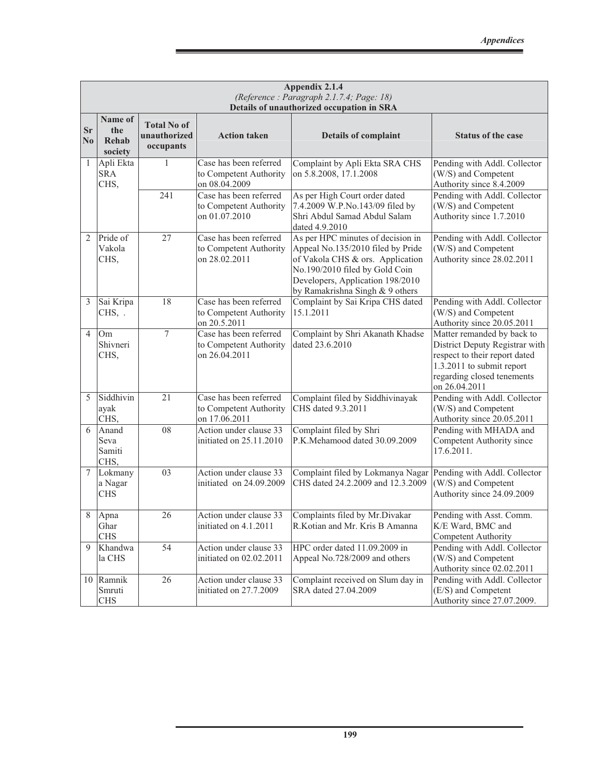|                                     |                                    |                                                 |                                                                   | Appendix 2.1.4<br>(Reference: Paragraph 2.1.7.4; Page: 18)<br>Details of unauthorized occupation in SRA                                                                                                             |                                                                                                                                                                           |
|-------------------------------------|------------------------------------|-------------------------------------------------|-------------------------------------------------------------------|---------------------------------------------------------------------------------------------------------------------------------------------------------------------------------------------------------------------|---------------------------------------------------------------------------------------------------------------------------------------------------------------------------|
| <b>Sr</b><br>$\overline{\text{No}}$ | Name of<br>the<br>Rehab<br>society | <b>Total No of</b><br>unauthorized<br>occupants | <b>Action taken</b>                                               | <b>Details of complaint</b>                                                                                                                                                                                         | <b>Status of the case</b>                                                                                                                                                 |
| 1                                   | Apli Ekta<br><b>SRA</b><br>CHS,    | 1                                               | Case has been referred<br>to Competent Authority<br>on 08.04.2009 | Complaint by Apli Ekta SRA CHS<br>on 5.8.2008, 17.1.2008                                                                                                                                                            | Pending with Addl. Collector<br>(W/S) and Competent<br>Authority since 8.4.2009                                                                                           |
|                                     |                                    | 241                                             | Case has been referred<br>to Competent Authority<br>on 01.07.2010 | As per High Court order dated<br>7.4.2009 W.P.No.143/09 filed by<br>Shri Abdul Samad Abdul Salam<br>dated 4.9.2010                                                                                                  | Pending with Addl. Collector<br>(W/S) and Competent<br>Authority since 1.7.2010                                                                                           |
| $\overline{2}$                      | Pride of<br>Vakola<br>CHS,         | 27                                              | Case has been referred<br>to Competent Authority<br>on 28.02.2011 | As per HPC minutes of decision in<br>Appeal No.135/2010 filed by Pride<br>of Vakola CHS & ors. Application<br>No.190/2010 filed by Gold Coin<br>Developers, Application 198/2010<br>by Ramakrishna Singh & 9 others | Pending with Addl. Collector<br>(W/S) and Competent<br>Authority since 28.02.2011                                                                                         |
| 3                                   | Sai Kripa<br>CHS, .                | 18                                              | Case has been referred<br>to Competent Authority<br>on 20.5.2011  | Complaint by Sai Kripa CHS dated<br>15.1.2011                                                                                                                                                                       | Pending with Addl. Collector<br>(W/S) and Competent<br>Authority since 20.05.2011                                                                                         |
| 4                                   | Om<br>Shivneri<br>CHS,             | $\tau$                                          | Case has been referred<br>to Competent Authority<br>on 26.04.2011 | Complaint by Shri Akanath Khadse<br>dated 23.6.2010                                                                                                                                                                 | Matter remanded by back to<br>District Deputy Registrar with<br>respect to their report dated<br>1.3.2011 to submit report<br>regarding closed tenements<br>on 26.04.2011 |
| 5                                   | Siddhivin<br>ayak<br>CHS,          | 21                                              | Case has been referred<br>to Competent Authority<br>on 17.06.2011 | Complaint filed by Siddhivinayak<br>CHS dated 9.3.2011                                                                                                                                                              | Pending with Addl. Collector<br>(W/S) and Competent<br>Authority since 20.05.2011                                                                                         |
| 6                                   | Anand<br>Seva<br>Samiti<br>CHS,    | ${\bf 08}$                                      | Action under clause 33<br>initiated on 25.11.2010                 | Complaint filed by Shri<br>P.K.Mehamood dated 30.09.2009                                                                                                                                                            | Pending with MHADA and<br>Competent Authority since<br>17.6.2011.                                                                                                         |
| 7                                   | Lokmany<br>a Nagar<br><b>CHS</b>   | 03                                              | Action under clause 33<br>initiated on 24.09.2009                 | Complaint filed by Lokmanya Nagar<br>CHS dated 24.2.2009 and 12.3.2009                                                                                                                                              | Pending with Addl. Collector<br>(W/S) and Competent<br>Authority since 24.09.2009                                                                                         |
| 8                                   | Apna<br>Ghar<br><b>CHS</b>         | 26                                              | Action under clause 33<br>initiated on 4.1.2011                   | Complaints filed by Mr.Divakar<br>R.Kotian and Mr. Kris B Amanna                                                                                                                                                    | Pending with Asst. Comm.<br>K/E Ward, BMC and<br>Competent Authority                                                                                                      |
| 9                                   | Khandwa<br>la CHS                  | 54                                              | Action under clause 33<br>initiated on 02.02.2011                 | HPC order dated 11.09.2009 in<br>Appeal No.728/2009 and others                                                                                                                                                      | Pending with Addl. Collector<br>(W/S) and Competent<br>Authority since 02.02.2011                                                                                         |
| 10                                  | Ramnik<br>Smruti<br><b>CHS</b>     | 26                                              | Action under clause 33<br>initiated on 27.7.2009                  | Complaint received on Slum day in<br>SRA dated 27.04.2009                                                                                                                                                           | Pending with Addl. Collector<br>(E/S) and Competent<br>Authority since 27.07.2009.                                                                                        |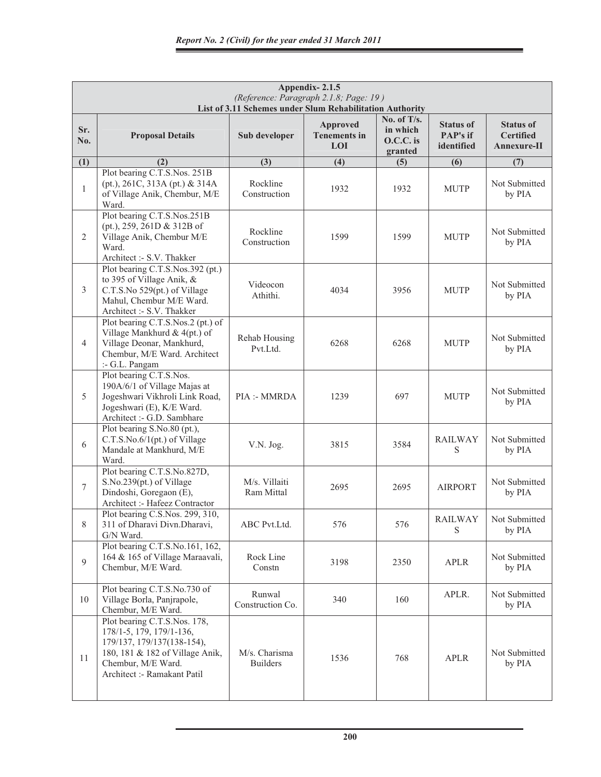|                | Appendix-2.1.5<br>(Reference: Paragraph 2.1.8; Page: 19)<br>List of 3.11 Schemes under Slum Rehabilitation Authority                                                           |                                  |                                               |                                                 |                                            |                                                     |  |  |
|----------------|--------------------------------------------------------------------------------------------------------------------------------------------------------------------------------|----------------------------------|-----------------------------------------------|-------------------------------------------------|--------------------------------------------|-----------------------------------------------------|--|--|
| Sr.<br>No.     | <b>Proposal Details</b>                                                                                                                                                        | Sub developer                    | <b>Approved</b><br><b>Tenements in</b><br>LOI | No. of T/s.<br>in which<br>O.C.C. is<br>granted | <b>Status of</b><br>PAP's if<br>identified | <b>Status of</b><br><b>Certified</b><br>Annexure-II |  |  |
| (1)            | (2)                                                                                                                                                                            | (3)                              | (4)                                           | (5)                                             | (6)                                        | (7)                                                 |  |  |
| $\mathbf{1}$   | Plot bearing C.T.S.Nos. 251B<br>(pt.), 261C, 313A (pt.) & 314A<br>of Village Anik, Chembur, M/E<br>Ward.                                                                       | Rockline<br>Construction         | 1932                                          | 1932                                            | <b>MUTP</b>                                | Not Submitted<br>by PIA                             |  |  |
| $\overline{2}$ | Plot bearing C.T.S.Nos.251B<br>(pt.), 259, 261D & 312B of<br>Village Anik, Chembur M/E<br>Ward.<br>Architect :- S.V. Thakker                                                   | Rockline<br>Construction         | 1599                                          | 1599                                            | <b>MUTP</b>                                | Not Submitted<br>by PIA                             |  |  |
| 3              | Plot bearing C.T.S.Nos.392 (pt.)<br>to 395 of Village Anik, &<br>C.T.S.No 529(pt.) of Village<br>Mahul, Chembur M/E Ward.<br>Architect :- S.V. Thakker                         | Videocon<br>Athithi.             | 4034                                          | 3956                                            | <b>MUTP</b>                                | Not Submitted<br>by PIA                             |  |  |
| $\overline{4}$ | Plot bearing C.T.S.Nos.2 (pt.) of<br>Village Mankhurd & 4(pt.) of<br>Village Deonar, Mankhurd,<br>Chembur, M/E Ward. Architect<br>:- G.L. Pangam                               | Rehab Housing<br>Pvt.Ltd.        | 6268                                          | 6268                                            | <b>MUTP</b>                                | Not Submitted<br>by PIA                             |  |  |
| 5              | Plot bearing C.T.S.Nos.<br>190A/6/1 of Village Majas at<br>Jogeshwari Vikhroli Link Road,<br>Jogeshwari (E), K/E Ward.<br>Architect :- G.D. Sambhare                           | PIA :- MMRDA                     | 1239                                          | 697                                             | <b>MUTP</b>                                | Not Submitted<br>by PIA                             |  |  |
| 6              | Plot bearing S.No.80 (pt.),<br>C.T.S.No.6/1(pt.) of Village<br>Mandale at Mankhurd, M/E<br>Ward.                                                                               | V.N. Jog.                        | 3815                                          | 3584                                            | <b>RAILWAY</b><br>S                        | Not Submitted<br>by PIA                             |  |  |
| $\tau$         | Plot bearing C.T.S.No.827D,<br>S.No.239(pt.) of Village<br>Dindoshi, Goregaon (E),<br>Architect :- Hafeez Contractor                                                           | M/s. Villaiti<br>Ram Mittal      | 2695                                          | 2695                                            | <b>AIRPORT</b>                             | Not Submitted<br>by PIA                             |  |  |
| 8              | Plot bearing C.S.Nos. 299, 310,<br>311 of Dharavi Divn.Dharavi,<br>G/N Ward.                                                                                                   | ABC Pvt.Ltd.                     | 576                                           | 576                                             | RAILWAY<br>S                               | Not Submitted<br>by PIA                             |  |  |
| 9              | Plot bearing C.T.S.No.161, 162,<br>164 & 165 of Village Maraavali,<br>Chembur, M/E Ward.                                                                                       | Rock Line<br>Constn              | 3198                                          | 2350                                            | APLR                                       | Not Submitted<br>by PIA                             |  |  |
| 10             | Plot bearing C.T.S.No.730 of<br>Village Borla, Panjrapole,<br>Chembur, M/E Ward.                                                                                               | Runwal<br>Construction Co.       | 340                                           | 160                                             | APLR.                                      | Not Submitted<br>by PIA                             |  |  |
| 11             | Plot bearing C.T.S.Nos. 178,<br>178/1-5, 179, 179/1-136,<br>179/137, 179/137(138-154),<br>180, 181 & 182 of Village Anik,<br>Chembur, M/E Ward.<br>Architect :- Ramakant Patil | M/s. Charisma<br><b>Builders</b> | 1536                                          | 768                                             | <b>APLR</b>                                | Not Submitted<br>by PIA                             |  |  |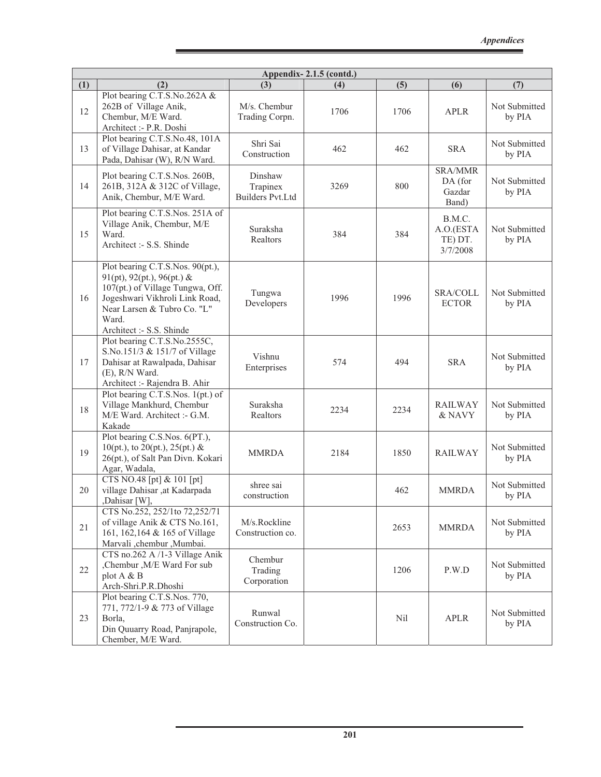|     | Appendix-2.1.5 (contd.)                                                                                                                                                                                  |                                                |      |      |                                              |                         |  |  |
|-----|----------------------------------------------------------------------------------------------------------------------------------------------------------------------------------------------------------|------------------------------------------------|------|------|----------------------------------------------|-------------------------|--|--|
| (1) | (2)                                                                                                                                                                                                      | (3)                                            | (4)  | (5)  | (6)                                          | (7)                     |  |  |
| 12  | Plot bearing C.T.S.No.262A &<br>262B of Village Anik,<br>Chembur, M/E Ward.<br>Architect :- P.R. Doshi                                                                                                   | M/s. Chembur<br>Trading Corpn.                 | 1706 | 1706 | <b>APLR</b>                                  | Not Submitted<br>by PIA |  |  |
| 13  | Plot bearing C.T.S.No.48, 101A<br>of Village Dahisar, at Kandar<br>Pada, Dahisar (W), R/N Ward.                                                                                                          | Shri Sai<br>Construction                       | 462  | 462  | <b>SRA</b>                                   | Not Submitted<br>by PIA |  |  |
| 14  | Plot bearing C.T.S.Nos. 260B,<br>261B, 312A & 312C of Village,<br>Anik, Chembur, M/E Ward.                                                                                                               | Dinshaw<br>Trapinex<br><b>Builders Pvt.Ltd</b> | 3269 | 800  | <b>SRA/MMR</b><br>DA (for<br>Gazdar<br>Band) | Not Submitted<br>by PIA |  |  |
| 15  | Plot bearing C.T.S.Nos. 251A of<br>Village Anik, Chembur, M/E<br>Ward.<br>Architect :- S.S. Shinde                                                                                                       | Suraksha<br>Realtors                           | 384  | 384  | B.M.C.<br>A.O.(ESTA<br>TE) DT.<br>3/7/2008   | Not Submitted<br>by PIA |  |  |
| 16  | Plot bearing C.T.S.Nos. 90(pt.),<br>91(pt), 92(pt.), 96(pt.) &<br>107(pt.) of Village Tungwa, Off.<br>Jogeshwari Vikhroli Link Road,<br>Near Larsen & Tubro Co. "L"<br>Ward.<br>Architect :- S.S. Shinde | Tungwa<br>Developers                           | 1996 | 1996 | <b>SRA/COLL</b><br><b>ECTOR</b>              | Not Submitted<br>by PIA |  |  |
| 17  | Plot bearing C.T.S.No.2555C,<br>S.No.151/3 & 151/7 of Village<br>Dahisar at Rawalpada, Dahisar<br>(E), R/N Ward.<br>Architect :- Rajendra B. Ahir                                                        | Vishnu<br>Enterprises                          | 574  | 494  | <b>SRA</b>                                   | Not Submitted<br>by PIA |  |  |
| 18  | Plot bearing C.T.S.Nos. 1(pt.) of<br>Village Mankhurd, Chembur<br>M/E Ward. Architect :- G.M.<br>Kakade                                                                                                  | Suraksha<br>Realtors                           | 2234 | 2234 | <b>RAILWAY</b><br>& NAVY                     | Not Submitted<br>by PIA |  |  |
| 19  | Plot bearing C.S.Nos. 6(PT.),<br>10(pt.), to 20(pt.), 25(pt.) &<br>26(pt.), of Salt Pan Divn. Kokari<br>Agar, Wadala,                                                                                    | <b>MMRDA</b>                                   | 2184 | 1850 | <b>RAILWAY</b>                               | Not Submitted<br>by PIA |  |  |
| 20  | CTS NO.48 [pt] & 101 [pt]<br>village Dahisar ,at Kadarpada<br>,Dahisar [W],                                                                                                                              | shree sai<br>construction                      |      | 462  | <b>MMRDA</b>                                 | Not Submitted<br>by PIA |  |  |
| 21  | CTS No.252, 252/1to 72,252/71<br>of village Anik & CTS No.161,<br>161, 162, 164 & 165 of Village<br>Marvali,chembur, Mumbai.                                                                             | M/s.Rockline<br>Construction co.               |      | 2653 | <b>MMRDA</b>                                 | Not Submitted<br>by PIA |  |  |
| 22  | CTS no.262 A /1-3 Village Anik<br>,Chembur , M/E Ward For sub<br>plot A & B<br>Arch-Shri.P.R.Dhoshi                                                                                                      | Chembur<br>Trading<br>Corporation              |      | 1206 | P.W.D                                        | Not Submitted<br>by PIA |  |  |
| 23  | Plot bearing C.T.S.Nos. 770,<br>771, 772/1-9 & 773 of Village<br>Borla,<br>Din Quuarry Road, Panjrapole,<br>Chember, M/E Ward.                                                                           | Runwal<br>Construction Co.                     |      | Nil  | <b>APLR</b>                                  | Not Submitted<br>by PIA |  |  |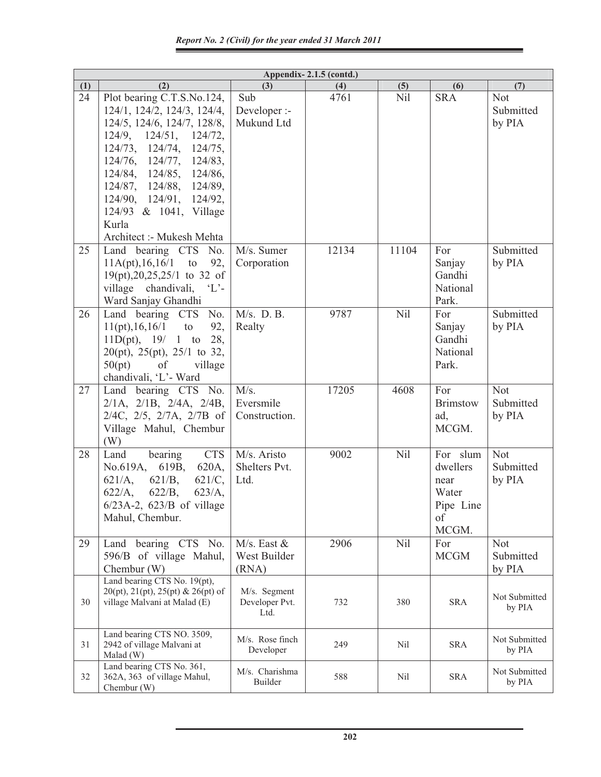|     | Appendix-2.1.5 (contd.)                                                                                                                                                                                                                                                                                                                     |                                           |       |       |                                                                   |                                   |  |
|-----|---------------------------------------------------------------------------------------------------------------------------------------------------------------------------------------------------------------------------------------------------------------------------------------------------------------------------------------------|-------------------------------------------|-------|-------|-------------------------------------------------------------------|-----------------------------------|--|
| (1) | (2)                                                                                                                                                                                                                                                                                                                                         | (3)                                       | (4)   | (5)   | (6)                                                               | (7)                               |  |
| 24  | Plot bearing C.T.S.No.124,<br>124/1, 124/2, 124/3, 124/4,<br>124/5, 124/6, 124/7, 128/8,<br>$124/9$ , $124/51$ , $124/72$ ,<br>124/73, 124/74, 124/75,<br>$124/76$ , $124/77$ , $124/83$ ,<br>124/84, 124/85, 124/86,<br>124/87, 124/88, 124/89,<br>124/90, 124/91, 124/92,<br>124/93 & 1041, Village<br>Kurla<br>Architect :- Mukesh Mehta | Sub<br>Developer :-<br>Mukund Ltd         | 4761  | Nil   | <b>SRA</b>                                                        | <b>Not</b><br>Submitted<br>by PIA |  |
| 25  | Land bearing CTS No.<br>$11A(pt), 16, 16/1$ to<br>92,<br>$19(pt), 20, 25, 25/1$ to 32 of<br>village chandivali, 'L'-<br>Ward Sanjay Ghandhi                                                                                                                                                                                                 | M/s. Sumer<br>Corporation                 | 12134 | 11104 | For<br>Sanjay<br>Gandhi<br>National<br>Park.                      | Submitted<br>by PIA               |  |
| 26  | Land bearing CTS No.<br>11(pt), 16, 16/1<br>to<br>92,<br>11D(pt), 19/ 1 to 28,<br>$20(pt)$ , $25(pt)$ , $25/1$ to 32,<br>50(pt)<br>of<br>village<br>chandivali, 'L'- Ward                                                                                                                                                                   | $M/s$ . D. B.<br>Realty                   | 9787  | Nil   | For<br>Sanjay<br>Gandhi<br>National<br>Park.                      | Submitted<br>by PIA               |  |
| 27  | Land bearing CTS No.<br>$2/1A$ , $2/1B$ , $2/4A$ , $2/4B$ ,<br>$2/4C$ , $2/5$ , $2/7A$ , $2/7B$ of<br>Village Mahul, Chembur<br>(W)                                                                                                                                                                                                         | M/s.<br>Eversmile<br>Construction.        | 17205 | 4608  | For<br><b>Brimstow</b><br>ad,<br>MCGM.                            | <b>Not</b><br>Submitted<br>by PIA |  |
| 28  | <b>CTS</b><br>bearing<br>Land<br>No.619A, 619B,<br>620A,<br>$621/A$ ,<br>$621/B$ ,<br>$621/C$ ,<br>$622/A$ ,<br>$622/B$ ,<br>$623/A$ ,<br>$6/23A-2$ , $623/B$ of village<br>Mahul, Chembur.                                                                                                                                                 | M/s. Aristo<br>Shelters Pvt.<br>Ltd.      | 9002  | Nil   | For slum<br>dwellers<br>near<br>Water<br>Pipe Line<br>of<br>MCGM. | Not<br>Submitted<br>by PIA        |  |
| 29  | Land bearing CTS No.<br>596/B of village Mahul,<br>Chembur (W)                                                                                                                                                                                                                                                                              | $M/s$ . East $&$<br>West Builder<br>(RNA) | 2906  | Nil   | For<br><b>MCGM</b>                                                | <b>Not</b><br>Submitted<br>by PIA |  |
| 30  | Land bearing CTS No. 19(pt),<br>$20(pt), 21(pt), 25(pt) \& 26(pt) of$<br>village Malvani at Malad (E)                                                                                                                                                                                                                                       | M/s. Segment<br>Developer Pvt.<br>Ltd.    | 732   | 380   | <b>SRA</b>                                                        | Not Submitted<br>by PIA           |  |
| 31  | Land bearing CTS NO. 3509,<br>2942 of village Malvani at<br>Malad (W)                                                                                                                                                                                                                                                                       | M/s. Rose finch<br>Developer              | 249   | Nil   | <b>SRA</b>                                                        | Not Submitted<br>by PIA           |  |
| 32  | Land bearing CTS No. 361,<br>362A, 363 of village Mahul,<br>Chembur (W)                                                                                                                                                                                                                                                                     | M/s. Charishma<br>Builder                 | 588   | Nil   | SRA                                                               | Not Submitted<br>by PIA           |  |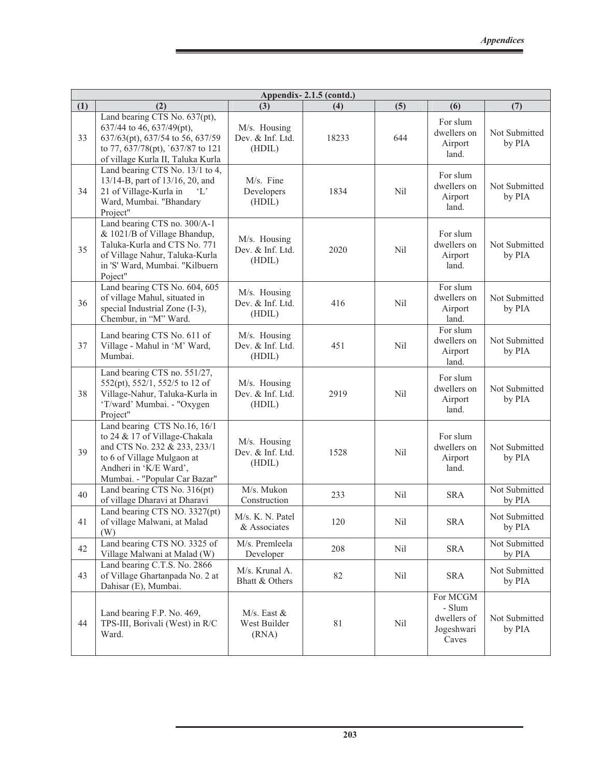|     | Appendix-2.1.5 (contd.)                                                                                                                                                                |                                            |       |                 |                                                          |                         |  |
|-----|----------------------------------------------------------------------------------------------------------------------------------------------------------------------------------------|--------------------------------------------|-------|-----------------|----------------------------------------------------------|-------------------------|--|
| (1) | (2)                                                                                                                                                                                    | (3)                                        | (4)   | (5)             | (6)                                                      | (7)                     |  |
| 33  | Land bearing CTS No. 637(pt),<br>637/44 to 46, 637/49(pt),<br>637/63(pt), 637/54 to 56, 637/59<br>to 77, 637/78(pt), `637/87 to 121<br>of village Kurla II, Taluka Kurla               | M/s. Housing<br>Dev. & Inf. Ltd.<br>(HDIL) | 18233 | 644             | For slum<br>dwellers on<br>Airport<br>land.              | Not Submitted<br>by PIA |  |
| 34  | Land bearing CTS No. 13/1 to 4,<br>13/14-B, part of 13/16, 20, and<br>21 of Village-Kurla in<br>$\mathcal{L}$<br>Ward, Mumbai. "Bhandary<br>Project"                                   | M/s. Fine<br>Developers<br>(HDIL)          | 1834  | <b>Nil</b>      | For slum<br>dwellers on<br>Airport<br>land.              | Not Submitted<br>by PIA |  |
| 35  | Land bearing CTS no. 300/A-1<br>& 1021/B of Village Bhandup,<br>Taluka-Kurla and CTS No. 771<br>of Village Nahur, Taluka-Kurla<br>in 'S' Ward, Mumbai. "Kilbuern<br>Poject"            | M/s. Housing<br>Dev. & Inf. Ltd.<br>(HDIL) | 2020  | Nil             | For slum<br>dwellers on<br>Airport<br>land.              | Not Submitted<br>by PIA |  |
| 36  | Land bearing CTS No. 604, 605<br>of village Mahul, situated in<br>special Industrial Zone (I-3),<br>Chembur, in "M" Ward.                                                              | M/s. Housing<br>Dev. & Inf. Ltd.<br>(HDIL) | 416   | N <sub>il</sub> | For slum<br>dwellers on<br>Airport<br>land.              | Not Submitted<br>by PIA |  |
| 37  | Land bearing CTS No. 611 of<br>Village - Mahul in 'M' Ward,<br>Mumbai.                                                                                                                 | M/s. Housing<br>Dev. & Inf. Ltd.<br>(HDIL) | 451   | <b>Nil</b>      | For slum<br>dwellers on<br>Airport<br>land.              | Not Submitted<br>by PIA |  |
| 38  | Land bearing CTS no. 551/27,<br>552(pt), 552/1, 552/5 to 12 of<br>Village-Nahur, Taluka-Kurla in<br>'T/ward' Mumbai. - "Oxygen<br>Project"                                             | M/s. Housing<br>Dev. & Inf. Ltd.<br>(HDIL) | 2919  | Nil             | For slum<br>dwellers on<br>Airport<br>land.              | Not Submitted<br>by PIA |  |
| 39  | Land bearing CTS No.16, 16/1<br>to 24 & 17 of Village-Chakala<br>and CTS No. 232 & 233, 233/1<br>to 6 of Village Mulgaon at<br>Andheri in 'K/E Ward',<br>Mumbai. - "Popular Car Bazar" | M/s. Housing<br>Dev. & Inf. Ltd.<br>(HDIL) | 1528  | Nil             | For slum<br>dwellers on<br>Airport<br>land.              | Not Submitted<br>by PIA |  |
| 40  | Land bearing CTS No. 316(pt)<br>of village Dharavi at Dharavi                                                                                                                          | M/s. Mukon<br>Construction                 | 233   | Nil             | <b>SRA</b>                                               | Not Submitted<br>by PIA |  |
| 41  | Land bearing CTS NO. 3327(pt)<br>of village Malwani, at Malad<br>(W)                                                                                                                   | M/s. K. N. Patel<br>& Associates           | 120   | Nil             | <b>SRA</b>                                               | Not Submitted<br>by PIA |  |
| 42  | Land bearing CTS NO. 3325 of<br>Village Malwani at Malad (W)                                                                                                                           | M/s. Premleela<br>Developer                | 208   | Nil             | <b>SRA</b>                                               | Not Submitted<br>by PIA |  |
| 43  | Land bearing C.T.S. No. 2866<br>of Village Ghartanpada No. 2 at<br>Dahisar (E), Mumbai.                                                                                                | M/s. Krunal A.<br>Bhatt & Others           | 82    | Nil             | <b>SRA</b>                                               | Not Submitted<br>by PIA |  |
| 44  | Land bearing F.P. No. 469,<br>TPS-III, Borivali (West) in R/C<br>Ward.                                                                                                                 | $M/s$ . East $&$<br>West Builder<br>(RNA)  | 81    | Nil             | For MCGM<br>- Slum<br>dwellers of<br>Jogeshwari<br>Caves | Not Submitted<br>by PIA |  |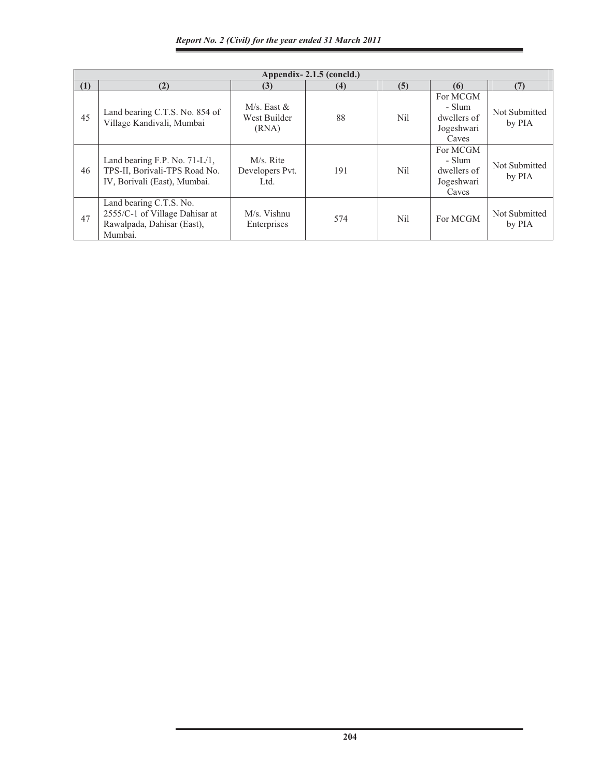|     | Appendix - $2.1.5$ (concld.)                                                                       |                                        |     |                 |                                                          |                         |  |  |  |
|-----|----------------------------------------------------------------------------------------------------|----------------------------------------|-----|-----------------|----------------------------------------------------------|-------------------------|--|--|--|
| (1) | (2)                                                                                                | (3)                                    | (4) | (5)             | (6)                                                      | (7)                     |  |  |  |
| 45  | Land bearing C.T.S. No. 854 of<br>Village Kandivali, Mumbai                                        | M/s. East $&$<br>West Builder<br>(RNA) | 88  | N <sub>il</sub> | For MCGM<br>- Slum<br>dwellers of<br>Jogeshwari<br>Caves | Not Submitted<br>by PIA |  |  |  |
| 46  | Land bearing F.P. No. $71-L/1$ ,<br>TPS-II, Borivali-TPS Road No.<br>IV, Borivali (East), Mumbai.  | M/s. Rite<br>Developers Pvt.<br>Ltd.   | 191 | Nil             | For MCGM<br>- Slum<br>dwellers of<br>Jogeshwari<br>Caves | Not Submitted<br>by PIA |  |  |  |
| 47  | Land bearing C.T.S. No.<br>2555/C-1 of Village Dahisar at<br>Rawalpada, Dahisar (East),<br>Mumbai. | M/s. Vishnu<br>Enterprises             | 574 | Nil             | For MCGM                                                 | Not Submitted<br>by PIA |  |  |  |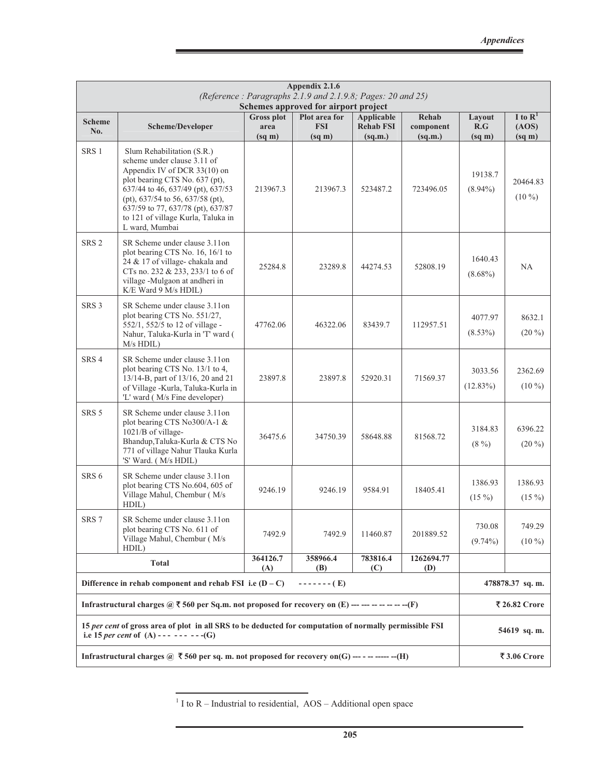|                                                                                                            | Appendix 2.1.6<br>(Reference: Paragraphs 2.1.9 and 2.1.9.8; Pages: 20 and 25)<br>Schemes approved for airport project                                                                                                                                                                                 |                                                 |                                            |                                           |                               |                                     |                                           |
|------------------------------------------------------------------------------------------------------------|-------------------------------------------------------------------------------------------------------------------------------------------------------------------------------------------------------------------------------------------------------------------------------------------------------|-------------------------------------------------|--------------------------------------------|-------------------------------------------|-------------------------------|-------------------------------------|-------------------------------------------|
| <b>Scheme</b><br>No.                                                                                       | Scheme/Developer                                                                                                                                                                                                                                                                                      | <b>Gross plot</b><br>area<br>$(sq \, \text{m})$ | Plot area for<br><b>FSI</b><br>$(sq \, m)$ | Applicable<br><b>Rehab FSI</b><br>(sq.m.) | Rehab<br>component<br>(sq.m.) | Layout<br>R.G<br>$(sq \, \text{m})$ | I to $R^1$<br>(AOS)<br>$(sq \, \text{m})$ |
| SRS <sub>1</sub>                                                                                           | Slum Rehabilitation (S.R.)<br>scheme under clause 3.11 of<br>Appendix IV of DCR 33(10) on<br>plot bearing CTS No. 637 (pt),<br>637/44 to 46, 637/49 (pt), 637/53<br>(pt), $637/54$ to 56, $637/58$ (pt),<br>637/59 to 77, 637/78 (pt), 637/87<br>to 121 of village Kurla, Taluka in<br>L ward, Mumbai | 213967.3                                        | 213967.3                                   | 523487.2                                  | 723496.05                     | 19138.7<br>$(8.94\%)$               | 20464.83<br>$(10\%)$                      |
| SRS <sub>2</sub>                                                                                           | SR Scheme under clause 3.11 on<br>plot bearing CTS No. 16, 16/1 to<br>24 & 17 of village-chakala and<br>CTs no. 232 & 233, 233/1 to 6 of<br>village -Mulgaon at andheri in<br>K/E Ward 9 M/s HDIL)                                                                                                    | 25284.8                                         | 23289.8                                    | 44274.53                                  | 52808.19                      | 1640.43<br>$(8.68\%)$               | NA.                                       |
| SRS <sub>3</sub>                                                                                           | SR Scheme under clause 3.11 on<br>plot bearing CTS No. 551/27,<br>552/1, 552/5 to 12 of village -<br>Nahur, Taluka-Kurla in 'T' ward (<br>$M/s$ HDIL)                                                                                                                                                 | 47762.06                                        | 46322.06                                   | 83439.7                                   | 112957.51                     | 4077.97<br>$(8.53\%)$               | 8632.1<br>$(20\%)$                        |
| SRS <sub>4</sub>                                                                                           | SR Scheme under clause 3.11on<br>plot bearing CTS No. 13/1 to 4,<br>13/14-B, part of 13/16, 20 and 21<br>of Village -Kurla, Taluka-Kurla in<br>'L' ward (M/s Fine developer)                                                                                                                          | 23897.8                                         | 23897.8                                    | 52920.31                                  | 71569.37                      | 3033.56<br>$(12.83\%)$              | 2362.69<br>$(10\%)$                       |
| SRS <sub>5</sub>                                                                                           | SR Scheme under clause 3.11 on<br>plot bearing CTS No300/A-1 &<br>1021/B of village-<br>Bhandup, Taluka-Kurla & CTS No<br>771 of village Nahur Tlauka Kurla<br>'S' Ward. (M/s HDIL)                                                                                                                   | 36475.6                                         | 34750.39                                   | 58648.88                                  | 81568.72                      | 3184.83<br>$(8\%)$                  | 6396.22<br>$(20\%)$                       |
| SRS <sub>6</sub>                                                                                           | SR Scheme under clause 3.11on<br>plot bearing CTS No.604, 605 of<br>Village Mahul, Chembur (M/s<br>HDIL)                                                                                                                                                                                              | 9246.19                                         | 9246.19                                    | 9584.91                                   | 18405.41                      | 1386.93<br>$(15\%)$                 | 1386.93<br>$(15\%)$                       |
| SRS <sub>7</sub>                                                                                           | SR Scheme under clause 3.11on<br>plot bearing CTS No. 611 of<br>Village Mahul, Chembur (M/s<br>HDIL)                                                                                                                                                                                                  | 7492.9                                          | 7492.9                                     | 11460.87                                  | 201889.52                     | 730.08<br>$(9.74\%)$                | 749.29<br>$(10\%)$                        |
|                                                                                                            | <b>Total</b>                                                                                                                                                                                                                                                                                          | 364126.7<br>(A)                                 | 358966.4<br>(B)                            | 783816.4<br>(C)                           | 1262694.77<br>(D)             |                                     |                                           |
|                                                                                                            | Difference in rehab component and rehab FSI i.e $(D - C)$                                                                                                                                                                                                                                             |                                                 | ------- (E)                                |                                           |                               |                                     | 478878.37 sq. m.                          |
|                                                                                                            | Infrastructural charges $\omega \bar{\tau}$ 560 per Sq.m. not proposed for recovery on (E) --- --- -- -- -- -- -- (F)                                                                                                                                                                                 |                                                 |                                            |                                           |                               |                                     | ₹ 26.82 Crore                             |
|                                                                                                            | 15 per cent of gross area of plot in all SRS to be deducted for computation of normally permissible FSI<br>i.e 15 <i>per cent</i> of $(A)$ ---------(G)                                                                                                                                               |                                                 |                                            |                                           |                               |                                     | 54619 sq. m.                              |
| Infrastructural charges @ $\bar{\tau}$ 560 per sq. m. not proposed for recovery on(G) --- - -- ----- --(H) |                                                                                                                                                                                                                                                                                                       |                                                 |                                            |                                           |                               |                                     | ₹ 3.06 Crore                              |

 $<sup>1</sup>$  I to R – Industrial to residential, AOS – Additional open space</sup>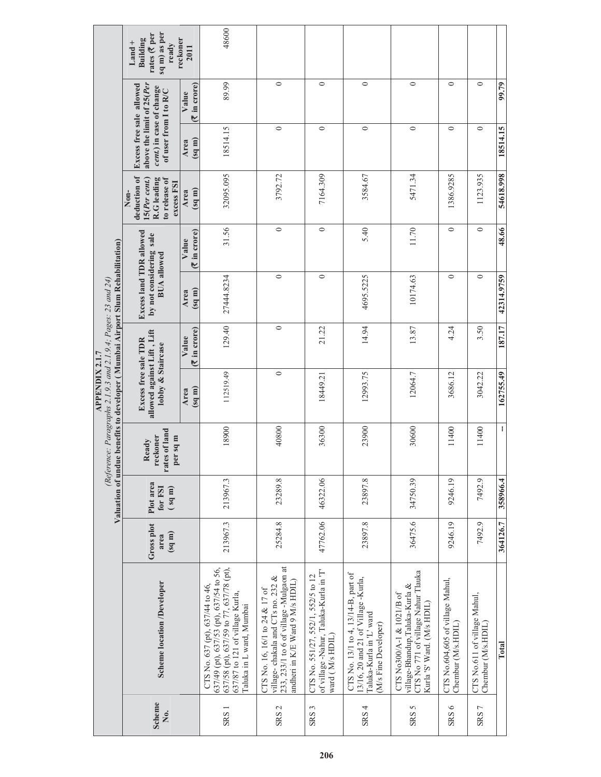|                                                                                                                                                | sq m) as per<br>rates (₹ per<br><b>Building</b><br>$L$ and +<br>ready                                      | reckoner<br>2011         | 48600                                                                                                                                                                                |                                                                                                                                                  |                                                                                                 |                                                                                                                                |                                                                                                                                 |                                                        |                                                    |            |
|------------------------------------------------------------------------------------------------------------------------------------------------|------------------------------------------------------------------------------------------------------------|--------------------------|--------------------------------------------------------------------------------------------------------------------------------------------------------------------------------------|--------------------------------------------------------------------------------------------------------------------------------------------------|-------------------------------------------------------------------------------------------------|--------------------------------------------------------------------------------------------------------------------------------|---------------------------------------------------------------------------------------------------------------------------------|--------------------------------------------------------|----------------------------------------------------|------------|
|                                                                                                                                                |                                                                                                            | (₹ in crore)<br>Value    | 89.99                                                                                                                                                                                | $\circ$                                                                                                                                          | $\circ$                                                                                         | $\circ$                                                                                                                        | $\circ$                                                                                                                         | $\circ$                                                | $\circ$                                            | 99.79      |
|                                                                                                                                                | Excess free sale allowed<br>above the limit of 25(Per<br>cent.) in case of change<br>of user from I to R/C | $(m \rho s)$<br>Area     | 18514.15                                                                                                                                                                             | $\circ$                                                                                                                                          | $\circ$                                                                                         | $\circ$                                                                                                                        | $\circ$                                                                                                                         | $\circ$                                                | $\circ$                                            | 18514.15   |
|                                                                                                                                                | deduction of<br>o release of<br>15(Per~cent.)<br>R.G leading<br>excess FSI<br>Non-                         | $(m \nvert p_8)$<br>Area | 32095.095                                                                                                                                                                            | 3792.72                                                                                                                                          | 7164.309                                                                                        | 3584.67                                                                                                                        | 5471.34                                                                                                                         | 1386.9285                                              | 1123.935                                           | 54618.998  |
|                                                                                                                                                |                                                                                                            | in crore)<br>Value<br>Z  | 31.56                                                                                                                                                                                | $\circ$                                                                                                                                          | $\circ$                                                                                         | 5.40                                                                                                                           | 11.70                                                                                                                           | $\circ$                                                | $\circ$                                            | 48.66      |
|                                                                                                                                                | Excess land TDR allowed<br>by not considering sale<br><b>BUA</b> allowed                                   | (sq m)<br>Area           | 27444.8234                                                                                                                                                                           | $\circ$                                                                                                                                          | $\circ$                                                                                         | 4695.5225                                                                                                                      | 10174.63                                                                                                                        | $\circ$                                                | $\circ$                                            | 42314.9759 |
|                                                                                                                                                |                                                                                                            | in crore)<br>Value<br>Z  | 129.40                                                                                                                                                                               | $\circ$                                                                                                                                          | 21.22                                                                                           | 14.94                                                                                                                          | 13.87                                                                                                                           | 4.24                                                   | 3.50                                               | 187.17     |
| Valuation of undue benefits to developer (Mumbai Airport Slum Rehabilitation)<br>(Reference: Paragraphs 2.1.9.3 and 2.1.9.4; Pages: 23 and 24) | allowed against Lift, Lift<br><b>Excess free sale TDR</b><br>lobby & Staircase                             | $(m \rho s)$<br>Area     | 112519.49                                                                                                                                                                            | $\circ$                                                                                                                                          | 18449.21                                                                                        | 12993.75                                                                                                                       | 12064.7                                                                                                                         | 3686.12                                                | 3042.22                                            | 162755.49  |
|                                                                                                                                                | rates of land<br>reckoner<br>per sq m<br>Ready                                                             |                          | 18900                                                                                                                                                                                | 40800                                                                                                                                            | 36300                                                                                           | 23900                                                                                                                          | 30600                                                                                                                           | 11400                                                  | 11400                                              | ł          |
|                                                                                                                                                | Plot area<br>for FSI<br>$(m \rho s)$                                                                       |                          | 213967.3                                                                                                                                                                             | 23289.8                                                                                                                                          | 46322.06                                                                                        | 23897.8                                                                                                                        | 34750.39                                                                                                                        | 9246.19                                                | 7492.9                                             | 358966.4   |
|                                                                                                                                                | Gross plot<br>$(m \rho s)$<br>area                                                                         |                          | 213967.3                                                                                                                                                                             | 25284.8                                                                                                                                          | 47762.06                                                                                        | 23897.8                                                                                                                        | 36475.6                                                                                                                         | 9246.19                                                | 7492.9                                             | 364126.7   |
|                                                                                                                                                | <b>Scheme location /Developer</b>                                                                          |                          | 637/49 (pt), 637/53 (pt), 637/54 to 56,<br>637/58 (pt), 637/59 to 77, 637/78 (pt),<br>CTS No. 637 (pt), 637/44 to 46,<br>637/87 to 121 of village Kurla,<br>Taluka in L ward, Mumbai | 233, 233/1 to 6 of village -Mulgaon at<br>village-chakala and CTs no. 232 &<br>andheri in K/E Ward 9 M/s HDIL)<br>CTS No. 16, 16/1 to 24 & 17 of | of village -Nahur, Taluka-Kurla in 'T'<br>CTS No. 551/27, 552/1, 552/5 to 12<br>ward (M/s HDIL) | CTS No. 13/1 to 4, 13/14-B, part of<br>13/16, 20 and 21 of Village -Kurla,<br>Taluka-Kurla in 'L' ward<br>(M/s Fine Developer) | CTS No 771 of village Nahur Tlauka<br>village-Bhandup,Taluka-Kurla &<br>CTS No300/A-1 & 1021/B of<br>Kurla 'S' Ward. (M/s HDIL) | CTS No.604,605 of village Mahul,<br>Chembur (M/s.HDIL) | CTS No.611 of village Mahul,<br>Chembur (M/s.HDIL) | Total      |
|                                                                                                                                                | <b>Scheme</b><br>Ż.                                                                                        |                          | SRS <sub>1</sub>                                                                                                                                                                     | SRS <sub>2</sub>                                                                                                                                 | SRS <sub>3</sub>                                                                                | SRS <sub>4</sub>                                                                                                               | SRS <sub>5</sub>                                                                                                                | SRS <sub>6</sub>                                       | SRS7                                               |            |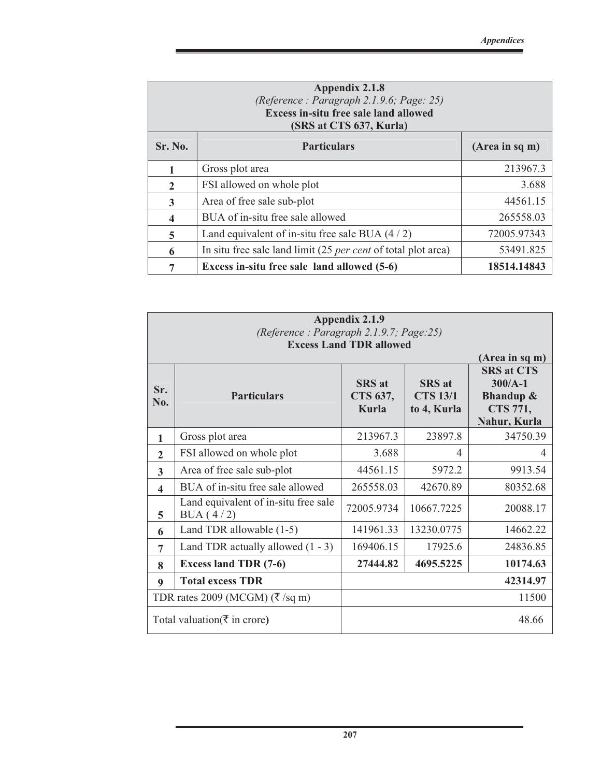|                | Appendix 2.1.8<br>(Reference: Paragraph 2.1.9.6; Page: 25)<br><b>Excess in-situ free sale land allowed</b><br>(SRS at CTS 637, Kurla) |                |  |  |  |  |
|----------------|---------------------------------------------------------------------------------------------------------------------------------------|----------------|--|--|--|--|
| <b>Sr. No.</b> | <b>Particulars</b>                                                                                                                    | (Area in sq m) |  |  |  |  |
| 1              | Gross plot area                                                                                                                       | 213967.3       |  |  |  |  |
| $\overline{2}$ | FSI allowed on whole plot                                                                                                             | 3.688          |  |  |  |  |
| 3              | Area of free sale sub-plot                                                                                                            | 44561.15       |  |  |  |  |
| 4              | BUA of in-situ free sale allowed                                                                                                      | 265558.03      |  |  |  |  |
| 5              | Land equivalent of in-situ free sale BUA $(4/2)$                                                                                      | 72005.97343    |  |  |  |  |
| 6              | In situ free sale land limit (25 <i>per cent</i> of total plot area)                                                                  | 53491.825      |  |  |  |  |
| 7              | Excess in-situ free sale land allowed (5-6)                                                                                           | 18514.14843    |  |  |  |  |

|                      | <b>Appendix 2.1.9</b><br>(Reference: Paragraph 2.1.9.7; Page:25) |                                    |                                                 |                                                                                    |  |  |  |
|----------------------|------------------------------------------------------------------|------------------------------------|-------------------------------------------------|------------------------------------------------------------------------------------|--|--|--|
|                      |                                                                  | <b>Excess Land TDR allowed</b>     |                                                 | (Area in sq m)                                                                     |  |  |  |
| Sr.<br>No.           | <b>Particulars</b>                                               | <b>SRS</b> at<br>CTS 637,<br>Kurla | <b>SRS</b> at<br><b>CTS 13/1</b><br>to 4, Kurla | <b>SRS at CTS</b><br>$300/A-1$<br><b>Bhandup &amp;</b><br>CTS 771,<br>Nahur, Kurla |  |  |  |
| 1                    | Gross plot area                                                  | 213967.3                           | 23897.8                                         | 34750.39                                                                           |  |  |  |
| $\mathbf{2}$         | FSI allowed on whole plot                                        | 3.688                              | 4                                               | 4                                                                                  |  |  |  |
| 3                    | Area of free sale sub-plot                                       | 44561.15                           | 5972.2                                          | 9913.54                                                                            |  |  |  |
| $\blacktriangleleft$ | BUA of in-situ free sale allowed                                 | 265558.03                          | 42670.89                                        | 80352.68                                                                           |  |  |  |
| 5                    | Land equivalent of in-situ free sale<br>BUA $(4/2)$              | 72005.9734                         | 10667.7225                                      | 20088.17                                                                           |  |  |  |
| 6                    | Land TDR allowable (1-5)                                         | 141961.33                          | 13230.0775                                      | 14662.22                                                                           |  |  |  |
| 7                    | Land TDR actually allowed $(1 - 3)$                              | 169406.15                          | 17925.6                                         | 24836.85                                                                           |  |  |  |
| 8                    | <b>Excess land TDR (7-6)</b>                                     | 27444.82                           | 4695.5225                                       | 10174.63                                                                           |  |  |  |
| 9                    | <b>Total excess TDR</b>                                          |                                    |                                                 | 42314.97                                                                           |  |  |  |
|                      | TDR rates 2009 (MCGM) ( $\overline{\xi}$ /sq m)                  |                                    |                                                 | 11500                                                                              |  |  |  |
|                      | Total valuation $(\bar{\tau})$ in crore)                         |                                    |                                                 | 48.66                                                                              |  |  |  |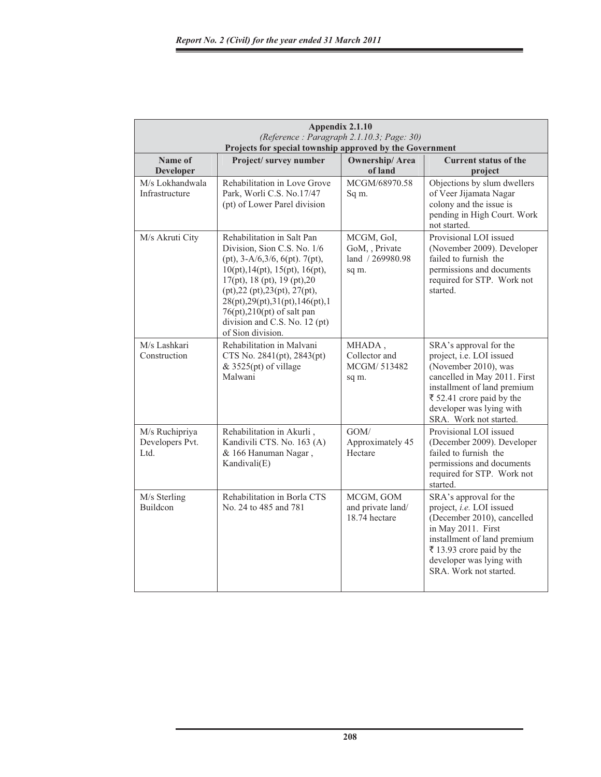|                                           | Appendix 2.1.10<br>(Reference: Paragraph 2.1.10.3; Page: 30)<br>Projects for special township approved by the Government                                                                                                                                                                                                    |                                                         |                                                                                                                                                                                                                                 |  |  |  |  |
|-------------------------------------------|-----------------------------------------------------------------------------------------------------------------------------------------------------------------------------------------------------------------------------------------------------------------------------------------------------------------------------|---------------------------------------------------------|---------------------------------------------------------------------------------------------------------------------------------------------------------------------------------------------------------------------------------|--|--|--|--|
| Name of<br><b>Developer</b>               | Project/survey number                                                                                                                                                                                                                                                                                                       | <b>Ownership/Area</b><br>of land                        | <b>Current status of the</b><br>project                                                                                                                                                                                         |  |  |  |  |
| M/s Lokhandwala<br>Infrastructure         | Rehabilitation in Love Grove<br>Park, Worli C.S. No.17/47<br>(pt) of Lower Parel division                                                                                                                                                                                                                                   | MCGM/68970.58<br>Sq m.                                  | Objections by slum dwellers<br>of Veer Jijamata Nagar<br>colony and the issue is<br>pending in High Court. Work<br>not started.                                                                                                 |  |  |  |  |
| M/s Akruti City                           | Rehabilitation in Salt Pan<br>Division, Sion C.S. No. 1/6<br>$(pt), 3-A/6, 3/6, 6(pt). 7(pt),$<br>10(pt), 14(pt), 15(pt), 16(pt),<br>17(pt), 18 (pt), 19 (pt), 20<br>(pt),22 (pt),23(pt), 27(pt),<br>28(pt), 29(pt), 31(pt), 146(pt), 1<br>76(pt),210(pt) of salt pan<br>division and C.S. No. 12 (pt)<br>of Sion division. | MCGM, GoI,<br>GoM, Private<br>land / 269980.98<br>sq m. | Provisional LOI issued<br>(November 2009). Developer<br>failed to furnish the<br>permissions and documents<br>required for STP. Work not<br>started.                                                                            |  |  |  |  |
| M/s Lashkari<br>Construction              | Rehabilitation in Malvani<br>CTS No. 2841(pt), 2843(pt)<br>$& 3525(pt)$ of village<br>Malwani                                                                                                                                                                                                                               | MHADA,<br>Collector and<br>MCGM/513482<br>sq m.         | SRA's approval for the<br>project, i.e. LOI issued<br>(November 2010), was<br>cancelled in May 2011. First<br>installment of land premium<br>₹ 52.41 crore paid by the<br>developer was lying with<br>SRA. Work not started.    |  |  |  |  |
| M/s Ruchipriya<br>Developers Pvt.<br>Ltd. | Rehabilitation in Akurli,<br>Kandivili CTS. No. 163 (A)<br>& 166 Hanuman Nagar,<br>Kandivali(E)                                                                                                                                                                                                                             | GOM/<br>Approximately 45<br>Hectare                     | Provisional LOI issued<br>(December 2009). Developer<br>failed to furnish the<br>permissions and documents<br>required for STP. Work not<br>started.                                                                            |  |  |  |  |
| M/s Sterling<br><b>Buildcon</b>           | Rehabilitation in Borla CTS<br>No. 24 to 485 and 781                                                                                                                                                                                                                                                                        | MCGM, GOM<br>and private land/<br>18.74 hectare         | SRA's approval for the<br>project, <i>i.e.</i> LOI issued<br>(December 2010), cancelled<br>in May 2011. First<br>installment of land premium<br>₹ 13.93 crore paid by the<br>developer was lying with<br>SRA. Work not started. |  |  |  |  |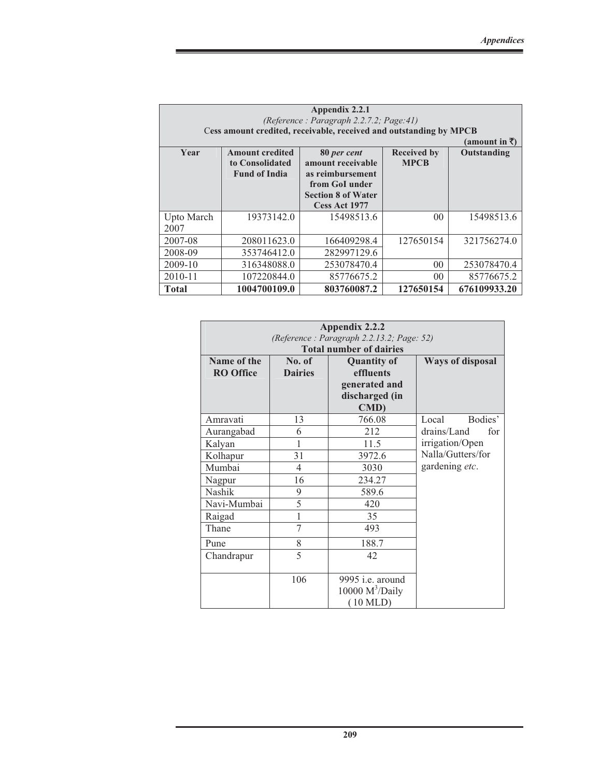| Appendix 2.2.1<br>(Reference: Paragraph 2.2.7.2; Page: 41)<br>Cess amount credited, receivable, received and outstanding by MPCB<br>${\rm (amount in}$ ₹) |                                                                   |                                                                                                                      |                                   |              |  |
|-----------------------------------------------------------------------------------------------------------------------------------------------------------|-------------------------------------------------------------------|----------------------------------------------------------------------------------------------------------------------|-----------------------------------|--------------|--|
| Year                                                                                                                                                      | <b>Amount credited</b><br>to Consolidated<br><b>Fund of India</b> | 80 per cent<br>amount receivable<br>as reimbursement<br>from GoI under<br><b>Section 8 of Water</b><br>Cess Act 1977 | <b>Received by</b><br><b>MPCB</b> | Outstanding  |  |
| Upto March<br>2007                                                                                                                                        | 19373142.0                                                        | 15498513.6                                                                                                           | 0 <sup>0</sup>                    | 15498513.6   |  |
| 2007-08                                                                                                                                                   | 208011623.0                                                       | 166409298.4                                                                                                          | 127650154                         | 321756274.0  |  |
| 2008-09                                                                                                                                                   | 353746412.0                                                       | 282997129.6                                                                                                          |                                   |              |  |
| 2009-10                                                                                                                                                   | 316348088.0                                                       | 253078470.4                                                                                                          | 0 <sup>0</sup>                    | 253078470.4  |  |
| $2010 - 11$                                                                                                                                               | 107220844.0                                                       | 85776675.2                                                                                                           | 00 <sup>0</sup>                   | 85776675.2   |  |
| <b>Total</b>                                                                                                                                              | 1004700109.0                                                      | 803760087.2                                                                                                          | 127650154                         | 676109933.20 |  |

| Appendix 2.2.2<br>(Reference: Paragraph 2.2.13.2; Page: 52) |                          |                                                                                    |                         |  |  |  |
|-------------------------------------------------------------|--------------------------|------------------------------------------------------------------------------------|-------------------------|--|--|--|
|                                                             |                          | <b>Total number of dairies</b>                                                     |                         |  |  |  |
| Name of the<br><b>RO</b> Office                             | No. of<br><b>Dairies</b> | <b>Quantity of</b><br>effluents<br>generated and<br>discharged (in<br><b>CMD</b> ) | <b>Ways of disposal</b> |  |  |  |
| Amravati                                                    | 13                       | 766.08                                                                             | Bodies'<br>Local        |  |  |  |
| Aurangabad                                                  | 6                        | 212                                                                                | drains/Land<br>for      |  |  |  |
| Kalyan                                                      | 1                        | 11.5                                                                               | irrigation/Open         |  |  |  |
| Kolhapur                                                    | 31                       | 3972.6                                                                             | Nalla/Gutters/for       |  |  |  |
| Mumbai                                                      | 4                        | 3030                                                                               | gardening etc.          |  |  |  |
| Nagpur                                                      | 16                       | 234.27                                                                             |                         |  |  |  |
| Nashik                                                      | 9                        | 589.6                                                                              |                         |  |  |  |
| Navi-Mumbai                                                 | 5                        | 420                                                                                |                         |  |  |  |
| Raigad                                                      | 1                        | 35                                                                                 |                         |  |  |  |
| Thane                                                       | $\overline{7}$           | 493                                                                                |                         |  |  |  |
| Pune                                                        | 8                        | 188.7                                                                              |                         |  |  |  |
| Chandrapur                                                  | 5                        | 42                                                                                 |                         |  |  |  |
|                                                             | 106                      | 9995 i.e. around<br>10000 $M^3/Daily$<br>$(10 \text{ MLD})$                        |                         |  |  |  |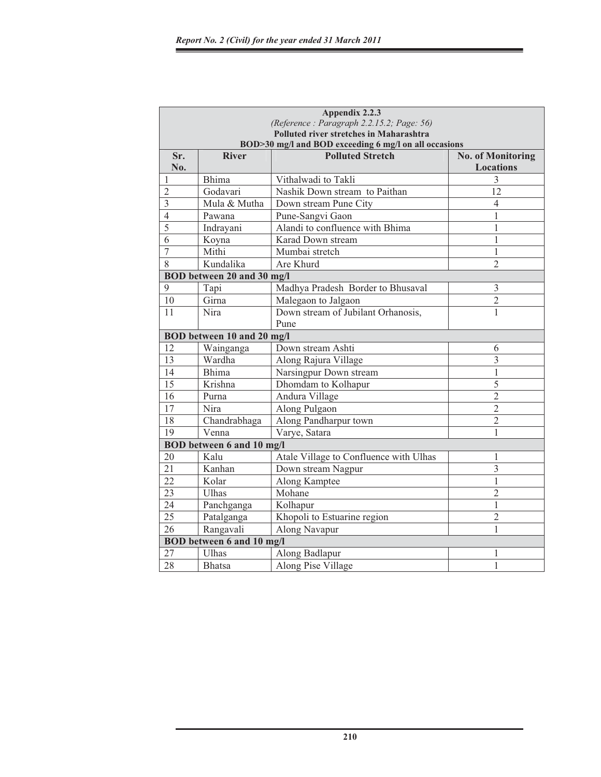|                |                                                       | Appendix 2.2.3                            |                                              |  |  |  |  |
|----------------|-------------------------------------------------------|-------------------------------------------|----------------------------------------------|--|--|--|--|
|                |                                                       | (Reference: Paragraph 2.2.15.2; Page: 56) |                                              |  |  |  |  |
|                | Polluted river stretches in Maharashtra               |                                           |                                              |  |  |  |  |
|                | BOD>30 mg/l and BOD exceeding 6 mg/l on all occasions |                                           |                                              |  |  |  |  |
| Sr.<br>No.     | <b>River</b>                                          | <b>Polluted Stretch</b>                   | <b>No. of Monitoring</b><br><b>Locations</b> |  |  |  |  |
| $\mathbf{1}$   | <b>Bhima</b>                                          | Vithalwadi to Takli                       | 3                                            |  |  |  |  |
| $\overline{2}$ | Godavari                                              | Nashik Down stream to Paithan             | 12                                           |  |  |  |  |
| $\overline{3}$ | Mula & Mutha                                          | Down stream Pune City                     | $\overline{4}$                               |  |  |  |  |
| $\overline{4}$ | Pawana                                                | Pune-Sangvi Gaon                          | 1                                            |  |  |  |  |
| 5              | Indrayani                                             | Alandi to confluence with Bhima           | 1                                            |  |  |  |  |
| 6              | Koyna                                                 | Karad Down stream                         | 1                                            |  |  |  |  |
| $\overline{7}$ | Mithi                                                 | Mumbai stretch                            | $\mathbf{1}$                                 |  |  |  |  |
| 8              | Kundalika                                             | Are Khurd                                 | $\overline{2}$                               |  |  |  |  |
|                | BOD between 20 and 30 mg/l                            |                                           |                                              |  |  |  |  |
| 9              | Tapi                                                  | Madhya Pradesh Border to Bhusaval         | 3                                            |  |  |  |  |
| 10             | Girna                                                 | Malegaon to Jalgaon                       | $\overline{2}$                               |  |  |  |  |
| 11             | Nira                                                  | Down stream of Jubilant Orhanosis,        | 1                                            |  |  |  |  |
|                |                                                       | Pune                                      |                                              |  |  |  |  |
|                | BOD between 10 and 20 mg/l                            |                                           |                                              |  |  |  |  |
| 12             | Wainganga                                             | Down stream Ashti                         | 6                                            |  |  |  |  |
| 13             | Wardha                                                | Along Rajura Village                      | 3                                            |  |  |  |  |
| 14             | <b>Bhima</b>                                          | Narsingpur Down stream                    | 1                                            |  |  |  |  |
| 15             | Krishna                                               | Dhomdam to Kolhapur                       | 5                                            |  |  |  |  |
| 16             | Purna                                                 | Andura Village                            | $\overline{2}$                               |  |  |  |  |
| 17             | Nira                                                  | Along Pulgaon                             | $\overline{2}$                               |  |  |  |  |
| 18             | Chandrabhaga                                          | Along Pandharpur town                     | $\overline{2}$                               |  |  |  |  |
| 19             | Venna                                                 | Varye, Satara                             | 1                                            |  |  |  |  |
|                | <b>BOD</b> between 6 and 10 mg/l                      |                                           |                                              |  |  |  |  |
| 20             | Kalu                                                  | Atale Village to Confluence with Ulhas    | 1                                            |  |  |  |  |
| 21             | Kanhan                                                | Down stream Nagpur                        | 3                                            |  |  |  |  |
| 22             | Kolar                                                 | Along Kamptee                             | 1                                            |  |  |  |  |
| 23             | Ulhas                                                 | Mohane                                    | $\overline{2}$                               |  |  |  |  |
| 24             | Panchganga                                            | Kolhapur                                  | 1                                            |  |  |  |  |
| 25             | Patalganga                                            | Khopoli to Estuarine region               | $\overline{2}$                               |  |  |  |  |
| 26             | Rangavali                                             | Along Navapur                             | 1                                            |  |  |  |  |
|                | <b>BOD</b> between 6 and 10 mg/l                      |                                           |                                              |  |  |  |  |
| 27             | Ulhas                                                 | Along Badlapur                            | 1                                            |  |  |  |  |
| 28             | Bhatsa                                                | Along Pise Village                        | $\mathbf{1}$                                 |  |  |  |  |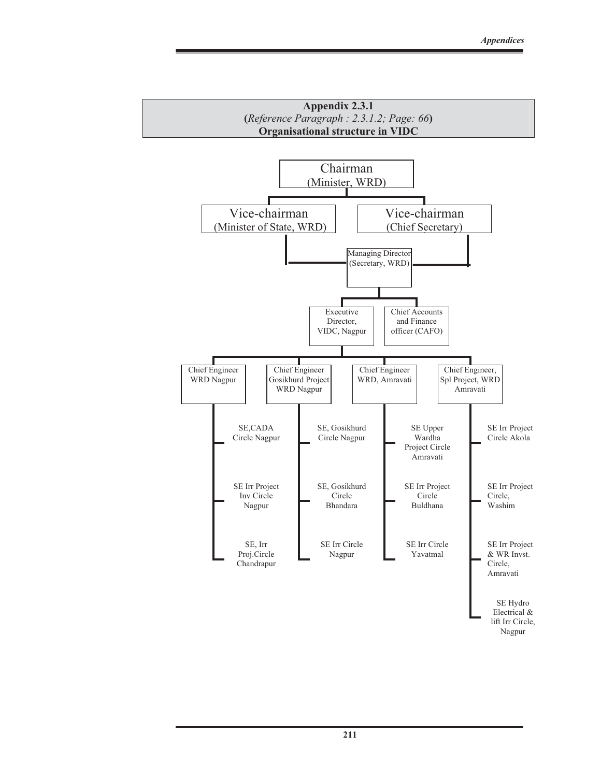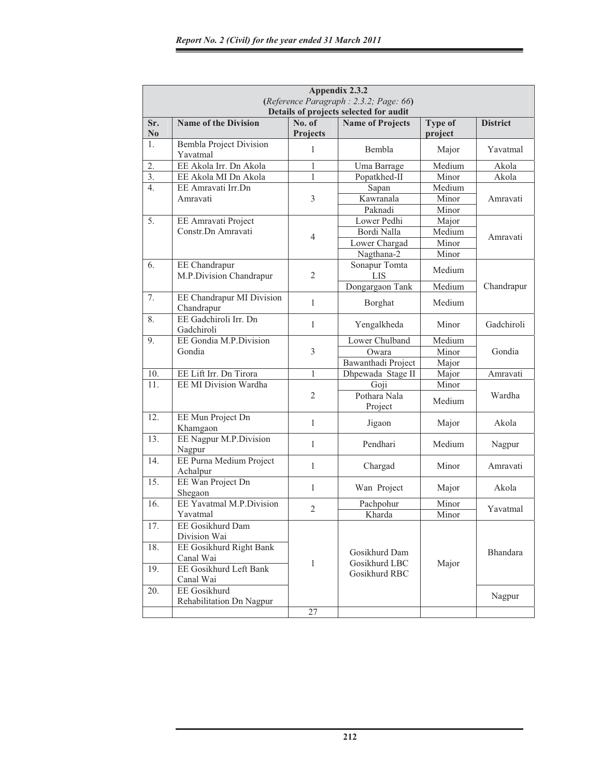|                       | Appendix 2.3.2<br>(Reference Paragraph: 2.3.2; Page: 66)<br>Details of projects selected for audit              |                           |                                                 |                           |                 |  |
|-----------------------|-----------------------------------------------------------------------------------------------------------------|---------------------------|-------------------------------------------------|---------------------------|-----------------|--|
| Sr.<br>N <sub>0</sub> | <b>Name of the Division</b>                                                                                     | No. of<br><b>Projects</b> | <b>Name of Projects</b>                         | <b>Type of</b><br>project | <b>District</b> |  |
| 1.                    | <b>Bembla Project Division</b><br>Yavatmal                                                                      | 1                         | Bembla                                          | Major                     | Yavatmal        |  |
| 2.                    | EE Akola Irr. Dn Akola                                                                                          | 1                         | Uma Barrage                                     | Medium                    | Akola           |  |
| $\overline{3}$ .      | EE Akola MI Dn Akola                                                                                            | $\mathbf{1}$              | Popatkhed-II                                    | Minor                     | Akola           |  |
| $\overline{4}$ .      | EE Amravati Irr.Dn                                                                                              |                           | Sapan                                           | Medium                    |                 |  |
|                       | Amravati                                                                                                        | $\mathfrak{Z}$            | Kawranala                                       | Minor                     | Amravati        |  |
|                       |                                                                                                                 |                           | Paknadi                                         | Minor                     |                 |  |
| 5.                    | EE Amravati Project                                                                                             |                           | Lower Pedhi                                     | Major                     |                 |  |
|                       | Constr.Dn Amravati                                                                                              |                           | Bordi Nalla                                     | Medium                    |                 |  |
|                       |                                                                                                                 | 4                         | Lower Chargad                                   | Minor                     | Amravati        |  |
|                       |                                                                                                                 |                           | Nagthana-2                                      | Minor                     |                 |  |
| 6.                    | EE Chandrapur<br>M.P.Division Chandrapur                                                                        | $\overline{2}$            | Sonapur Tomta<br><b>LIS</b>                     | Medium                    |                 |  |
|                       |                                                                                                                 |                           | Dongargaon Tank                                 | Medium                    | Chandrapur      |  |
| 7.                    | EE Chandrapur MI Division<br>Chandrapur                                                                         | $\mathbf{1}$              | Borghat                                         | Medium                    |                 |  |
| 8.                    | EE Gadchiroli Irr. Dn<br>Gadchiroli                                                                             | 1                         | Yengalkheda                                     | Minor                     | Gadchiroli      |  |
| 9.                    | EE Gondia M.P.Division                                                                                          |                           | Lower Chulband                                  | Medium                    |                 |  |
|                       | Gondia                                                                                                          | $\mathfrak{Z}$            | Owara                                           | Minor                     | Gondia          |  |
|                       |                                                                                                                 |                           | Bawanthadi Project                              | Major                     |                 |  |
| 10.                   | EE Lift Irr. Dn Tirora                                                                                          | 1                         | Dhpewada Stage II                               | Major                     | Amravati        |  |
| 11.                   | EE MI Division Wardha                                                                                           |                           | Goji                                            | Minor                     |                 |  |
|                       |                                                                                                                 | $\overline{2}$            | Pothara Nala<br>Project                         | Medium                    | Wardha          |  |
| 12.                   | EE Mun Project Dn<br>Khamgaon                                                                                   | 1                         | Jigaon                                          | Major                     | Akola           |  |
| 13.                   | EE Nagpur M.P.Division<br>Nagpur                                                                                | 1                         | Pendhari                                        | Medium                    | Nagpur          |  |
| 14.                   | EE Purna Medium Project<br>Achalpur                                                                             | 1                         | Chargad                                         | Minor                     | Amravati        |  |
| 15.                   | EE Wan Project Dn<br>Shegaon                                                                                    | 1                         | Wan Project                                     | Major                     | Akola           |  |
| 16.                   | EE Yavatmal M.P.Division<br>Yavatmal                                                                            | $\overline{2}$            | Pachpohur<br>Kharda                             | Minor<br>Minor            | Yavatmal        |  |
| 17.<br>18.<br>19.     | EE Gosikhurd Dam<br>Division Wai<br>EE Gosikhurd Right Bank<br>Canal Wai<br>EE Gosikhurd Left Bank<br>Canal Wai | 1                         | Gosikhurd Dam<br>Gosikhurd LBC<br>Gosikhurd RBC | Major                     | <b>Bhandara</b> |  |
| 20.                   | EE Gosikhurd<br>Rehabilitation Dn Nagpur                                                                        |                           |                                                 |                           | Nagpur          |  |
|                       |                                                                                                                 | 27                        |                                                 |                           |                 |  |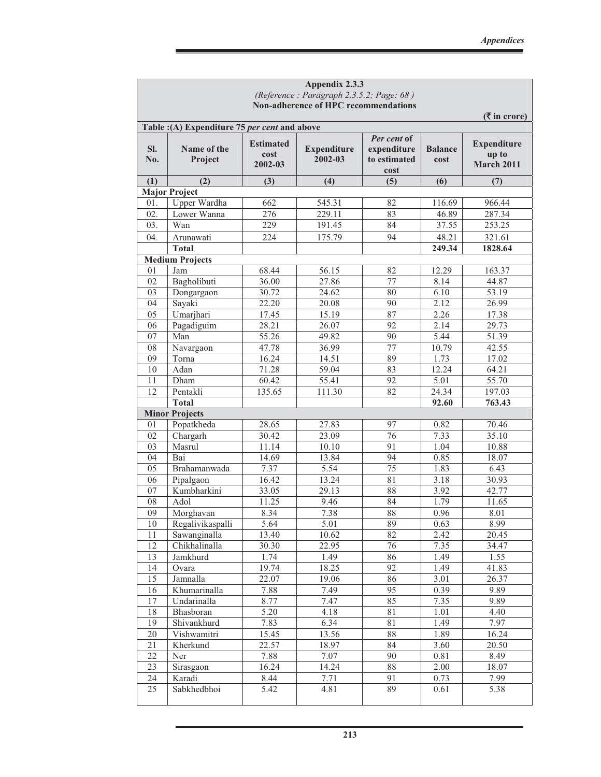|            |                                                                        |                                     | Appendix 2.3.3                           |                                                    |                        |                                                  |
|------------|------------------------------------------------------------------------|-------------------------------------|------------------------------------------|----------------------------------------------------|------------------------|--------------------------------------------------|
|            |                                                                        |                                     | (Reference: Paragraph 2.3.5.2; Page: 68) |                                                    |                        |                                                  |
|            |                                                                        |                                     | Non-adherence of HPC recommendations     |                                                    |                        |                                                  |
|            |                                                                        |                                     |                                          |                                                    |                        | $($ ₹ in crore)                                  |
| SI.<br>No. | Table :(A) Expenditure 75 per cent and above<br>Name of the<br>Project | <b>Estimated</b><br>cost<br>2002-03 | <b>Expenditure</b><br>2002-03            | Per cent of<br>expenditure<br>to estimated<br>cost | <b>Balance</b><br>cost | <b>Expenditure</b><br>up to<br><b>March 2011</b> |
| (1)        | (2)                                                                    | (3)                                 | (4)                                      | (5)                                                | (6)                    | (7)                                              |
|            | <b>Major Project</b>                                                   |                                     |                                          |                                                    |                        |                                                  |
| 01.        | <b>Upper Wardha</b>                                                    | 662                                 | 545.31                                   | 82                                                 | 116.69                 | 966.44                                           |
| 02.        | Lower Wanna                                                            | 276                                 | 229.11                                   | 83                                                 | 46.89                  | 287.34                                           |
| 03.        | Wan                                                                    | 229                                 | 191.45                                   | 84                                                 | 37.55                  | 253.25                                           |
| 04.        | Arunawati                                                              | 224                                 | 175.79                                   | 94                                                 | 48.21                  | 321.61                                           |
|            | <b>Total</b>                                                           |                                     |                                          |                                                    | 249.34                 | 1828.64                                          |
|            | <b>Medium Projects</b>                                                 |                                     |                                          |                                                    |                        |                                                  |
| 01         | Jam                                                                    | 68.44                               | 56.15                                    | 82                                                 | 12.29                  | 163.37                                           |
| 02         | Bagholibuti                                                            | 36.00                               | 27.86                                    | 77                                                 | 8.14                   | 44.87                                            |
| 03         | Dongargaon                                                             | 30.72                               | 24.62                                    | 80                                                 | 6.10                   | 53.19                                            |
| 04         | Sayaki                                                                 | 22.20                               | 20.08                                    | 90                                                 | 2.12                   | 26.99                                            |
| 05         | Umarjhari                                                              | 17.45                               | 15.19                                    | 87                                                 | 2.26                   | 17.38                                            |
| 06         | Pagadiguim                                                             | 28.21                               | 26.07                                    | 92                                                 | 2.14                   | 29.73                                            |
| 07         | Man                                                                    | 55.26                               | 49.82                                    | 90                                                 | 5.44                   | 51.39                                            |
| 08         | Navargaon                                                              | 47.78                               | 36.99                                    | 77                                                 | 10.79                  | 42.55                                            |
| 09         | Torna                                                                  | 16.24                               | 14.51                                    | 89                                                 | 1.73                   | 17.02                                            |
| 10         | Adan                                                                   | 71.28                               | 59.04                                    | 83                                                 | 12.24                  | 64.21                                            |
| 11         | Dham                                                                   | 60.42                               | 55.41                                    | 92                                                 | 5.01                   | 55.70                                            |
| 12         | Pentakli                                                               | 135.65                              | 111.30                                   | 82                                                 | 24.34                  | 197.03                                           |
|            | <b>Total</b>                                                           |                                     |                                          |                                                    | 92.60                  | 763.43                                           |
|            | <b>Minor Projects</b>                                                  |                                     |                                          |                                                    |                        |                                                  |
| 01         | Popatkheda                                                             | 28.65                               | 27.83                                    | 97                                                 | 0.82                   | 70.46                                            |
| 02         | Chargarh                                                               | 30.42                               | 23.09                                    | 76                                                 | 7.33                   | 35.10                                            |
| 03         | Masrul                                                                 | 11.14                               | 10.10                                    | 91                                                 | 1.04                   | 10.88                                            |
| 04         | Bai                                                                    | 14.69                               | 13.84                                    | 94                                                 | 0.85                   | 18.07                                            |
| 05         | Brahamanwada                                                           | 7.37                                | 5.54                                     | 75                                                 | 1.83                   | 6.43                                             |
| 06         | Pipalgaon                                                              | 16.42                               | 13.24                                    | 81                                                 | 3.18                   | 30.93                                            |
| 07         | Kumbharkini                                                            | 33.05                               | 29.13                                    | 88                                                 | 3.92                   | 42.77                                            |
| 08         | Adol                                                                   | 11.25                               | 9.46                                     | 84                                                 | 1.79                   | 11.65                                            |
| 09         | Morghavan                                                              | 8.34                                | 7.38                                     | 88                                                 | 0.96                   | 8.01                                             |
| 10         | Regalivikaspalli                                                       | 5.64                                | 5.01                                     | 89                                                 | 0.63                   | 8.99                                             |
| 11         | Sawanginalla                                                           | 13.40                               | 10.62                                    | 82                                                 | 2.42                   | 20.45                                            |
| 12         | Chikhalinalla                                                          | 30.30                               | 22.95                                    | 76                                                 | 7.35                   | 34.47                                            |
| 13         | Jamkhurd                                                               | 1.74                                | 1.49                                     | 86                                                 | 1.49                   | 1.55                                             |
| 14         | Ovara                                                                  | 19.74                               | 18.25                                    | 92                                                 | 1.49                   | 41.83                                            |
| 15         | Jamnalla                                                               | 22.07                               | 19.06                                    | 86                                                 | 3.01                   | 26.37                                            |
| 16         | Khumarinalla                                                           | 7.88                                | 7.49                                     | 95                                                 | 0.39                   | 9.89                                             |
| 17         | Undarinalla                                                            | 8.77                                | 7.47                                     | 85                                                 | 7.35                   | 9.89                                             |
| 18         | Bhasboran                                                              | 5.20                                | 4.18                                     | 81                                                 | 1.01                   | 4.40                                             |
| 19         | Shivankhurd                                                            | 7.83                                | 6.34                                     | 81                                                 | 1.49                   | 7.97                                             |
| $20\,$     | Vishwamitri                                                            | 15.45                               | 13.56                                    | 88                                                 | 1.89                   | 16.24                                            |
| 21         | Kherkund                                                               | 22.57                               | 18.97                                    | 84                                                 | 3.60                   | 20.50                                            |
| 22         | Ner                                                                    | 7.88                                | 7.07                                     | 90                                                 | 0.81                   | 8.49                                             |
| 23         | Sirasgaon                                                              | 16.24                               | 14.24                                    | 88                                                 | 2.00                   | 18.07                                            |
| 24         | Karadi                                                                 | 8.44                                | 7.71                                     | 91                                                 | 0.73                   | 7.99                                             |
| 25         | Sabkhedbhoi                                                            | 5.42                                | 4.81                                     | 89                                                 | 0.61                   | 5.38                                             |
|            |                                                                        |                                     |                                          |                                                    |                        |                                                  |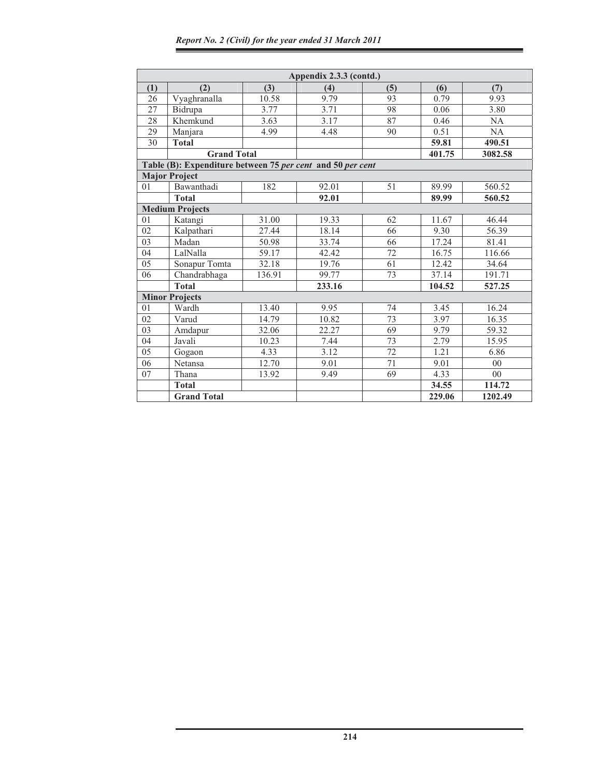|     |                                                            |        | Appendix 2.3.3 (contd.) |     |        |         |
|-----|------------------------------------------------------------|--------|-------------------------|-----|--------|---------|
| (1) | (2)                                                        | (3)    | (4)                     | (5) | (6)    | (7)     |
| 26  | Vyaghranalla                                               | 10.58  | 9.79                    | 93  | 0.79   | 9.93    |
| 27  | Bidrupa                                                    | 3.77   | 3.71                    | 98  | 0.06   | 3.80    |
| 28  | Khemkund                                                   | 3.63   | 3.17                    | 87  | 0.46   | NA      |
| 29  | Manjara                                                    | 4.99   | 4.48                    | 90  | 0.51   | NA      |
| 30  | <b>Total</b>                                               |        |                         |     | 59.81  | 490.51  |
|     | <b>Grand Total</b>                                         |        |                         |     | 401.75 | 3082.58 |
|     | Table (B): Expenditure between 75 per cent and 50 per cent |        |                         |     |        |         |
|     | <b>Major Project</b>                                       |        |                         |     |        |         |
| 01  | Bawanthadi                                                 | 182    | 92.01                   | 51  | 89.99  | 560.52  |
|     | <b>Total</b>                                               |        | 92.01                   |     | 89.99  | 560.52  |
|     | <b>Medium Projects</b>                                     |        |                         |     |        |         |
| 01  | Katangi                                                    | 31.00  | 19.33                   | 62  | 11.67  | 46.44   |
| 02  | Kalpathari                                                 | 27.44  | 18.14                   | 66  | 9.30   | 56.39   |
| 03  | Madan                                                      | 50.98  | 33.74                   | 66  | 17.24  | 81.41   |
| 04  | LalNalla                                                   | 59.17  | 42.42                   | 72  | 16.75  | 116.66  |
| 05  | Sonapur Tomta                                              | 32.18  | 19.76                   | 61  | 12.42  | 34.64   |
| 06  | Chandrabhaga                                               | 136.91 | 99.77                   | 73  | 37.14  | 191.71  |
|     | <b>Total</b>                                               |        | 233.16                  |     | 104.52 | 527.25  |
|     | <b>Minor Projects</b>                                      |        |                         |     |        |         |
| 01  | Wardh                                                      | 13.40  | 9.95                    | 74  | 3.45   | 16.24   |
| 02  | Varud                                                      | 14.79  | 10.82                   | 73  | 3.97   | 16.35   |
| 03  | Amdapur                                                    | 32.06  | 22.27                   | 69  | 9.79   | 59.32   |
| 04  | Javali                                                     | 10.23  | 7.44                    | 73  | 2.79   | 15.95   |
| 05  | Gogaon                                                     | 4.33   | 3.12                    | 72  | 1.21   | 6.86    |
| 06  | Netansa                                                    | 12.70  | 9.01                    | 71  | 9.01   | $00\,$  |
| 07  | Thana                                                      | 13.92  | 9.49                    | 69  | 4.33   | $00\,$  |
|     | <b>Total</b>                                               |        |                         |     | 34.55  | 114.72  |
|     | <b>Grand Total</b>                                         |        |                         |     | 229.06 | 1202.49 |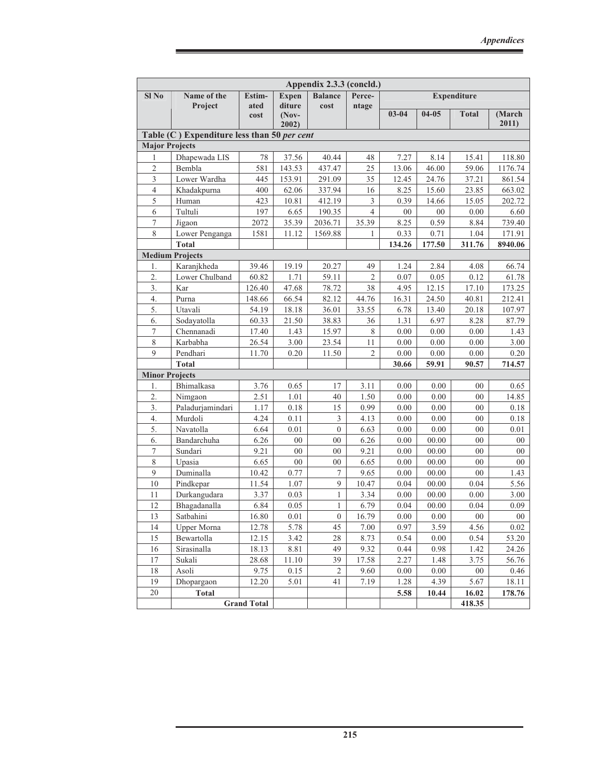| Appendix 2.3.3 (concld.) |                                             |                    |                  |                       |                |              |              |                    |                |
|--------------------------|---------------------------------------------|--------------------|------------------|-----------------------|----------------|--------------|--------------|--------------------|----------------|
| Sl No                    | Name of the                                 | Estim-             | <b>Expen</b>     | <b>Balance</b>        | Perce-         |              |              | <b>Expenditure</b> |                |
|                          | Project                                     | ated               | diture           | cost                  | ntage          | $03 - 04$    | $04 - 05$    | <b>Total</b>       | (March         |
|                          |                                             | cost               | $(Nov-$<br>2002) |                       |                |              |              |                    | 2011)          |
|                          | Table (C) Expenditure less than 50 per cent |                    |                  |                       |                |              |              |                    |                |
| <b>Major Projects</b>    |                                             |                    |                  |                       |                |              |              |                    |                |
| 1                        | Dhapewada LIS                               | 78                 | 37.56            | 40.44                 | 48             | 7.27         | 8.14         | 15.41              | 118.80         |
| $\overline{c}$           | Bembla                                      | 581                | 143.53           | 437.47                | 25             | 13.06        | 46.00        | 59.06              | 1176.74        |
| 3                        | Lower Wardha                                | 445                | 153.91           | 291.09                | 35             | 12.45        | 24.76        | 37.21              | 861.54         |
| $\overline{4}$           | Khadakpurna                                 | 400                | 62.06            | 337.94                | 16             | 8.25         | 15.60        | 23.85              | 663.02         |
| 5                        | Human                                       | 423                | 10.81            | 412.19                | 3              | 0.39         | 14.66        | 15.05              | 202.72         |
| 6                        | Tultuli                                     | 197                | 6.65             | 190.35                | $\overline{4}$ | 00           | $00\,$       | 0.00               | 6.60           |
| $\tau$                   | Jigaon                                      | 2072               | 35.39            | 2036.71               | 35.39          | 8.25         | 0.59         | 8.84               | 739.40         |
| 8                        | Lower Penganga                              | 1581               | 11.12            | 1569.88               | 1              | 0.33         | 0.71         | 1.04               | 171.91         |
|                          | <b>Total</b>                                |                    |                  |                       |                | 134.26       | 177.50       | 311.76             | 8940.06        |
|                          | <b>Medium Projects</b>                      |                    |                  |                       |                |              |              |                    |                |
| 1.                       | Karanjkheda                                 | 39.46              | 19.19            | 20.27                 | 49             | 1.24         | 2.84         | 4.08               | 66.74          |
| 2.                       | Lower Chulband                              | 60.82              | 1.71             | 59.11                 | $\overline{2}$ | 0.07         | 0.05         | 0.12               | 61.78          |
| 3.                       | Kar                                         | 126.40             | 47.68            | 78.72                 | 38             | 4.95         | 12.15        | 17.10              | 173.25         |
| 4.                       | Purna                                       | 148.66             | 66.54            | 82.12                 | 44.76          | 16.31        | 24.50        | 40.81              | 212.41         |
| 5.                       | Utavali                                     | 54.19              | 18.18            | 36.01                 | 33.55          | 6.78         | 13.40        | 20.18              | 107.97         |
| 6.                       | Sodayatolla                                 | 60.33              | 21.50            | 38.83                 | 36             | 1.31         | 6.97         | 8.28               | 87.79          |
| $\tau$                   | Chennanadi                                  | 17.40              | 1.43             | 15.97                 | 8              | 0.00         | 0.00         | $0.00\,$           | 1.43           |
| 8                        | Karbabha                                    | 26.54              | 3.00             | 23.54                 | 11             | 0.00         | 0.00         | 0.00               | 3.00           |
| 9                        | Pendhari                                    | 11.70              | 0.20             | 11.50                 | $\overline{2}$ | 0.00         | 0.00         | 0.00               | 0.20           |
|                          | <b>Total</b>                                |                    |                  |                       |                | 30.66        | 59.91        | 90.57              | 714.57         |
| <b>Minor Projects</b>    |                                             |                    |                  |                       |                |              |              |                    |                |
| 1.                       | Bhimalkasa                                  | 3.76               | 0.65             | 17                    | 3.11           | 0.00         | 0.00         | 00                 | 0.65           |
| 2.                       | Nimgaon                                     | 2.51               | 1.01             | 40                    | 1.50           | 0.00         | 0.00         | 00                 | 14.85          |
| 3.                       | Paladurjamindari<br>Murdoli                 | 1.17<br>4.24       | 0.18             | 15                    | 0.99<br>4.13   | 0.00         | 0.00         | 00                 | 0.18           |
| 4.<br>5.                 | Navatolla                                   | 6.64               | 0.11<br>0.01     | 3<br>$\boldsymbol{0}$ | 6.63           | 0.00<br>0.00 | 0.00<br>0.00 | 00                 | 0.18           |
| 6.                       | Bandarchuha                                 | 6.26               | 00               | 00                    | 6.26           | 0.00         | 00.00        | 00<br>00           | 0.01<br>$00\,$ |
| $\tau$                   | Sundari                                     | 9.21               | 00               | 00                    | 9.21           | 0.00         | 00.00        | 00                 | $00\,$         |
| $\,$ 8 $\,$              | Upasia                                      | 6.65               | 00               | 00                    | 6.65           | 0.00         | 00.00        | 00                 | 00             |
| 9                        | Duminalla                                   | 10.42              | 0.77             | 7                     | 9.65           | 0.00         | 00.00        | 00                 | 1.43           |
| 10                       | Pindkepar                                   | 11.54              | 1.07             | 9                     | 10.47          | 0.04         | 00.00        | 0.04               | 5.56           |
| 11                       | Durkangudara                                | 3.37               | 0.03             | $\mathbf{1}$          | 3.34           | 0.00         | 00.00        | 0.00               | 3.00           |
| 12                       | Bhagadanalla                                | 6.84               | 0.05             | 1                     | 6.79           | 0.04         | 00.00        | 0.04               | 0.09           |
| 13                       | Satbahini                                   | 16.80              | $0.01\,$         | $\boldsymbol{0}$      | 16.79          | $0.00\,$     | $0.00\,$     | ${\bf 00}$         | ${\bf 00}$     |
| 14                       | Upper Morna                                 | 12.78              | 5.78             | 45                    | 7.00           | 0.97         | 3.59         | 4.56               | 0.02           |
| 15                       | Bewartolla                                  | 12.15              | 3.42             | 28                    | 8.73           | 0.54         | 0.00         | 0.54               | 53.20          |
| 16                       | Sirasinalla                                 | 18.13              | 8.81             | 49                    | 9.32           | 0.44         | 0.98         | 1.42               | 24.26          |
| 17                       | Sukali                                      | 28.68              | 11.10            | 39                    | 17.58          | 2.27         | 1.48         | 3.75               | 56.76          |
| 18                       | Asoli                                       | 9.75               | 0.15             | $\overline{c}$        | 9.60           | 0.00         | 0.00         | $00\,$             | 0.46           |
| 19                       | Dhopargaon                                  | 12.20              | 5.01             | 41                    | 7.19           | 1.28         | 4.39         | 5.67               | 18.11          |
| 20                       | <b>Total</b>                                |                    |                  |                       |                | 5.58         | 10.44        | 16.02              | 178.76         |
|                          |                                             | <b>Grand Total</b> |                  |                       |                |              |              | 418.35             |                |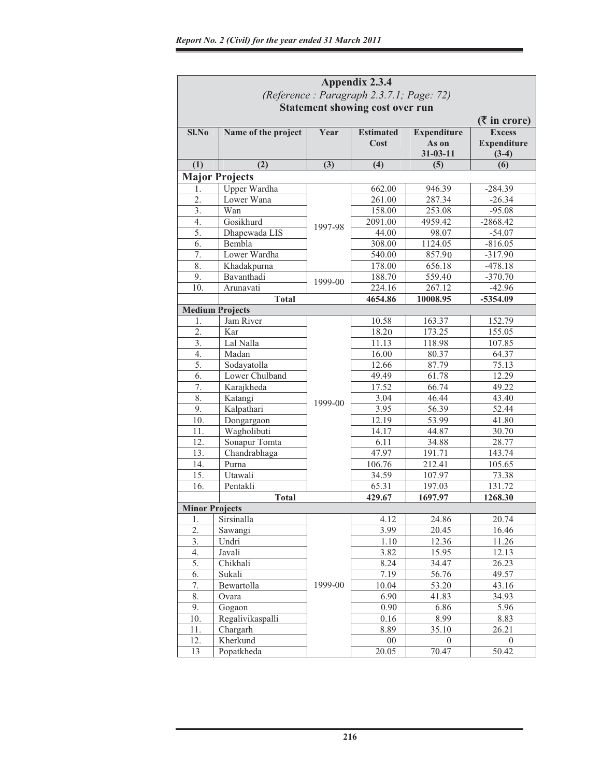|                       | Appendix 2.3.4                           |         |                  |                    |                    |  |  |  |
|-----------------------|------------------------------------------|---------|------------------|--------------------|--------------------|--|--|--|
|                       | (Reference: Paragraph 2.3.7.1; Page: 72) |         |                  |                    |                    |  |  |  |
|                       | <b>Statement showing cost over run</b>   |         |                  |                    |                    |  |  |  |
|                       |                                          |         |                  |                    | $($ ₹ in crore)    |  |  |  |
| $Sl$ . No             | Name of the project                      | Year    | <b>Estimated</b> | <b>Expenditure</b> | <b>Excess</b>      |  |  |  |
|                       |                                          |         | Cost             | As on              | <b>Expenditure</b> |  |  |  |
|                       |                                          |         |                  | $31 - 03 - 11$     | $(3-4)$            |  |  |  |
| (1)                   | (2)                                      | (3)     | (4)              | (5)                | (6)                |  |  |  |
|                       | <b>Major Projects</b>                    |         |                  |                    |                    |  |  |  |
| 1.                    | Upper Wardha                             |         | 662.00           | 946.39             | $-284.39$          |  |  |  |
| 2.                    | Lower Wana                               |         | 261.00           | 287.34             | $-26.34$           |  |  |  |
| 3.                    | Wan                                      |         | 158.00           | 253.08             | $-95.08$           |  |  |  |
| 4.                    | Gosikhurd                                |         | 2091.00          | 4959.42            | $-2868.42$         |  |  |  |
| 5.                    | Dhapewada LIS                            | 1997-98 | 44.00            | 98.07              | $-54.07$           |  |  |  |
| 6.                    | Bembla                                   |         | 308.00           | 1124.05            | $-816.05$          |  |  |  |
| 7.                    | Lower Wardha                             |         | 540.00           | 857.90             | $-317.90$          |  |  |  |
| 8.                    | Khadakpurna                              |         | 178.00           | 656.18             | $-478.18$          |  |  |  |
| 9.                    | Bavanthadi                               |         | 188.70           | 559.40             | $-370.70$          |  |  |  |
| 10.                   | Arunavati                                | 1999-00 | 224.16           | 267.12             | $-42.96$           |  |  |  |
|                       | Total                                    |         | 4654.86          | 10008.95           | -5354.09           |  |  |  |
|                       | <b>Medium Projects</b>                   |         |                  |                    |                    |  |  |  |
| 1.                    | Jam River                                |         | 10.58            | 163.37             | 152.79             |  |  |  |
| 2.                    | Kar                                      |         | 18.20            | 173.25             | 155.05             |  |  |  |
| 3.                    | Lal Nalla                                |         | 11.13            | 118.98             | 107.85             |  |  |  |
| 4.                    | Madan                                    |         | 16.00            | 80.37              | 64.37              |  |  |  |
| 5.                    | Sodayatolla                              |         | 12.66            | 87.79              | 75.13              |  |  |  |
| 6.                    | Lower Chulband                           |         | 49.49            | 61.78              | 12.29              |  |  |  |
| 7.                    | Karajkheda                               |         | 17.52            | 66.74              | 49.22              |  |  |  |
| 8.                    | Katangi                                  |         | 3.04             | 46.44              | 43.40              |  |  |  |
| 9.                    | Kalpathari                               | 1999-00 | 3.95             | 56.39              | 52.44              |  |  |  |
| 10.                   | Dongargaon                               |         | 12.19            | 53.99              | 41.80              |  |  |  |
| 11.                   | Wagholibuti                              |         | 14.17            | 44.87              | 30.70              |  |  |  |
| 12.                   | Sonapur Tomta                            |         | 6.11             | 34.88              | 28.77              |  |  |  |
| 13.                   | Chandrabhaga                             |         | 47.97            | 191.71             | 143.74             |  |  |  |
| 14.                   | Purna                                    |         | 106.76           | 212.41             | 105.65             |  |  |  |
| 15.                   | Utawali                                  |         | 34.59            | 107.97             | 73.38              |  |  |  |
| 16.                   | Pentakli                                 |         | 65.31            | 197.03             | 131.72             |  |  |  |
|                       | <b>Total</b>                             |         | 429.67           | 1697.97            | 1268.30            |  |  |  |
| <b>Minor Projects</b> |                                          |         |                  |                    |                    |  |  |  |
| 1.                    | Sirsinalla                               |         | 4.12             | 24.86              | 20.74              |  |  |  |
| 2.                    | Sawangi                                  |         | 3.99             | 20.45              | 16.46              |  |  |  |
| 3.                    | Undri                                    |         | 1.10             | 12.36              | 11.26              |  |  |  |
| 4.                    | Javali                                   |         | 3.82             | 15.95              | 12.13              |  |  |  |
| 5.                    | Chikhali                                 |         | 8.24             | 34.47              | 26.23              |  |  |  |
| 6.                    | Sukali                                   |         | 7.19             | 56.76              | 49.57              |  |  |  |
| 7.                    | Bewartolla                               | 1999-00 | 10.04            | 53.20              | 43.16              |  |  |  |
| 8.                    | Ovara                                    |         | 6.90             | 41.83              | 34.93              |  |  |  |
| 9.                    | Gogaon                                   |         | 0.90             | 6.86               | 5.96               |  |  |  |
| 10.                   | Regalivikaspalli                         |         | 0.16             | 8.99               | 8.83               |  |  |  |
| 11.                   | Chargarh                                 |         | 8.89             | 35.10              | 26.21              |  |  |  |
| 12.                   | Kherkund                                 |         | $00\,$           | $\overline{0}$     | $\overline{0}$     |  |  |  |
| 13                    | Popatkheda                               |         | 20.05            | 70.47              | 50.42              |  |  |  |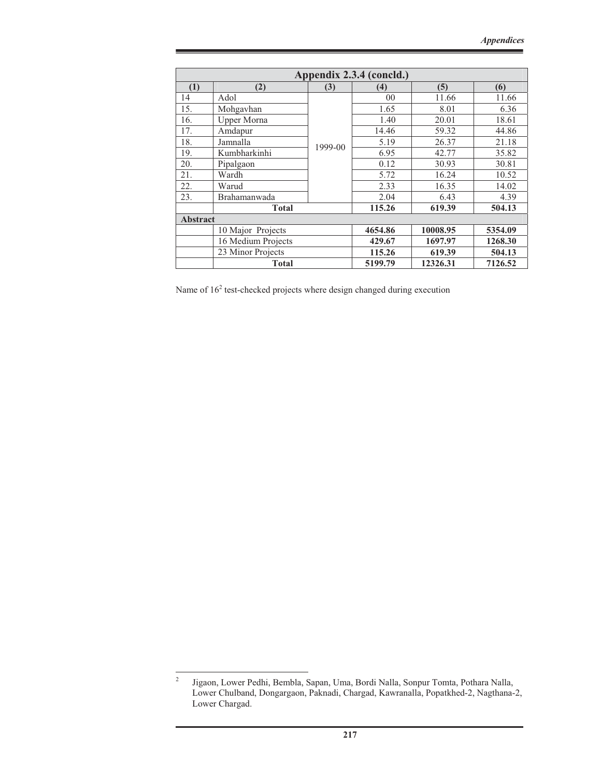|                 | Appendix 2.3.4 (concld.)                       |         |                |          |         |  |
|-----------------|------------------------------------------------|---------|----------------|----------|---------|--|
| (1)             | (2)                                            | (3)     | (4)            | (5)      | (6)     |  |
| 14              | Adol                                           |         | 0 <sub>0</sub> | 11.66    | 11.66   |  |
| 15.             | Mohgavhan                                      |         | 1.65           | 8.01     | 6.36    |  |
| 16.             | <b>Upper Morna</b>                             |         | 1.40           | 20.01    | 18.61   |  |
| 17.             | Amdapur                                        |         | 14.46          | 59.32    | 44.86   |  |
| 18.             | Jamnalla                                       | 1999-00 | 5.19           | 26.37    | 21.18   |  |
| 19.             | Kumbharkinhi                                   |         | 6.95           | 42.77    | 35.82   |  |
| 20.             | Pipalgaon                                      |         | 0.12           | 30.93    | 30.81   |  |
| 21.             | Wardh                                          |         | 5.72           | 16.24    | 10.52   |  |
| 22.             | Warud                                          |         | 2.33           | 16.35    | 14.02   |  |
| 23.             | Brahamanwada                                   |         | 2.04           | 6.43     | 4.39    |  |
|                 | <b>Total</b>                                   |         | 115.26         | 619.39   | 504.13  |  |
| <b>Abstract</b> |                                                |         |                |          |         |  |
|                 | 10 Major Projects                              |         | 4654.86        | 10008.95 | 5354.09 |  |
|                 | 16 Medium Projects                             |         | 429.67         | 1697.97  | 1268.30 |  |
|                 | 23 Minor Projects                              |         | 115.26         | 619.39   | 504.13  |  |
|                 | 5199.79<br><b>Total</b><br>12326.31<br>7126.52 |         |                |          |         |  |

Name of  $16<sup>2</sup>$  test-checked projects where design changed during execution

<sup>2</sup> Jigaon, Lower Pedhi, Bembla, Sapan, Uma, Bordi Nalla, Sonpur Tomta, Pothara Nalla, Lower Chulband, Dongargaon, Paknadi, Chargad, Kawranalla, Popatkhed-2, Nagthana-2, Lower Chargad.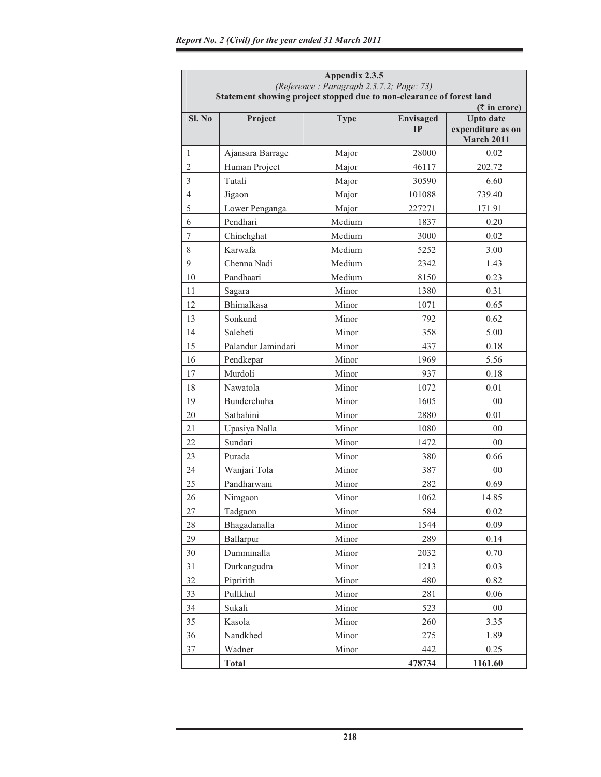|                | Appendix 2.3.5<br>(Reference: Paragraph 2.3.7.2; Page: 73)<br>Statement showing project stopped due to non-clearance of forest land |             |                        |                                                                               |  |
|----------------|-------------------------------------------------------------------------------------------------------------------------------------|-------------|------------------------|-------------------------------------------------------------------------------|--|
| Sl. No         | Project                                                                                                                             | <b>Type</b> | <b>Envisaged</b><br>IP | $($ ₹ in crore)<br><b>Upto date</b><br>expenditure as on<br><b>March 2011</b> |  |
| $\mathbf{1}$   | Ajansara Barrage                                                                                                                    | Major       | 28000                  | 0.02                                                                          |  |
| $\overline{c}$ | Human Project                                                                                                                       | Major       | 46117                  | 202.72                                                                        |  |
| 3              | Tutali                                                                                                                              | Major       | 30590                  | 6.60                                                                          |  |
| $\overline{4}$ | Jigaon                                                                                                                              | Major       | 101088                 | 739.40                                                                        |  |
| 5              | Lower Penganga                                                                                                                      | Major       | 227271                 | 171.91                                                                        |  |
| 6              | Pendhari                                                                                                                            | Medium      | 1837                   | 0.20                                                                          |  |
| $\overline{7}$ | Chinchghat                                                                                                                          | Medium      | 3000                   | 0.02                                                                          |  |
| 8              | Karwafa                                                                                                                             | Medium      | 5252                   | 3.00                                                                          |  |
| 9              | Chenna Nadi                                                                                                                         | Medium      | 2342                   | 1.43                                                                          |  |
| 10             | Pandhaari                                                                                                                           | Medium      | 8150                   | 0.23                                                                          |  |
| 11             | Sagara                                                                                                                              | Minor       | 1380                   | 0.31                                                                          |  |
| 12             | Bhimalkasa                                                                                                                          | Minor       | 1071                   | 0.65                                                                          |  |
| 13             | Sonkund                                                                                                                             | Minor       | 792                    | 0.62                                                                          |  |
| 14             | Saleheti                                                                                                                            | Minor       | 358                    | 5.00                                                                          |  |
| 15             | Palandur Jamindari                                                                                                                  | Minor       | 437                    | 0.18                                                                          |  |
| 16             | Pendkepar                                                                                                                           | Minor       | 1969                   | 5.56                                                                          |  |
| 17             | Murdoli                                                                                                                             | Minor       | 937                    | 0.18                                                                          |  |
| 18             | Nawatola                                                                                                                            | Minor       | 1072                   | 0.01                                                                          |  |
| 19             | Bunderchuha                                                                                                                         | Minor       | 1605                   | 0 <sup>0</sup>                                                                |  |
| 20             | Satbahini                                                                                                                           | Minor       | 2880                   | 0.01                                                                          |  |
| 21             | Upasiya Nalla                                                                                                                       | Minor       | 1080                   | 00                                                                            |  |
| 22             | Sundari                                                                                                                             | Minor       | 1472                   | $00\,$                                                                        |  |
| 23             | Purada                                                                                                                              | Minor       | 380                    | 0.66                                                                          |  |
| 24             | Wanjari Tola                                                                                                                        | Minor       | 387                    | 00                                                                            |  |
| 25             | Pandharwani                                                                                                                         | Minor       | 282                    | 0.69                                                                          |  |
| 26             | Nimgaon                                                                                                                             | Minor       | 1062                   | 14.85                                                                         |  |
| 27             | Tadgaon                                                                                                                             | Minor       | 584                    | 0.02                                                                          |  |
| 28             | Bhagadanalla                                                                                                                        | Minor       | 1544                   | 0.09                                                                          |  |
| 29             | Ballarpur                                                                                                                           | Minor       | 289                    | 0.14                                                                          |  |
| 30             | Dumminalla                                                                                                                          | Minor       | 2032                   | 0.70                                                                          |  |
| 31             | Durkangudra                                                                                                                         | Minor       | 1213                   | 0.03                                                                          |  |
| 32             | Pipririth                                                                                                                           | Minor       | 480                    | 0.82                                                                          |  |
| 33             | Pullkhul                                                                                                                            | Minor       | 281                    | 0.06                                                                          |  |
| 34             | Sukali                                                                                                                              | Minor       | 523                    | $00\,$                                                                        |  |
| 35             | Kasola                                                                                                                              | Minor       | 260                    | 3.35                                                                          |  |
| 36             | Nandkhed                                                                                                                            | Minor       | 275                    | 1.89                                                                          |  |
| 37             | Wadner                                                                                                                              | Minor       | 442                    | 0.25                                                                          |  |
|                | <b>Total</b>                                                                                                                        |             | 478734                 | 1161.60                                                                       |  |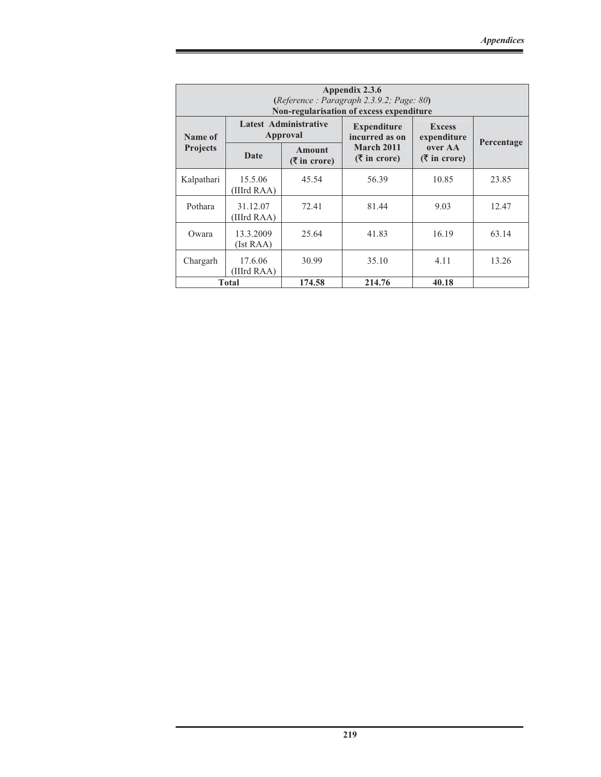|                 | Appendix 2.3.6<br>(Reference : Paragraph 2.3.9.2; Page: 80)<br>Non-regularisation of excess expenditure |                                          |                                      |                                                  |            |  |  |
|-----------------|---------------------------------------------------------------------------------------------------------|------------------------------------------|--------------------------------------|--------------------------------------------------|------------|--|--|
| Name of         |                                                                                                         | <b>Latest Administrative</b><br>Approval | <b>Expenditure</b><br>incurred as on | <b>Excess</b><br>expenditure                     |            |  |  |
| <b>Projects</b> | Date                                                                                                    | Amount<br>$(3\overline{5})$ in crore)    | March 2011<br>$($ ₹ in crore)        | over AA<br>$($ \overline{\mathbf{\xi}} in crore) | Percentage |  |  |
| Kalpathari      | 15.5.06<br>(IIIrd RAA)                                                                                  | 45.54                                    | 56.39                                | 10.85                                            | 23.85      |  |  |
| Pothara         | 31.12.07<br>(IIIrd RAA)                                                                                 | 72.41                                    | 81.44                                | 9.03                                             | 12.47      |  |  |
| Owara           | 13.3.2009<br>(Ist RAA)                                                                                  | 25.64                                    | 41.83                                | 16.19                                            | 63.14      |  |  |
| Chargarh        | 17.6.06<br>(IIIrd RAA)                                                                                  | 30.99                                    | 35.10                                | 4.11                                             | 13.26      |  |  |
|                 | <b>Total</b>                                                                                            | 174.58                                   | 214.76                               | 40.18                                            |            |  |  |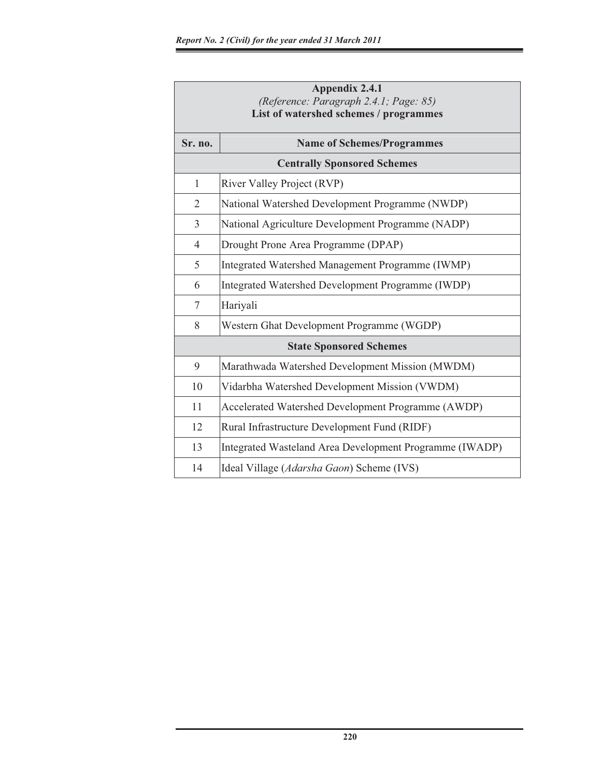|                | <b>Appendix 2.4.1</b>                                                            |  |  |  |  |  |  |
|----------------|----------------------------------------------------------------------------------|--|--|--|--|--|--|
|                | (Reference: Paragraph 2.4.1; Page: 85)<br>List of watershed schemes / programmes |  |  |  |  |  |  |
|                |                                                                                  |  |  |  |  |  |  |
| Sr. no.        | <b>Name of Schemes/Programmes</b>                                                |  |  |  |  |  |  |
|                | <b>Centrally Sponsored Schemes</b>                                               |  |  |  |  |  |  |
| $\mathbf{1}$   | River Valley Project (RVP)                                                       |  |  |  |  |  |  |
| 2              | National Watershed Development Programme (NWDP)                                  |  |  |  |  |  |  |
| $\overline{3}$ | National Agriculture Development Programme (NADP)                                |  |  |  |  |  |  |
| $\overline{4}$ | Drought Prone Area Programme (DPAP)                                              |  |  |  |  |  |  |
| 5              | Integrated Watershed Management Programme (IWMP)                                 |  |  |  |  |  |  |
| 6              | Integrated Watershed Development Programme (IWDP)                                |  |  |  |  |  |  |
| 7              | Hariyali                                                                         |  |  |  |  |  |  |
| 8              | Western Ghat Development Programme (WGDP)                                        |  |  |  |  |  |  |
|                | <b>State Sponsored Schemes</b>                                                   |  |  |  |  |  |  |
| 9              | Marathwada Watershed Development Mission (MWDM)                                  |  |  |  |  |  |  |
| 10             | Vidarbha Watershed Development Mission (VWDM)                                    |  |  |  |  |  |  |
| 11             | Accelerated Watershed Development Programme (AWDP)                               |  |  |  |  |  |  |
| 12             | Rural Infrastructure Development Fund (RIDF)                                     |  |  |  |  |  |  |
| 13             | Integrated Wasteland Area Development Programme (IWADP)                          |  |  |  |  |  |  |
| 14             | Ideal Village (Adarsha Gaon) Scheme (IVS)                                        |  |  |  |  |  |  |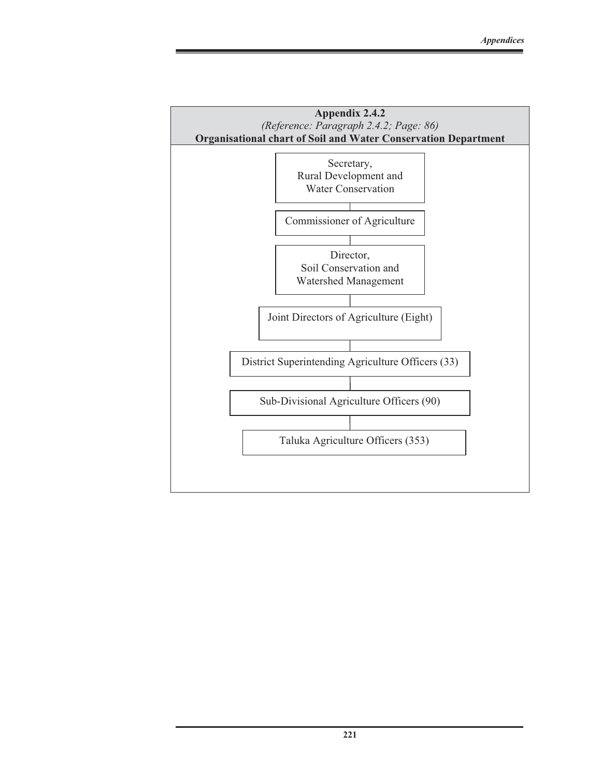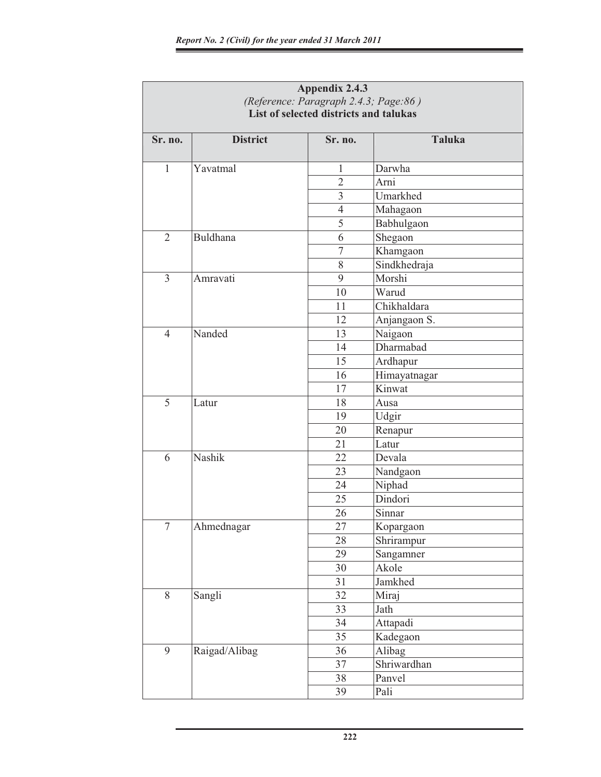| <b>Appendix 2.4.3</b>                                                           |                 |                |               |  |  |  |  |  |
|---------------------------------------------------------------------------------|-----------------|----------------|---------------|--|--|--|--|--|
| (Reference: Paragraph 2.4.3; Page:86)<br>List of selected districts and talukas |                 |                |               |  |  |  |  |  |
|                                                                                 |                 |                |               |  |  |  |  |  |
| Sr. no.                                                                         | <b>District</b> | Sr. no.        | <b>Taluka</b> |  |  |  |  |  |
|                                                                                 |                 |                |               |  |  |  |  |  |
| $\mathbf{1}$                                                                    | Yavatmal        | 1              | Darwha        |  |  |  |  |  |
|                                                                                 |                 | $\overline{2}$ | Arni          |  |  |  |  |  |
|                                                                                 |                 | $\overline{3}$ | Umarkhed      |  |  |  |  |  |
|                                                                                 |                 | $\overline{4}$ | Mahagaon      |  |  |  |  |  |
|                                                                                 |                 | 5              | Babhulgaon    |  |  |  |  |  |
| $\overline{2}$                                                                  | <b>Buldhana</b> | 6              | Shegaon       |  |  |  |  |  |
|                                                                                 |                 | $\overline{7}$ | Khamgaon      |  |  |  |  |  |
|                                                                                 |                 | 8              | Sindkhedraja  |  |  |  |  |  |
| 3                                                                               | Amravati        | 9              | Morshi        |  |  |  |  |  |
|                                                                                 |                 | 10             | Warud         |  |  |  |  |  |
|                                                                                 |                 | 11             | Chikhaldara   |  |  |  |  |  |
|                                                                                 |                 | 12             | Anjangaon S.  |  |  |  |  |  |
| $\overline{4}$                                                                  | Nanded          | 13             | Naigaon       |  |  |  |  |  |
|                                                                                 |                 | 14             | Dharmabad     |  |  |  |  |  |
|                                                                                 |                 | 15             | Ardhapur      |  |  |  |  |  |
|                                                                                 |                 | 16             | Himayatnagar  |  |  |  |  |  |
|                                                                                 |                 | 17             | Kinwat        |  |  |  |  |  |
| 5                                                                               | Latur           | 18             | Ausa          |  |  |  |  |  |
|                                                                                 |                 | 19             | Udgir         |  |  |  |  |  |
|                                                                                 |                 | 20             | Renapur       |  |  |  |  |  |
|                                                                                 |                 | 21             | Latur         |  |  |  |  |  |
| 6                                                                               | Nashik          | 22             | Devala        |  |  |  |  |  |
|                                                                                 |                 | 23             | Nandgaon      |  |  |  |  |  |
|                                                                                 |                 | 24             | Niphad        |  |  |  |  |  |
|                                                                                 |                 | 25             | Dindori       |  |  |  |  |  |
|                                                                                 |                 | 26             | Sinnar        |  |  |  |  |  |
| $\overline{7}$                                                                  | Ahmednagar      | 27             | Kopargaon     |  |  |  |  |  |
|                                                                                 |                 | 28             | Shrirampur    |  |  |  |  |  |
|                                                                                 |                 | 29             | Sangamner     |  |  |  |  |  |
|                                                                                 |                 | 30             | Akole         |  |  |  |  |  |
|                                                                                 |                 | 31             | Jamkhed       |  |  |  |  |  |
| 8                                                                               | Sangli          | 32             | Miraj         |  |  |  |  |  |
|                                                                                 |                 | 33             | Jath          |  |  |  |  |  |
|                                                                                 |                 | 34             | Attapadi      |  |  |  |  |  |
|                                                                                 |                 | 35             | Kadegaon      |  |  |  |  |  |
| 9                                                                               | Raigad/Alibag   | 36             | Alibag        |  |  |  |  |  |
|                                                                                 |                 | 37             | Shriwardhan   |  |  |  |  |  |
|                                                                                 |                 | 38             | Panvel        |  |  |  |  |  |
|                                                                                 |                 | 39             | Pali          |  |  |  |  |  |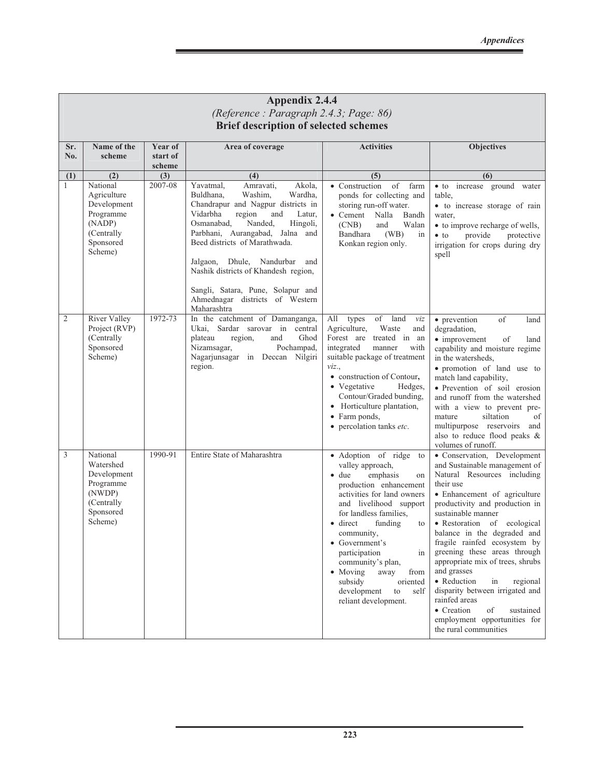|                                              | <b>Appendix 2.4.4</b><br>(Reference: Paragraph 2.4.3; Page: 86)                                             |                               |                                                                                                                                                                                                                                                                                                                                                                                                                      |                                                                                                                                                                                                                                                                                                                                                                                                                       |                                                                                                                                                                                                                                                                                                                                                                                                                                                                                                                                                                  |  |  |  |
|----------------------------------------------|-------------------------------------------------------------------------------------------------------------|-------------------------------|----------------------------------------------------------------------------------------------------------------------------------------------------------------------------------------------------------------------------------------------------------------------------------------------------------------------------------------------------------------------------------------------------------------------|-----------------------------------------------------------------------------------------------------------------------------------------------------------------------------------------------------------------------------------------------------------------------------------------------------------------------------------------------------------------------------------------------------------------------|------------------------------------------------------------------------------------------------------------------------------------------------------------------------------------------------------------------------------------------------------------------------------------------------------------------------------------------------------------------------------------------------------------------------------------------------------------------------------------------------------------------------------------------------------------------|--|--|--|
| <b>Brief description of selected schemes</b> |                                                                                                             |                               |                                                                                                                                                                                                                                                                                                                                                                                                                      |                                                                                                                                                                                                                                                                                                                                                                                                                       |                                                                                                                                                                                                                                                                                                                                                                                                                                                                                                                                                                  |  |  |  |
| Sr.<br>No.                                   | Name of the<br>scheme                                                                                       | Year of<br>start of<br>scheme | Area of coverage                                                                                                                                                                                                                                                                                                                                                                                                     | <b>Activities</b>                                                                                                                                                                                                                                                                                                                                                                                                     | <b>Objectives</b>                                                                                                                                                                                                                                                                                                                                                                                                                                                                                                                                                |  |  |  |
| (1)<br>$\mathbf{1}$                          | (2)<br>National<br>Agriculture<br>Development<br>Programme<br>(NADP)<br>(Centrally)<br>Sponsored<br>Scheme) | (3)<br>2007-08                | (4)<br>Yavatmal,<br>Amravati,<br>Akola,<br>Washim,<br>Buldhana,<br>Wardha.<br>Chandrapur and Nagpur districts in<br>Vidarbha<br>region<br>and<br>Latur,<br>Osmanabad,<br>Nanded,<br>Hingoli,<br>Parbhani, Aurangabad, Jalna and<br>Beed districts of Marathwada.<br>Jalgaon, Dhule, Nandurbar<br>and<br>Nashik districts of Khandesh region,<br>Sangli, Satara, Pune, Solapur and<br>Ahmednagar districts of Western | (5)<br>• Construction<br>of<br>farm<br>ponds for collecting and<br>storing run-off water.<br>• Cement Nalla<br>Bandh<br>(CNB)<br>Walan<br>and<br>Bandhara<br>(WB)<br>in<br>Konkan region only.                                                                                                                                                                                                                        | (6)<br>· to increase ground water<br>table,<br>· to increase storage of rain<br>water,<br>• to improve recharge of wells,<br>provide<br>protective<br>$\bullet$ to<br>irrigation for crops during dry<br>spell                                                                                                                                                                                                                                                                                                                                                   |  |  |  |
| $\overline{2}$                               | River Valley<br>Project (RVP)<br>(Centrally<br>Sponsored<br>Scheme)                                         | 1972-73                       | Maharashtra<br>In the catchment of Damanganga,<br>Sardar sarovar in central<br>Ukai,<br>plateau<br>region,<br>Ghod<br>and<br>Nizamsagar,<br>Pochampad,<br>Nagarjunsagar in Deccan Nilgiri<br>region.                                                                                                                                                                                                                 | of<br>All<br>land<br>types<br>viz<br>Agriculture,<br>Waste<br>and<br>Forest are treated in an<br>integrated<br>manner<br>with<br>suitable package of treatment<br>viz.,<br>• construction of Contour,<br>• Vegetative<br>Hedges,<br>Contour/Graded bunding,<br>• Horticulture plantation,<br>• Farm ponds,<br>• percolation tanks etc.                                                                                | of<br>• prevention<br>land<br>degradation,<br>• improvement<br>of<br>land<br>capability and moisture regime<br>in the watersheds,<br>· promotion of land use to<br>match land capability,<br>· Prevention of soil erosion<br>and runoff from the watershed<br>with a view to prevent pre-<br>siltation<br>mature<br>of<br>multipurpose reservoirs and<br>also to reduce flood peaks &<br>volumes of runoff.                                                                                                                                                      |  |  |  |
| 3                                            | National<br>Watershed<br>Development<br>Programme<br>(NWDP)<br>(Centrally<br>Sponsored<br>Scheme)           | 1990-91                       | Entire State of Maharashtra                                                                                                                                                                                                                                                                                                                                                                                          | · Adoption of ridge<br>to<br>valley approach,<br>$\bullet$ due<br>emphasis<br>on<br>production enhancement<br>activities for land owners<br>and livelihood support<br>for landless families,<br>funding<br>$\bullet$ direct<br>to<br>community,<br>• Government's<br>participation<br>in<br>community's plan,<br>• Moving<br>away<br>from<br>subsidy<br>oriented<br>development<br>to<br>self<br>reliant development. | · Conservation, Development<br>and Sustainable management of<br>Natural Resources including<br>their use<br>· Enhancement of agriculture<br>productivity and production in<br>sustainable manner<br>· Restoration of ecological<br>balance in the degraded and<br>fragile rainfed ecosystem by<br>greening these areas through<br>appropriate mix of trees, shrubs<br>and grasses<br>• Reduction<br>regional<br>in<br>disparity between irrigated and<br>rainfed areas<br>• Creation<br>of<br>sustained<br>employment opportunities for<br>the rural communities |  |  |  |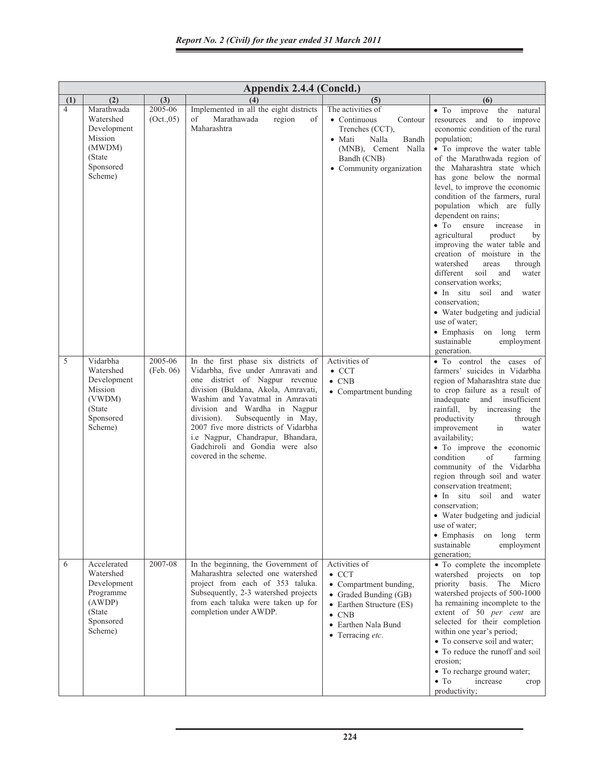|                | Appendix 2.4.4 (Concld.)                                                                          |                       |                                                                                                                                                                                                                                                                                                                                                                                                       |                                                                                                                                                                                   |                                                                                                                                                                                                                                                                                                                                                                                                                                                                                                                                                                                                                                                                                                                                                                                                                |  |  |  |  |
|----------------|---------------------------------------------------------------------------------------------------|-----------------------|-------------------------------------------------------------------------------------------------------------------------------------------------------------------------------------------------------------------------------------------------------------------------------------------------------------------------------------------------------------------------------------------------------|-----------------------------------------------------------------------------------------------------------------------------------------------------------------------------------|----------------------------------------------------------------------------------------------------------------------------------------------------------------------------------------------------------------------------------------------------------------------------------------------------------------------------------------------------------------------------------------------------------------------------------------------------------------------------------------------------------------------------------------------------------------------------------------------------------------------------------------------------------------------------------------------------------------------------------------------------------------------------------------------------------------|--|--|--|--|
| (1)            | (2)                                                                                               | (3)                   | (4)                                                                                                                                                                                                                                                                                                                                                                                                   | (5)                                                                                                                                                                               | (6)                                                                                                                                                                                                                                                                                                                                                                                                                                                                                                                                                                                                                                                                                                                                                                                                            |  |  |  |  |
| $\overline{4}$ | Marathwada<br>Watershed<br>Development<br>Mission<br>(MWDM)<br>(State)<br>Sponsored<br>Scheme)    | 2005-06<br>(Oct., 05) | Implemented in all the eight districts<br>Marathawada<br>region<br>of<br>of<br>Maharashtra                                                                                                                                                                                                                                                                                                            | The activities of<br>• Continuous<br>Contour<br>Trenches (CCT),<br>$\bullet$ Mati<br><b>Nalla</b><br>Bandh<br>(MNB), Cement Nalla<br>Bandh (CNB)<br>• Community organization      | improve<br>$\bullet$ To<br>the natural<br>resources and<br>to improve<br>economic condition of the rural<br>population;<br>• To improve the water table<br>of the Marathwada region of<br>the Maharashtra state which<br>has gone below the normal<br>level, to improve the economic<br>condition of the farmers, rural<br>population which are fully<br>dependent on rains;<br>$\bullet$ To<br>ensure<br>increase<br>in<br>agricultural<br>product<br>by<br>improving the water table and<br>creation of moisture in the<br>watershed<br>areas<br>through<br>soil<br>different<br>and<br>water<br>conservation works;<br>• In situ soil<br>and water<br>conservation;<br>• Water budgeting and judicial<br>use of water;<br>$\bullet$ Emphasis<br>on<br>long term<br>sustainable<br>employment<br>generation. |  |  |  |  |
| 5              | Vidarbha<br>Watershed<br>Development<br>Mission<br>(VWDM)<br>(State)<br>Sponsored<br>Scheme)      | 2005-06<br>(Feb. 06)  | In the first phase six districts of<br>Vidarbha, five under Amravati and<br>one district of Nagpur revenue<br>division (Buldana, Akola, Amravati,<br>Washim and Yavatmal in Amravati<br>division and Wardha in Nagpur<br>Subsequently in May,<br>division).<br>2007 five more districts of Vidarbha<br>i.e Nagpur, Chandrapur, Bhandara,<br>Gadchiroli and Gondia were also<br>covered in the scheme. | Activities of<br>$\bullet$ CCT<br>$\bullet$ CNB<br>• Compartment bunding                                                                                                          | • To control the cases of<br>farmers' suicides in Vidarbha<br>region of Maharashtra state due<br>to crop failure as a result of<br>inadequate and insufficient<br>rainfall, by increasing the<br>productivity<br>through<br>improvement<br>in<br>water<br>availability;<br>• To improve the economic<br>condition<br>of<br>farming<br>community of the Vidarbha<br>region through soil and water<br>conservation treatment:<br>· In situ soil and water<br>conservation;<br>• Water budgeting and judicial<br>use of water;<br>$\bullet$ Emphasis<br>long term<br>on<br>sustainable<br>employment<br>generation;                                                                                                                                                                                               |  |  |  |  |
| 6              | Accelerated<br>Watershed<br>Development<br>Programme<br>(AWDP)<br>(State)<br>Sponsored<br>Scheme) | 2007-08               | In the beginning, the Government of<br>Maharashtra selected one watershed<br>project from each of 353 taluka.<br>Subsequently, 2-3 watershed projects<br>from each taluka were taken up for<br>completion under AWDP.                                                                                                                                                                                 | Activities of<br>$\bullet$ CCT<br>• Compartment bunding,<br>• Graded Bunding (GB)<br>• Earthen Structure (ES)<br>$\bullet$ CNB<br>• Earthen Nala Bund<br>$\bullet$ Terracing etc. | • To complete the incomplete<br>watershed projects on top<br>priority basis. The Micro<br>watershed projects of 500-1000<br>ha remaining incomplete to the<br>extent of 50 per cent are<br>selected for their completion<br>within one year's period;<br>• To conserve soil and water;<br>• To reduce the runoff and soil<br>erosion;<br>• To recharge ground water;<br>$\bullet$ To<br>increase<br>crop<br>productivity;                                                                                                                                                                                                                                                                                                                                                                                      |  |  |  |  |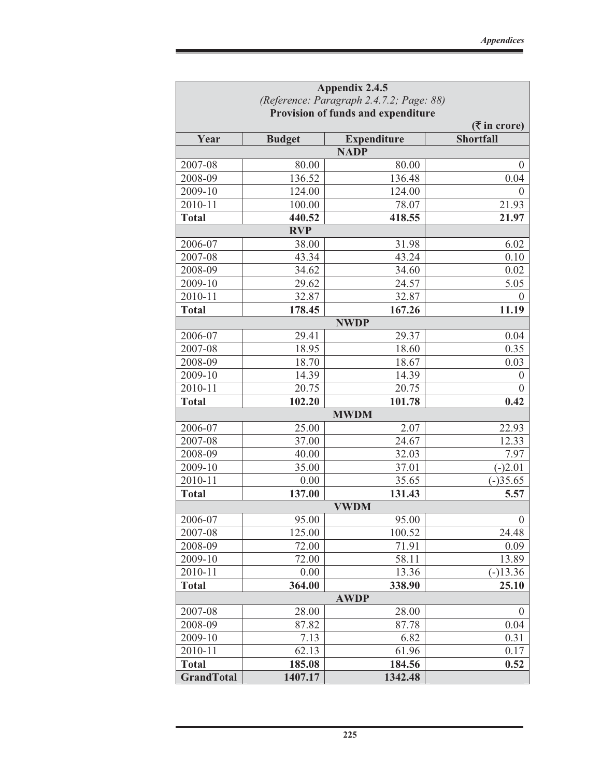| Appendix 2.4.5                     |                                                                 |                                   |                  |  |  |  |  |  |
|------------------------------------|-----------------------------------------------------------------|-----------------------------------|------------------|--|--|--|--|--|
|                                    | (Reference: Paragraph 2.4.7.2; Page: 88)                        |                                   |                  |  |  |  |  |  |
| Provision of funds and expenditure |                                                                 |                                   |                  |  |  |  |  |  |
|                                    | $(\overline{\mathbf{\mathsf{F}}}$ in crore)<br><b>Shortfall</b> |                                   |                  |  |  |  |  |  |
| Year                               | <b>Budget</b>                                                   | <b>Expenditure</b><br><b>NADP</b> |                  |  |  |  |  |  |
| 2007-08                            | 80.00                                                           | 80.00                             | $\theta$         |  |  |  |  |  |
| 2008-09                            | 136.52                                                          | 136.48                            | 0.04             |  |  |  |  |  |
| 2009-10                            | 124.00                                                          | 124.00                            | $\theta$         |  |  |  |  |  |
| 2010-11                            | 100.00                                                          | 78.07                             | 21.93            |  |  |  |  |  |
| <b>Total</b>                       | 440.52                                                          | 418.55                            | 21.97            |  |  |  |  |  |
|                                    | <b>RVP</b>                                                      |                                   |                  |  |  |  |  |  |
| 2006-07                            | 38.00                                                           | 31.98                             | 6.02             |  |  |  |  |  |
| 2007-08                            | 43.34                                                           | 43.24                             | 0.10             |  |  |  |  |  |
| 2008-09                            | 34.62                                                           | 34.60                             | 0.02             |  |  |  |  |  |
| 2009-10                            | 29.62                                                           | 24.57                             | 5.05             |  |  |  |  |  |
| 2010-11                            | 32.87                                                           | 32.87                             | $\Omega$         |  |  |  |  |  |
| <b>Total</b>                       | 178.45                                                          | 167.26                            | 11.19            |  |  |  |  |  |
|                                    |                                                                 | <b>NWDP</b>                       |                  |  |  |  |  |  |
| 2006-07                            | 29.41                                                           | 29.37                             | 0.04             |  |  |  |  |  |
| 2007-08                            | 18.95                                                           | 18.60                             | 0.35             |  |  |  |  |  |
| 2008-09                            | 18.70                                                           | 18.67                             | 0.03             |  |  |  |  |  |
| 2009-10                            | 14.39                                                           | 14.39                             | $\overline{0}$   |  |  |  |  |  |
| 2010-11                            | 20.75                                                           | 20.75                             | $\theta$         |  |  |  |  |  |
| <b>Total</b>                       | 102.20                                                          | 101.78                            | 0.42             |  |  |  |  |  |
|                                    |                                                                 | <b>MWDM</b>                       |                  |  |  |  |  |  |
| 2006-07                            | 25.00                                                           | 2.07                              | 22.93            |  |  |  |  |  |
| 2007-08                            | 37.00                                                           | 24.67                             | 12.33            |  |  |  |  |  |
| 2008-09                            | 40.00                                                           | 32.03                             | 7.97             |  |  |  |  |  |
| 2009-10                            | 35.00                                                           | 37.01                             | $(-)2.01$        |  |  |  |  |  |
| 2010-11                            | 0.00                                                            | 35.65                             | $(-)35.65$       |  |  |  |  |  |
| <b>Total</b>                       | 137.00                                                          | 131.43                            | 5.57             |  |  |  |  |  |
|                                    |                                                                 | <b>VWDM</b>                       |                  |  |  |  |  |  |
| 2006-07                            | 95.00                                                           | 95.00                             | $\boldsymbol{0}$ |  |  |  |  |  |
| 2007-08                            | 125.00                                                          | 100.52                            | 24.48            |  |  |  |  |  |
| 2008-09                            | 72.00                                                           | 71.91                             | 0.09             |  |  |  |  |  |
| 2009-10                            | 72.00                                                           | 58.11                             | 13.89            |  |  |  |  |  |
| 2010-11                            | 0.00                                                            | 13.36                             | $(-)13.36$       |  |  |  |  |  |
| <b>Total</b>                       | 364.00                                                          | 338.90                            | 25.10            |  |  |  |  |  |
|                                    |                                                                 | <b>AWDP</b>                       |                  |  |  |  |  |  |
| 2007-08                            | 28.00                                                           | 28.00                             | $\theta$         |  |  |  |  |  |
| 2008-09                            | 87.82                                                           | 87.78                             | 0.04             |  |  |  |  |  |
| 2009-10                            | 7.13                                                            | 6.82                              | 0.31             |  |  |  |  |  |
| 2010-11                            | 62.13                                                           | 61.96                             | 0.17             |  |  |  |  |  |
| <b>Total</b>                       | 185.08                                                          | 184.56                            | 0.52             |  |  |  |  |  |
| <b>GrandTotal</b>                  | 1407.17                                                         | 1342.48                           |                  |  |  |  |  |  |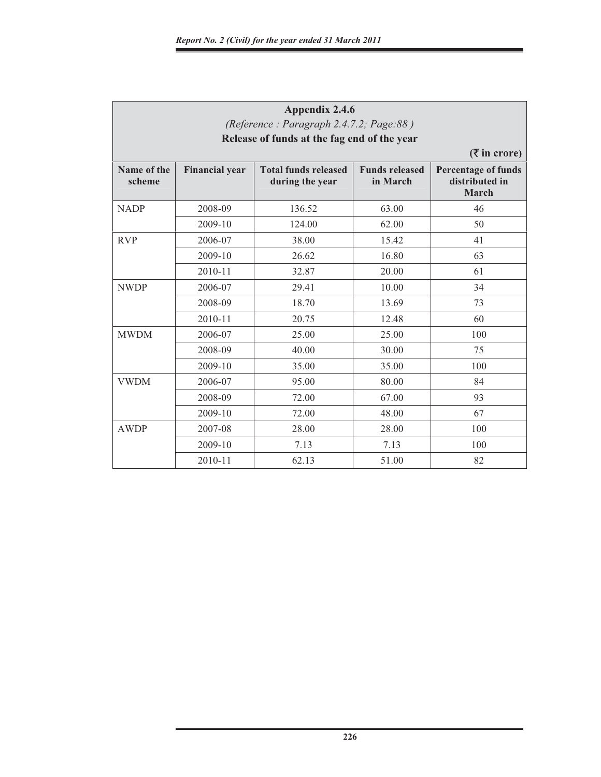| Appendix 2.4.6<br>(Reference: Paragraph 2.4.7.2; Page:88) |                                                                |                                                |                                   |                                                       |  |  |  |  |  |  |
|-----------------------------------------------------------|----------------------------------------------------------------|------------------------------------------------|-----------------------------------|-------------------------------------------------------|--|--|--|--|--|--|
|                                                           | Release of funds at the fag end of the year<br>$($ ₹ in crore) |                                                |                                   |                                                       |  |  |  |  |  |  |
| Name of the<br>scheme                                     | <b>Financial year</b>                                          | <b>Total funds released</b><br>during the year | <b>Funds released</b><br>in March | <b>Percentage of funds</b><br>distributed in<br>March |  |  |  |  |  |  |
| <b>NADP</b>                                               | 2008-09                                                        | 136.52                                         | 63.00                             | 46                                                    |  |  |  |  |  |  |
|                                                           | 2009-10                                                        | 124.00                                         | 62.00                             | 50                                                    |  |  |  |  |  |  |
| <b>RVP</b>                                                | 2006-07                                                        | 38.00                                          | 15.42                             | 41                                                    |  |  |  |  |  |  |
|                                                           | 2009-10                                                        | 26.62                                          | 16.80                             | 63                                                    |  |  |  |  |  |  |
|                                                           | 2010-11                                                        | 32.87                                          | 20.00                             | 61                                                    |  |  |  |  |  |  |
| <b>NWDP</b>                                               | 2006-07                                                        | 29.41                                          | 10.00                             | 34                                                    |  |  |  |  |  |  |
|                                                           | 2008-09                                                        | 18.70                                          | 13.69                             | 73                                                    |  |  |  |  |  |  |
|                                                           | 2010-11                                                        | 20.75                                          | 12.48                             | 60                                                    |  |  |  |  |  |  |
| <b>MWDM</b>                                               | 2006-07                                                        | 25.00                                          | 25.00                             | 100                                                   |  |  |  |  |  |  |
|                                                           | 2008-09                                                        | 40.00                                          | 30.00                             | 75                                                    |  |  |  |  |  |  |
|                                                           | 2009-10                                                        | 35.00                                          | 35.00                             | 100                                                   |  |  |  |  |  |  |
| <b>VWDM</b>                                               | 2006-07                                                        | 95.00                                          | 80.00                             | 84                                                    |  |  |  |  |  |  |
|                                                           | 2008-09                                                        | 72.00                                          | 67.00                             | 93                                                    |  |  |  |  |  |  |
|                                                           | 2009-10                                                        | 72.00                                          | 48.00                             | 67                                                    |  |  |  |  |  |  |
| <b>AWDP</b>                                               | 2007-08                                                        | 28.00                                          | 28.00                             | 100                                                   |  |  |  |  |  |  |
|                                                           | 2009-10                                                        | 7.13                                           | 7.13                              | 100                                                   |  |  |  |  |  |  |
|                                                           | 2010-11                                                        | 62.13                                          | 51.00                             | 82                                                    |  |  |  |  |  |  |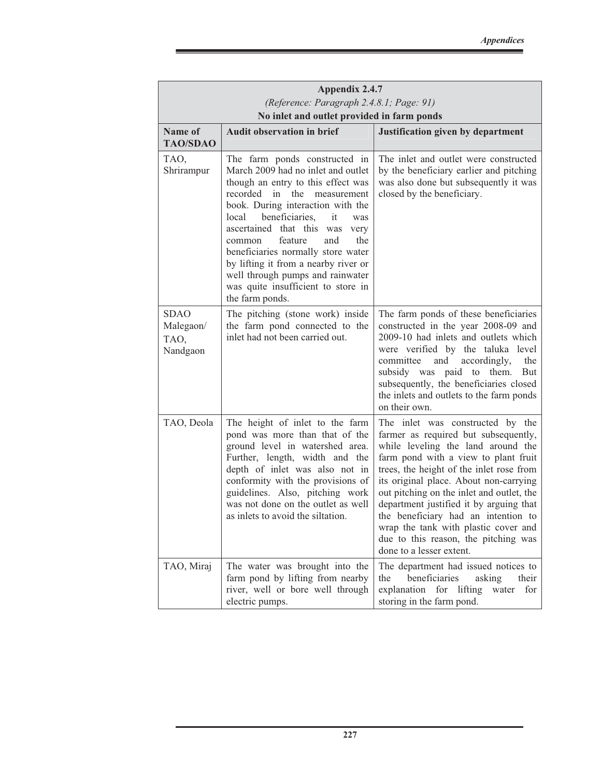|                                                                                        | Appendix 2.4.7                                                                                                                                                                                                                                                                                                                                                                                                                                                              |                                                                                                                                                                                                                                                                                                                                                                                                                                                                                         |  |  |  |  |  |
|----------------------------------------------------------------------------------------|-----------------------------------------------------------------------------------------------------------------------------------------------------------------------------------------------------------------------------------------------------------------------------------------------------------------------------------------------------------------------------------------------------------------------------------------------------------------------------|-----------------------------------------------------------------------------------------------------------------------------------------------------------------------------------------------------------------------------------------------------------------------------------------------------------------------------------------------------------------------------------------------------------------------------------------------------------------------------------------|--|--|--|--|--|
| (Reference: Paragraph 2.4.8.1; Page: 91)<br>No inlet and outlet provided in farm ponds |                                                                                                                                                                                                                                                                                                                                                                                                                                                                             |                                                                                                                                                                                                                                                                                                                                                                                                                                                                                         |  |  |  |  |  |
| Name of<br><b>TAO/SDAO</b>                                                             | <b>Audit observation in brief</b>                                                                                                                                                                                                                                                                                                                                                                                                                                           | Justification given by department                                                                                                                                                                                                                                                                                                                                                                                                                                                       |  |  |  |  |  |
| TAO,<br>Shrirampur                                                                     | The farm ponds constructed in<br>March 2009 had no inlet and outlet<br>though an entry to this effect was<br>recorded in<br>the<br>measurement<br>book. During interaction with the<br>beneficiaries, it<br>local<br>was<br>ascertained that this was<br>very<br>feature<br>and<br>the<br>common<br>beneficiaries normally store water<br>by lifting it from a nearby river or<br>well through pumps and rainwater<br>was quite insufficient to store in<br>the farm ponds. | The inlet and outlet were constructed<br>by the beneficiary earlier and pitching<br>was also done but subsequently it was<br>closed by the beneficiary.                                                                                                                                                                                                                                                                                                                                 |  |  |  |  |  |
| <b>SDAO</b><br>Malegaon/<br>TAO,<br>Nandgaon                                           | The pitching (stone work) inside<br>the farm pond connected to the<br>inlet had not been carried out.                                                                                                                                                                                                                                                                                                                                                                       | The farm ponds of these beneficiaries<br>constructed in the year 2008-09 and<br>2009-10 had inlets and outlets which<br>were verified by the taluka level<br>committee<br>and<br>accordingly,<br>the<br>subsidy was paid to<br>them.<br>But<br>subsequently, the beneficiaries closed<br>the inlets and outlets to the farm ponds<br>on their own.                                                                                                                                      |  |  |  |  |  |
| TAO, Deola                                                                             | The height of inlet to the farm<br>pond was more than that of the<br>ground level in watershed area.<br>Further, length, width and the<br>depth of inlet was also not in<br>conformity with the provisions of<br>guidelines. Also, pitching work<br>was not done on the outlet as well<br>as inlets to avoid the siltation.                                                                                                                                                 | The inlet was constructed by the<br>farmer as required but subsequently,<br>while leveling the land around the<br>farm pond with a view to plant fruit<br>trees, the height of the inlet rose from<br>its original place. About non-carrying<br>out pitching on the inlet and outlet, the<br>department justified it by arguing that<br>the beneficiary had an intention to<br>wrap the tank with plastic cover and<br>due to this reason, the pitching was<br>done to a lesser extent. |  |  |  |  |  |
| TAO, Miraj                                                                             | The water was brought into the<br>farm pond by lifting from nearby<br>river, well or bore well through<br>electric pumps.                                                                                                                                                                                                                                                                                                                                                   | The department had issued notices to<br>beneficiaries<br>the<br>asking<br>their<br>explanation for lifting<br>water<br>for<br>storing in the farm pond.                                                                                                                                                                                                                                                                                                                                 |  |  |  |  |  |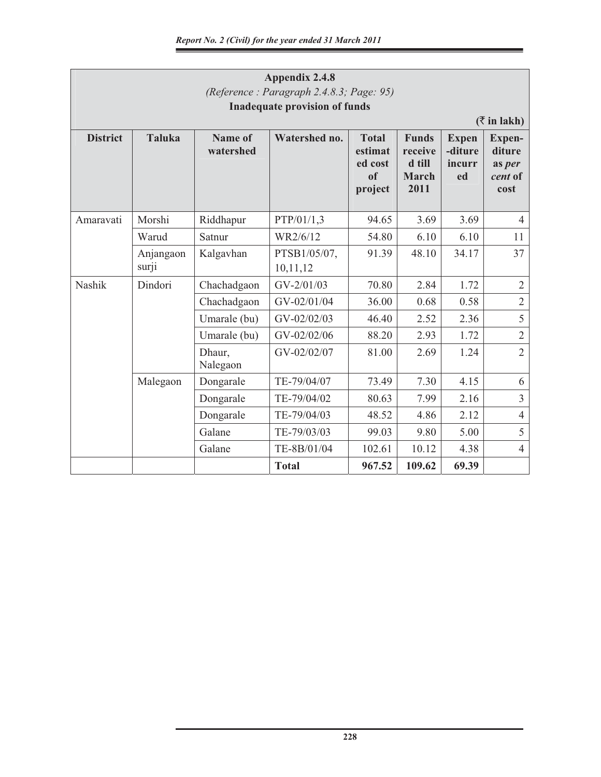| Appendix 2.4.8<br>(Reference: Paragraph 2.4.8.3; Page: 95)<br><b>Inadequate provision of funds</b><br>$(\bar{z}$ in lakh) |               |                      |                                                                                                                                   |        |        |       |                                               |  |
|---------------------------------------------------------------------------------------------------------------------------|---------------|----------------------|-----------------------------------------------------------------------------------------------------------------------------------|--------|--------|-------|-----------------------------------------------|--|
| <b>District</b>                                                                                                           | <b>Taluka</b> | Name of<br>watershed | Watershed no.<br><b>Funds</b><br><b>Total</b><br>estimat<br>receive<br>d till<br>ed cost<br>of<br><b>March</b><br>2011<br>project |        |        |       | Expen-<br>diture<br>as per<br>cent of<br>cost |  |
| Amaravati                                                                                                                 | Morshi        | Riddhapur            | PTP/01/1,3                                                                                                                        | 94.65  | 3.69   | 3.69  | $\overline{4}$                                |  |
|                                                                                                                           | Warud         | Satnur               | WR2/6/12                                                                                                                          | 54.80  | 6.10   | 6.10  | 11                                            |  |
| Anjangaon<br>surji                                                                                                        |               | Kalgavhan            | PTSB1/05/07,<br>10,11,12                                                                                                          | 91.39  | 48.10  | 34.17 | 37                                            |  |
| <b>Nashik</b>                                                                                                             | Dindori       | Chachadgaon          | $GV - 2/01/03$                                                                                                                    | 70.80  | 2.84   | 1.72  | $\sqrt{2}$                                    |  |
|                                                                                                                           |               | Chachadgaon          | GV-02/01/04                                                                                                                       | 36.00  | 0.68   | 0.58  | $\overline{2}$                                |  |
|                                                                                                                           |               | Umarale (bu)         | GV-02/02/03                                                                                                                       | 46.40  | 2.52   | 2.36  | 5                                             |  |
|                                                                                                                           |               | Umarale (bu)         | GV-02/02/06                                                                                                                       | 88.20  | 2.93   | 1.72  | $\overline{2}$                                |  |
|                                                                                                                           |               | Dhaur,<br>Nalegaon   | GV-02/02/07                                                                                                                       | 81.00  | 2.69   | 1.24  | $\overline{2}$                                |  |
|                                                                                                                           | Malegaon      | Dongarale            | TE-79/04/07                                                                                                                       | 73.49  | 7.30   | 4.15  | 6                                             |  |
|                                                                                                                           |               | Dongarale            | TE-79/04/02                                                                                                                       | 80.63  | 7.99   | 2.16  | $\overline{3}$                                |  |
|                                                                                                                           |               | Dongarale            | TE-79/04/03                                                                                                                       | 48.52  | 4.86   | 2.12  | $\overline{4}$                                |  |
|                                                                                                                           |               | Galane               | TE-79/03/03                                                                                                                       | 99.03  | 9.80   | 5.00  | 5                                             |  |
|                                                                                                                           |               | Galane               | TE-8B/01/04                                                                                                                       | 102.61 | 10.12  | 4.38  | $\overline{4}$                                |  |
|                                                                                                                           |               |                      | <b>Total</b>                                                                                                                      | 967.52 | 109.62 | 69.39 |                                               |  |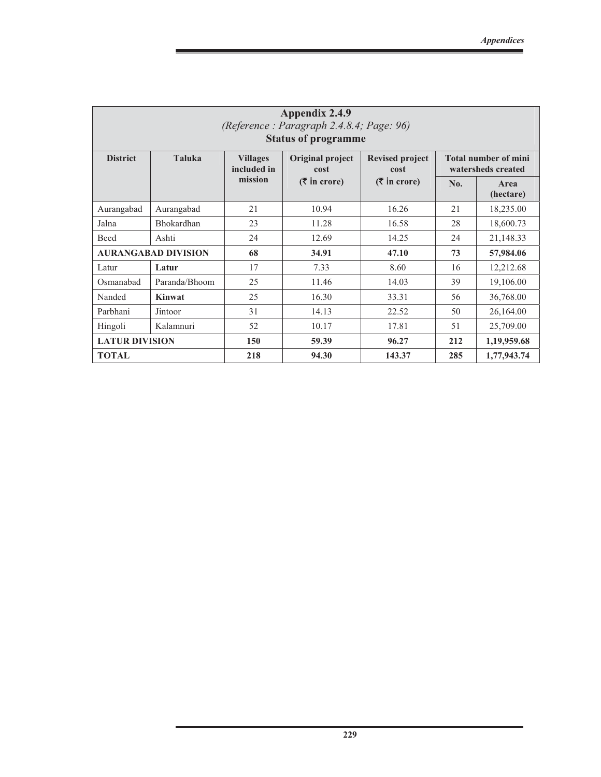| Appendix 2.4.9<br>(Reference: Paragraph 2.4.8.4; Page: 96)<br><b>Status of programme</b> |                            |                                                            |                                     |                                              |                                                   |                   |  |  |
|------------------------------------------------------------------------------------------|----------------------------|------------------------------------------------------------|-------------------------------------|----------------------------------------------|---------------------------------------------------|-------------------|--|--|
| <b>District</b>                                                                          | <b>Taluka</b>              | Original project<br><b>Villages</b><br>included in<br>cost |                                     | <b>Revised project</b><br>cost               | <b>Total number of mini</b><br>watersheds created |                   |  |  |
|                                                                                          |                            | mission                                                    | $(\bar{\bar{\mathbf{x}}}$ in crore) | $(\overline{\mathbf{\mathcal{F}}}$ in crore) | No.                                               | Area<br>(hectare) |  |  |
| Aurangabad                                                                               | Aurangabad                 | 21                                                         | 10.94                               | 16.26                                        | 21                                                | 18,235.00         |  |  |
| Jalna                                                                                    | Bhokardhan                 | 23                                                         | 11.28                               | 16.58                                        | 28                                                | 18,600.73         |  |  |
| Beed                                                                                     | Ashti                      | 24                                                         | 12.69                               | 14.25                                        | 24                                                | 21,148.33         |  |  |
|                                                                                          | <b>AURANGABAD DIVISION</b> | 68                                                         | 34.91                               | 47.10                                        | 73                                                | 57,984.06         |  |  |
| Latur                                                                                    | Latur                      | 17                                                         | 7.33                                | 8.60                                         | 16                                                | 12,212.68         |  |  |
| Osmanabad                                                                                | Paranda/Bhoom              | 25                                                         | 11.46                               | 14.03                                        | 39                                                | 19,106.00         |  |  |
| Nanded                                                                                   | <b>Kinwat</b>              | 25                                                         | 16.30                               | 33.31                                        | 56                                                | 36,768.00         |  |  |
| Parbhani                                                                                 | Jintoor                    | 31                                                         | 14.13                               | 22.52                                        | 50                                                | 26,164.00         |  |  |
| Hingoli                                                                                  | Kalamnuri                  | 52                                                         | 10.17                               | 17.81                                        | 51                                                | 25,709.00         |  |  |
| <b>LATUR DIVISION</b>                                                                    |                            | 150                                                        | 59.39                               | 96.27                                        | 212                                               | 1,19,959.68       |  |  |
| <b>TOTAL</b>                                                                             |                            | 218                                                        | 94.30                               | 143.37                                       | 285                                               | 1,77,943.74       |  |  |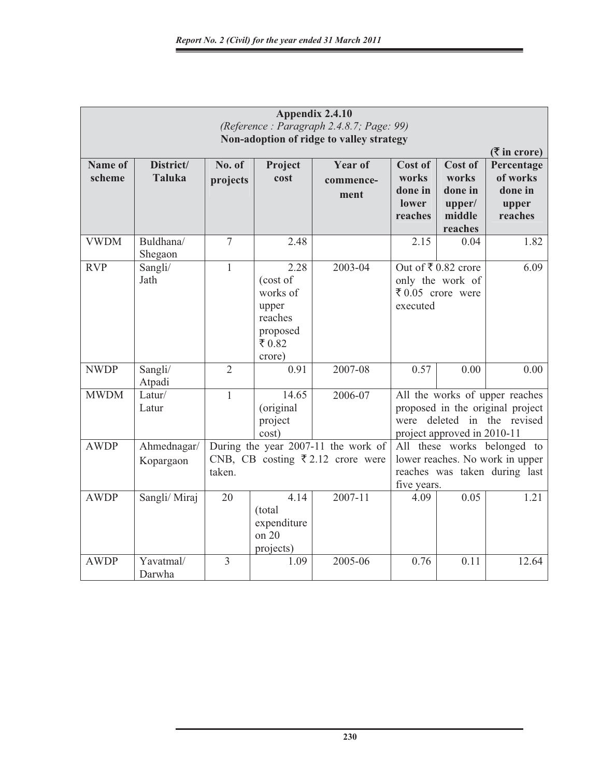| Appendix 2.4.10<br>(Reference: Paragraph 2.4.8.7; Page: 99)<br>Non-adoption of ridge to valley strategy |                            |                    |                                                                                 |                                                                                         |                                                                                                                |                                                                                                                                  |                                                       |  |  |
|---------------------------------------------------------------------------------------------------------|----------------------------|--------------------|---------------------------------------------------------------------------------|-----------------------------------------------------------------------------------------|----------------------------------------------------------------------------------------------------------------|----------------------------------------------------------------------------------------------------------------------------------|-------------------------------------------------------|--|--|
|                                                                                                         |                            |                    |                                                                                 | $($ <b>₹</b> in crore)                                                                  |                                                                                                                |                                                                                                                                  |                                                       |  |  |
| Name of<br>scheme                                                                                       | District/<br><b>Taluka</b> | No. of<br>projects | Project<br>cost                                                                 | <b>Year of</b><br>commence-<br>ment                                                     | Cost of<br>works<br>done in<br>lower<br>reaches                                                                | Cost of<br>works<br>done in<br>upper/<br>middle<br>reaches                                                                       | Percentage<br>of works<br>done in<br>upper<br>reaches |  |  |
| <b>VWDM</b>                                                                                             | Buldhana/<br>Shegaon       | $\overline{7}$     | 2.48                                                                            |                                                                                         | 2.15                                                                                                           | 0.04                                                                                                                             | 1.82                                                  |  |  |
| <b>RVP</b>                                                                                              | Sangli/<br>Jath            | $\mathbf{1}$       | 2.28<br>(cost of<br>works of<br>upper<br>reaches<br>proposed<br>₹0.82<br>crore) | 2003-04                                                                                 | Out of ₹0.82 crore<br>only the work of<br>₹ 0.05 crore were<br>executed                                        |                                                                                                                                  | 6.09                                                  |  |  |
| <b>NWDP</b>                                                                                             | Sangli/<br>Atpadi          | $\overline{2}$     | 0.91                                                                            | 2007-08                                                                                 | 0.57                                                                                                           | 0.00                                                                                                                             | 0.00                                                  |  |  |
| <b>MWDM</b>                                                                                             | Latur/<br>Latur            | $\mathbf{1}$       | 14.65<br>(original<br>project<br>cost)                                          | 2006-07                                                                                 |                                                                                                                | All the works of upper reaches<br>proposed in the original project<br>were deleted in the revised<br>project approved in 2010-11 |                                                       |  |  |
| <b>AWDP</b>                                                                                             | Ahmednagar/<br>Kopargaon   | taken.             |                                                                                 | During the year 2007-11 the work of<br>CNB, CB costing $\overline{\xi}$ 2.12 crore were | All these works belonged to<br>lower reaches. No work in upper<br>reaches was taken during last<br>five years. |                                                                                                                                  |                                                       |  |  |
| <b>AWDP</b>                                                                                             | Sangli/Miraj               | 20                 | 4.14<br>(total<br>expenditure<br>on 20<br>projects)                             | 2007-11                                                                                 | 4.09                                                                                                           | 0.05                                                                                                                             | 1.21                                                  |  |  |
| <b>AWDP</b>                                                                                             | Yavatmal/<br>Darwha        | $\overline{3}$     | 1.09                                                                            | 2005-06                                                                                 | 0.76                                                                                                           | 0.11                                                                                                                             | 12.64                                                 |  |  |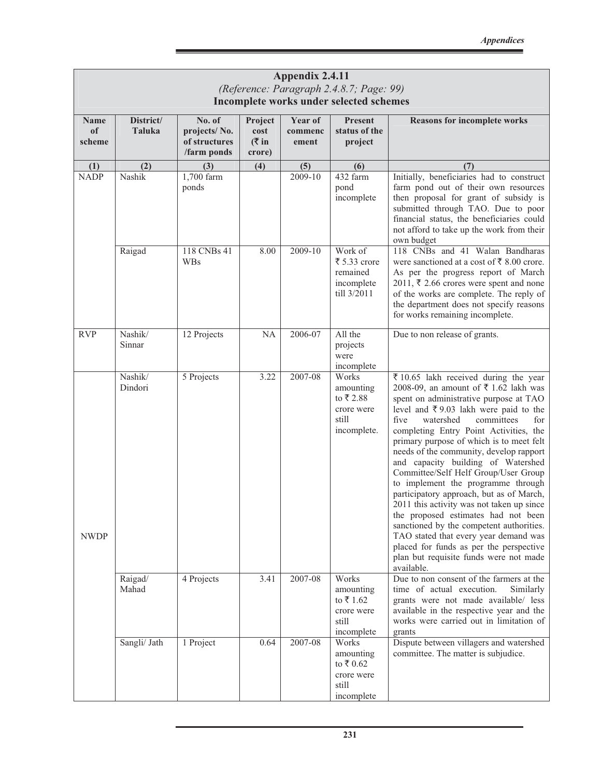|                             | Appendix 2.4.11<br>(Reference: Paragraph 2.4.8.7; Page: 99)<br>Incomplete works under selected schemes |                                                        |                                     |                             |                                                                              |                                                                                                                                                                                                                                                                                                                                                                                                                                                                                                                                                                                                                                                                                                                                                                                         |  |  |  |
|-----------------------------|--------------------------------------------------------------------------------------------------------|--------------------------------------------------------|-------------------------------------|-----------------------------|------------------------------------------------------------------------------|-----------------------------------------------------------------------------------------------------------------------------------------------------------------------------------------------------------------------------------------------------------------------------------------------------------------------------------------------------------------------------------------------------------------------------------------------------------------------------------------------------------------------------------------------------------------------------------------------------------------------------------------------------------------------------------------------------------------------------------------------------------------------------------------|--|--|--|
| <b>Name</b><br>of<br>scheme | District/<br>Taluka                                                                                    | No. of<br>projects/No.<br>of structures<br>/farm ponds | Project<br>cost<br>( ₹ in<br>crore) | Year of<br>commenc<br>ement | <b>Present</b><br>status of the<br>project                                   | <b>Reasons for incomplete works</b>                                                                                                                                                                                                                                                                                                                                                                                                                                                                                                                                                                                                                                                                                                                                                     |  |  |  |
| (1)<br><b>NADP</b>          | (2)<br>Nashik                                                                                          | (3)<br>1,700 farm                                      | (4)                                 | (5)<br>2009-10              | (6)<br>432 farm                                                              | (7)<br>Initially, beneficiaries had to construct                                                                                                                                                                                                                                                                                                                                                                                                                                                                                                                                                                                                                                                                                                                                        |  |  |  |
|                             |                                                                                                        | ponds                                                  |                                     |                             | pond<br>incomplete                                                           | farm pond out of their own resources<br>then proposal for grant of subsidy is<br>submitted through TAO. Due to poor<br>financial status, the beneficiaries could<br>not afford to take up the work from their<br>own budget                                                                                                                                                                                                                                                                                                                                                                                                                                                                                                                                                             |  |  |  |
|                             | Raigad                                                                                                 | 118 CNBs 41<br><b>WBs</b>                              | 8.00                                | 2009-10                     | Work of<br>₹ 5.33 crore<br>remained<br>incomplete<br>till 3/2011             | 118 CNBs and 41 Walan Bandharas<br>were sanctioned at a cost of $\bar{\xi}$ 8.00 crore.<br>As per the progress report of March<br>$2011$ , ₹ 2.66 crores were spent and none<br>of the works are complete. The reply of<br>the department does not specify reasons<br>for works remaining incomplete.                                                                                                                                                                                                                                                                                                                                                                                                                                                                                   |  |  |  |
| <b>RVP</b>                  | Nashik/<br>Sinnar                                                                                      | 12 Projects                                            | <b>NA</b>                           | 2006-07                     | All the<br>projects<br>were<br>incomplete                                    | Due to non release of grants.                                                                                                                                                                                                                                                                                                                                                                                                                                                                                                                                                                                                                                                                                                                                                           |  |  |  |
| <b>NWDP</b>                 | Nashik/<br>Dindori                                                                                     | 5 Projects                                             | 3.22                                | 2007-08                     | Works<br>amounting<br>to ₹2.88<br>crore were<br>still<br>incomplete.         | ₹ 10.65 lakh received during the year<br>2008-09, an amount of ₹1.62 lakh was<br>spent on administrative purpose at TAO<br>level and ₹9.03 lakh were paid to the<br>five<br>watershed<br>committees<br>for<br>completing Entry Point Activities, the<br>primary purpose of which is to meet felt<br>needs of the community, develop rapport<br>and capacity building of Watershed<br>Committee/Self Helf Group/User Group<br>to implement the programme through<br>participatory approach, but as of March,<br>2011 this activity was not taken up since<br>the proposed estimates had not been<br>sanctioned by the competent authorities.<br>TAO stated that every year demand was<br>placed for funds as per the perspective<br>plan but requisite funds were not made<br>available. |  |  |  |
|                             | Raigad/<br>Mahad                                                                                       | 4 Projects                                             | 3.41                                | 2007-08                     | Works<br>amounting<br>to ₹1.62<br>crore were<br>still<br>incomplete          | Due to non consent of the farmers at the<br>time of actual execution.<br>Similarly<br>grants were not made available/ less<br>available in the respective year and the<br>works were carried out in limitation of<br>grants                                                                                                                                                                                                                                                                                                                                                                                                                                                                                                                                                             |  |  |  |
|                             | Sangli/ Jath                                                                                           | 1 Project                                              | 0.64                                | 2007-08                     | Works<br>amounting<br>to $\bar{x}$ 0.62<br>crore were<br>still<br>incomplete | Dispute between villagers and watershed<br>committee. The matter is subjudice.                                                                                                                                                                                                                                                                                                                                                                                                                                                                                                                                                                                                                                                                                                          |  |  |  |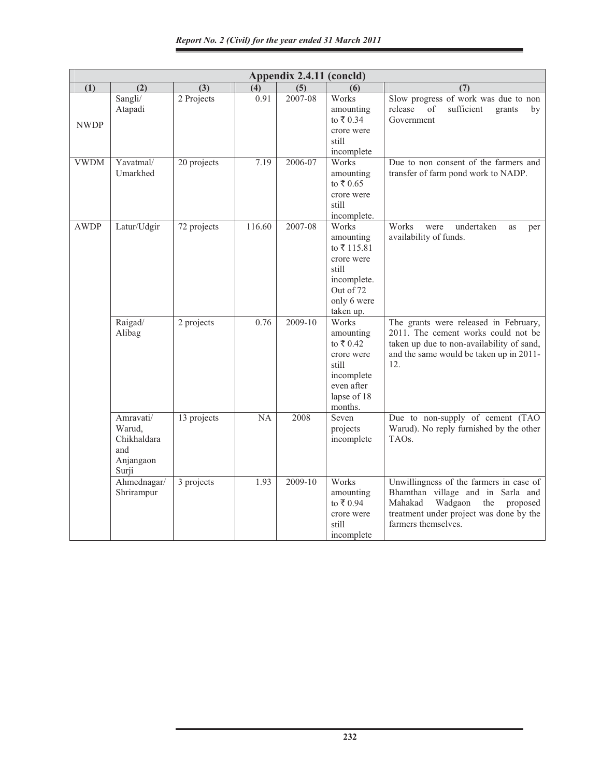| Appendix 2.4.11 (concld) |                                                                 |             |        |         |                                                                                                                 |                                                                                                                                                                                         |  |
|--------------------------|-----------------------------------------------------------------|-------------|--------|---------|-----------------------------------------------------------------------------------------------------------------|-----------------------------------------------------------------------------------------------------------------------------------------------------------------------------------------|--|
| (1)                      | (2)                                                             | (3)         | (4)    | (5)     | (6)                                                                                                             | (7)                                                                                                                                                                                     |  |
| <b>NWDP</b>              | Sangli/<br>Atapadi                                              | 2 Projects  | 0.91   | 2007-08 | Works<br>amounting<br>to ₹0.34<br>crore were<br>still<br>incomplete                                             | Slow progress of work was due to non<br>sufficient<br>release<br>of<br>grants<br>by<br>Government                                                                                       |  |
| <b>VWDM</b>              | Yavatmal/<br>Umarkhed                                           | 20 projects | 7.19   | 2006-07 | Works<br>amounting<br>to $\bar{x}$ 0.65<br>crore were<br>still<br>incomplete.                                   | Due to non consent of the farmers and<br>transfer of farm pond work to NADP.                                                                                                            |  |
| <b>AWDP</b>              | Latur/Udgir                                                     | 72 projects | 116.60 | 2007-08 | Works<br>amounting<br>to ₹115.81<br>crore were<br>still<br>incomplete.<br>Out of 72<br>only 6 were<br>taken up. | Works<br>undertaken<br>were<br>as<br>per<br>availability of funds.                                                                                                                      |  |
|                          | Raigad/<br>Alibag                                               | 2 projects  | 0.76   | 2009-10 | Works<br>amounting<br>to ₹0.42<br>crore were<br>still<br>incomplete<br>even after<br>lapse of 18<br>months.     | The grants were released in February,<br>2011. The cement works could not be<br>taken up due to non-availability of sand,<br>and the same would be taken up in 2011-<br>12.             |  |
|                          | Amravati/<br>Warud,<br>Chikhaldara<br>and<br>Anjangaon<br>Surji | 13 projects | NA     | 2008    | Seven<br>projects<br>incomplete                                                                                 | Due to non-supply of cement (TAO<br>Warud). No reply furnished by the other<br>TAOs.                                                                                                    |  |
|                          | Ahmednagar/<br>Shrirampur                                       | 3 projects  | 1.93   | 2009-10 | Works<br>amounting<br>to ₹0.94<br>crore were<br>still<br>incomplete                                             | Unwillingness of the farmers in case of<br>Bhamthan village and in Sarla and<br>Wadgaon<br>Mahakad<br>the<br>proposed<br>treatment under project was done by the<br>farmers themselves. |  |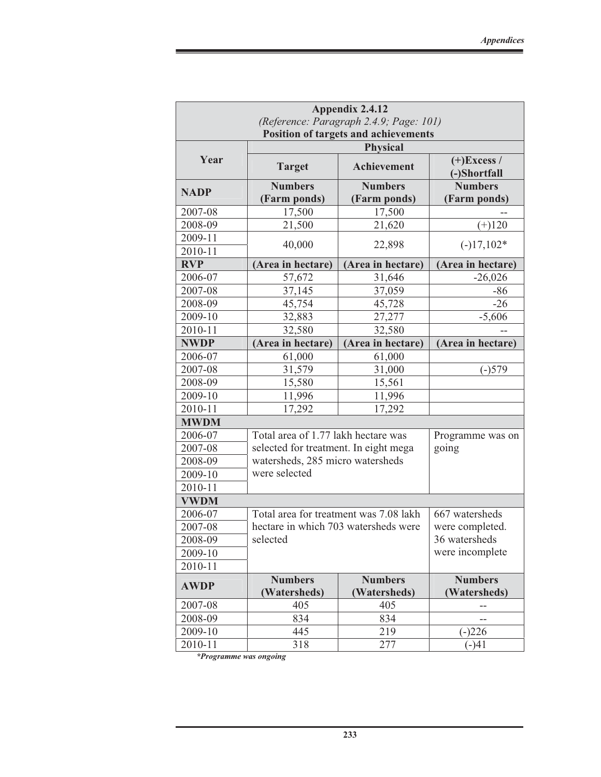| Appendix 2.4.12                             |                                         |                                |                                |  |  |  |  |  |  |
|---------------------------------------------|-----------------------------------------|--------------------------------|--------------------------------|--|--|--|--|--|--|
|                                             | (Reference: Paragraph 2.4.9; Page: 101) |                                |                                |  |  |  |  |  |  |
| <b>Position of targets and achievements</b> |                                         |                                |                                |  |  |  |  |  |  |
|                                             |                                         | <b>Physical</b>                |                                |  |  |  |  |  |  |
| Year                                        | <b>Target</b>                           | <b>Achievement</b>             | $(+)$ Excess /<br>(-)Shortfall |  |  |  |  |  |  |
| <b>NADP</b>                                 | <b>Numbers</b>                          | <b>Numbers</b>                 | <b>Numbers</b>                 |  |  |  |  |  |  |
|                                             | (Farm ponds)                            | (Farm ponds)                   | (Farm ponds)                   |  |  |  |  |  |  |
| 2007-08                                     | 17,500                                  | 17,500                         |                                |  |  |  |  |  |  |
| 2008-09                                     | 21,500                                  | 21,620                         | $(+)120$                       |  |  |  |  |  |  |
| 2009-11                                     | 40,000                                  | 22,898                         | $(-)17,102*$                   |  |  |  |  |  |  |
| 2010-11                                     |                                         |                                |                                |  |  |  |  |  |  |
| <b>RVP</b>                                  | (Area in hectare)                       | (Area in hectare)              | (Area in hectare)              |  |  |  |  |  |  |
| 2006-07                                     | 57,672                                  | 31,646                         | $-26,026$                      |  |  |  |  |  |  |
| 2007-08                                     | 37,145                                  | 37,059                         | $-86$                          |  |  |  |  |  |  |
| 2008-09                                     | 45,754                                  | 45,728                         | $-26$                          |  |  |  |  |  |  |
| 2009-10                                     | 32,883                                  | 27,277                         | $-5,606$                       |  |  |  |  |  |  |
| 2010-11                                     | 32,580                                  |                                |                                |  |  |  |  |  |  |
| <b>NWDP</b>                                 | (Area in hectare)                       | (Area in hectare)              |                                |  |  |  |  |  |  |
| 2006-07                                     | 61,000                                  | (Area in hectare)<br>61,000    |                                |  |  |  |  |  |  |
| 2007-08                                     | 31,579                                  | 31,000                         | $(-)579$                       |  |  |  |  |  |  |
| 2008-09                                     | 15,580                                  | 15,561                         |                                |  |  |  |  |  |  |
| 2009-10                                     | 11,996                                  | 11,996                         |                                |  |  |  |  |  |  |
| 2010-11                                     | 17,292                                  | 17,292                         |                                |  |  |  |  |  |  |
| <b>MWDM</b>                                 |                                         |                                |                                |  |  |  |  |  |  |
| 2006-07                                     | Total area of 1.77 lakh hectare was     |                                | Programme was on               |  |  |  |  |  |  |
| 2007-08                                     | selected for treatment. In eight mega   |                                | going                          |  |  |  |  |  |  |
| 2008-09                                     | watersheds, 285 micro watersheds        |                                |                                |  |  |  |  |  |  |
| 2009-10                                     | were selected                           |                                |                                |  |  |  |  |  |  |
| 2010-11                                     |                                         |                                |                                |  |  |  |  |  |  |
| <b>VWDM</b>                                 |                                         |                                |                                |  |  |  |  |  |  |
| 2006-07                                     | Total area for treatment was 7.08 lakh  |                                | 667 watersheds                 |  |  |  |  |  |  |
| 2007-08                                     | hectare in which 703 watersheds were    |                                | were completed.                |  |  |  |  |  |  |
| 2008-09                                     | selected                                |                                | 36 watersheds                  |  |  |  |  |  |  |
| 2009-10                                     |                                         |                                | were incomplete                |  |  |  |  |  |  |
| 2010-11                                     |                                         |                                |                                |  |  |  |  |  |  |
| <b>AWDP</b>                                 | <b>Numbers</b><br>(Watersheds)          | <b>Numbers</b><br>(Watersheds) |                                |  |  |  |  |  |  |
| 2007-08                                     | 405                                     | (Watersheds)<br>405            |                                |  |  |  |  |  |  |
| 2008-09                                     | 834                                     | 834                            |                                |  |  |  |  |  |  |
| 2009-10                                     | 445                                     | 219                            | $(-)226$                       |  |  |  |  |  |  |
| 2010-11                                     | 318                                     | 277                            | $(-)41$                        |  |  |  |  |  |  |

*\*Programme was ongoing*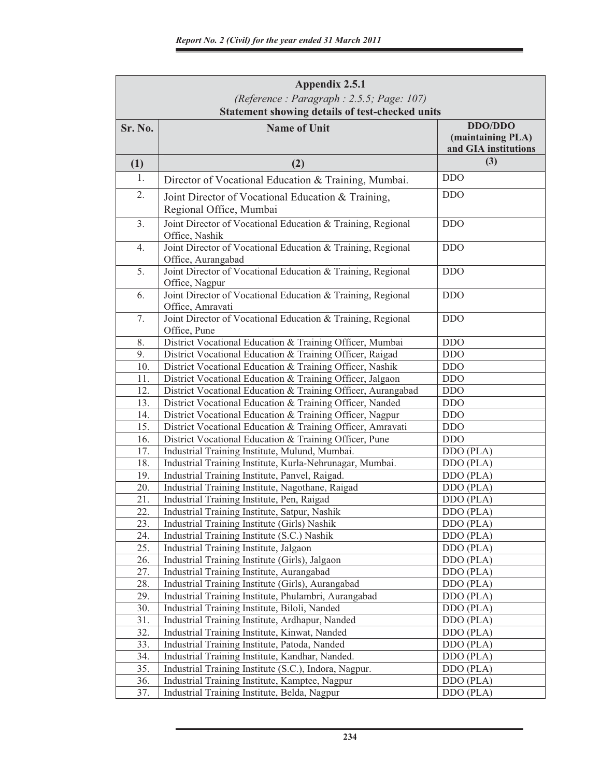| Appendix 2.5.1 |                                                                                   |                                                      |  |  |  |  |  |  |  |  |
|----------------|-----------------------------------------------------------------------------------|------------------------------------------------------|--|--|--|--|--|--|--|--|
|                | (Reference: Paragraph: 2.5.5; Page: 107)                                          |                                                      |  |  |  |  |  |  |  |  |
|                | Statement showing details of test-checked units                                   |                                                      |  |  |  |  |  |  |  |  |
| Sr. No.        | <b>Name of Unit</b>                                                               | DDO/DDO<br>(maintaining PLA)<br>and GIA institutions |  |  |  |  |  |  |  |  |
| (1)            | (2)                                                                               | (3)                                                  |  |  |  |  |  |  |  |  |
| 1.             | Director of Vocational Education & Training, Mumbai.                              | <b>DDO</b>                                           |  |  |  |  |  |  |  |  |
| 2.             | Joint Director of Vocational Education & Training,<br>Regional Office, Mumbai     | <b>DDO</b>                                           |  |  |  |  |  |  |  |  |
| 3.             | Joint Director of Vocational Education & Training, Regional<br>Office, Nashik     | <b>DDO</b>                                           |  |  |  |  |  |  |  |  |
| 4.             | Joint Director of Vocational Education & Training, Regional<br>Office, Aurangabad | DDO                                                  |  |  |  |  |  |  |  |  |
| 5.             | Joint Director of Vocational Education & Training, Regional<br>Office, Nagpur     | <b>DDO</b>                                           |  |  |  |  |  |  |  |  |
| 6.             | Joint Director of Vocational Education & Training, Regional<br>Office, Amravati   | <b>DDO</b>                                           |  |  |  |  |  |  |  |  |
| 7.             | Joint Director of Vocational Education & Training, Regional<br>Office, Pune       | <b>DDO</b>                                           |  |  |  |  |  |  |  |  |
| 8.             | District Vocational Education & Training Officer, Mumbai                          | <b>DDO</b>                                           |  |  |  |  |  |  |  |  |
| 9.             | District Vocational Education & Training Officer, Raigad                          | <b>DDO</b>                                           |  |  |  |  |  |  |  |  |
| 10.            | District Vocational Education & Training Officer, Nashik                          | <b>DDO</b>                                           |  |  |  |  |  |  |  |  |
| 11.            | District Vocational Education & Training Officer, Jalgaon                         | $\rm DDO$                                            |  |  |  |  |  |  |  |  |
| 12.            | District Vocational Education & Training Officer, Aurangabad                      | <b>DDO</b>                                           |  |  |  |  |  |  |  |  |
| 13.            | District Vocational Education & Training Officer, Nanded                          | <b>DDO</b>                                           |  |  |  |  |  |  |  |  |
| 14.            | District Vocational Education & Training Officer, Nagpur                          | <b>DDO</b>                                           |  |  |  |  |  |  |  |  |
| 15.            | District Vocational Education & Training Officer, Amravati                        | <b>DDO</b>                                           |  |  |  |  |  |  |  |  |
| 16.            | District Vocational Education & Training Officer, Pune                            | <b>DDO</b>                                           |  |  |  |  |  |  |  |  |
| 17.            | Industrial Training Institute, Mulund, Mumbai.                                    | DDO (PLA)                                            |  |  |  |  |  |  |  |  |
| 18.            | Industrial Training Institute, Kurla-Nehrunagar, Mumbai.                          | DDO (PLA)                                            |  |  |  |  |  |  |  |  |
| 19.            | Industrial Training Institute, Panvel, Raigad.                                    | DDO (PLA)                                            |  |  |  |  |  |  |  |  |
| 20.            | Industrial Training Institute, Nagothane, Raigad                                  | DDO (PLA)                                            |  |  |  |  |  |  |  |  |
| 21.            | Industrial Training Institute, Pen, Raigad                                        | DDO (PLA)                                            |  |  |  |  |  |  |  |  |
| 22.            | Industrial Training Institute, Satpur, Nashik                                     | DDO (PLA)                                            |  |  |  |  |  |  |  |  |
| 23.            | Industrial Training Institute (Girls) Nashik                                      | DDO (PLA)                                            |  |  |  |  |  |  |  |  |
| 24.            | Industrial Training Institute (S.C.) Nashik                                       | DDO (PLA)                                            |  |  |  |  |  |  |  |  |
| 25.            | Industrial Training Institute, Jalgaon                                            | DDO (PLA)                                            |  |  |  |  |  |  |  |  |
| 26.            | Industrial Training Institute (Girls), Jalgaon                                    | DDO (PLA)                                            |  |  |  |  |  |  |  |  |
| 27.            | Industrial Training Institute, Aurangabad                                         | DDO (PLA)                                            |  |  |  |  |  |  |  |  |
| 28.            | Industrial Training Institute (Girls), Aurangabad                                 | DDO (PLA)                                            |  |  |  |  |  |  |  |  |
| 29.            | Industrial Training Institute, Phulambri, Aurangabad                              | DDO (PLA)                                            |  |  |  |  |  |  |  |  |
| 30.            | Industrial Training Institute, Biloli, Nanded                                     | DDO (PLA)                                            |  |  |  |  |  |  |  |  |
| 31.            | Industrial Training Institute, Ardhapur, Nanded                                   | DDO (PLA)                                            |  |  |  |  |  |  |  |  |
| 32.            | Industrial Training Institute, Kinwat, Nanded                                     | DDO (PLA)                                            |  |  |  |  |  |  |  |  |
| 33.            | Industrial Training Institute, Patoda, Nanded                                     | DDO (PLA)                                            |  |  |  |  |  |  |  |  |
| 34.            | Industrial Training Institute, Kandhar, Nanded.                                   | DDO (PLA)                                            |  |  |  |  |  |  |  |  |
| 35.            | Industrial Training Institute (S.C.), Indora, Nagpur.                             | DDO (PLA)                                            |  |  |  |  |  |  |  |  |
| 36.            | Industrial Training Institute, Kamptee, Nagpur                                    | DDO (PLA)                                            |  |  |  |  |  |  |  |  |
| 37.            | Industrial Training Institute, Belda, Nagpur                                      | DDO (PLA)                                            |  |  |  |  |  |  |  |  |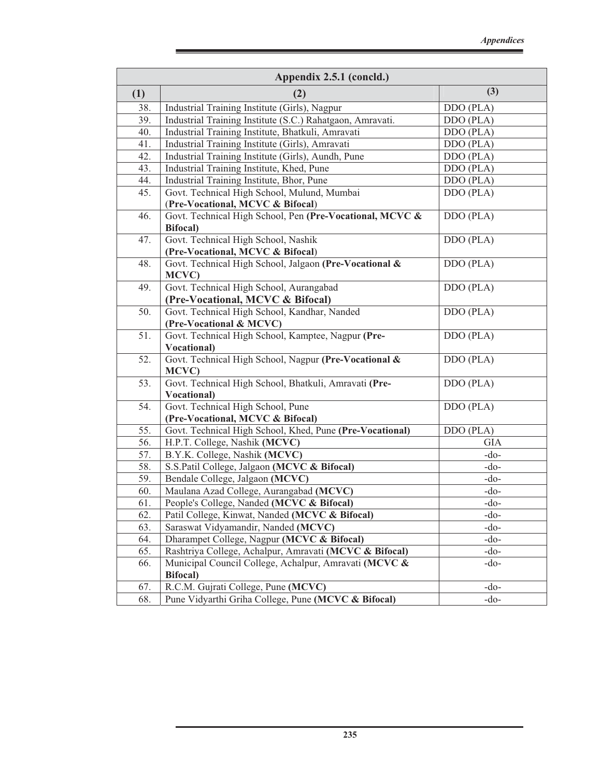| (3)<br>(1)<br>(2)<br>38.<br>Industrial Training Institute (Girls), Nagpur<br>DDO (PLA)<br>39.<br>Industrial Training Institute (S.C.) Rahatgaon, Amravati.<br>DDO (PLA)<br>Industrial Training Institute, Bhatkuli, Amravati<br>40.<br>DDO (PLA)<br>41.<br>Industrial Training Institute (Girls), Amravati<br>DDO (PLA)<br>42.<br>Industrial Training Institute (Girls), Aundh, Pune<br>DDO (PLA)<br>43.<br>Industrial Training Institute, Khed, Pune<br>DDO (PLA)<br>Industrial Training Institute, Bhor, Pune<br>44.<br>DDO (PLA)<br>Govt. Technical High School, Mulund, Mumbai<br>45.<br>DDO (PLA)<br>(Pre-Vocational, MCVC & Bifocal)<br>Govt. Technical High School, Pen (Pre-Vocational, MCVC &<br>DDO (PLA)<br>46.<br><b>Bifocal</b> )<br>Govt. Technical High School, Nashik<br>DDO (PLA)<br>47.<br>(Pre-Vocational, MCVC & Bifocal)<br>Govt. Technical High School, Jalgaon (Pre-Vocational &<br>DDO (PLA)<br>48.<br>MCVC)<br>Govt. Technical High School, Aurangabad<br>DDO (PLA)<br>49.<br>(Pre-Vocational, MCVC & Bifocal)<br>50.<br>Govt. Technical High School, Kandhar, Nanded<br>DDO (PLA)<br>(Pre-Vocational & MCVC)<br>Govt. Technical High School, Kamptee, Nagpur (Pre-<br>51.<br>DDO (PLA)<br><b>Vocational</b> )<br>Govt. Technical High School, Nagpur (Pre-Vocational &<br>52.<br>DDO (PLA)<br>MCVC)<br>Govt. Technical High School, Bhatkuli, Amravati (Pre-<br>53.<br>DDO (PLA)<br><b>Vocational</b> )<br>Govt. Technical High School, Pune<br>54.<br>DDO (PLA)<br>(Pre-Vocational, MCVC & Bifocal)<br>55.<br>Govt. Technical High School, Khed, Pune (Pre-Vocational)<br>DDO (PLA)<br>56.<br>H.P.T. College, Nashik (MCVC)<br><b>GIA</b><br>B.Y.K. College, Nashik (MCVC)<br>57.<br>$-do-$<br>58.<br>S.S.Patil College, Jalgaon (MCVC & Bifocal)<br>$-do-$<br>Bendale College, Jalgaon (MCVC)<br>59.<br>$-do-$<br>Maulana Azad College, Aurangabad (MCVC)<br>60.<br>$-do-$<br>People's College, Nanded (MCVC & Bifocal)<br>61.<br>$-do-$<br>Patil College, Kinwat, Nanded (MCVC & Bifocal)<br>62.<br>$-do-$<br>63.<br>Saraswat Vidyamandir, Nanded (MCVC)<br>$-do-$<br>Dharampet College, Nagpur (MCVC & Bifocal)<br>64.<br>$-do-$<br>Rashtriya College, Achalpur, Amravati (MCVC & Bifocal)<br>65.<br>$-do-$<br>Municipal Council College, Achalpur, Amravati (MCVC &<br>66.<br>$-do-$<br><b>Bifocal</b> )<br>R.C.M. Gujrati College, Pune (MCVC)<br>67.<br>$-do-$ | Appendix 2.5.1 (concld.) |                                                     |        |  |  |  |  |
|-------------------------------------------------------------------------------------------------------------------------------------------------------------------------------------------------------------------------------------------------------------------------------------------------------------------------------------------------------------------------------------------------------------------------------------------------------------------------------------------------------------------------------------------------------------------------------------------------------------------------------------------------------------------------------------------------------------------------------------------------------------------------------------------------------------------------------------------------------------------------------------------------------------------------------------------------------------------------------------------------------------------------------------------------------------------------------------------------------------------------------------------------------------------------------------------------------------------------------------------------------------------------------------------------------------------------------------------------------------------------------------------------------------------------------------------------------------------------------------------------------------------------------------------------------------------------------------------------------------------------------------------------------------------------------------------------------------------------------------------------------------------------------------------------------------------------------------------------------------------------------------------------------------------------------------------------------------------------------------------------------------------------------------------------------------------------------------------------------------------------------------------------------------------------------------------------------------------------------------------------------------------------------------------------------------------------------------------------------------------------------------------------|--------------------------|-----------------------------------------------------|--------|--|--|--|--|
|                                                                                                                                                                                                                                                                                                                                                                                                                                                                                                                                                                                                                                                                                                                                                                                                                                                                                                                                                                                                                                                                                                                                                                                                                                                                                                                                                                                                                                                                                                                                                                                                                                                                                                                                                                                                                                                                                                                                                                                                                                                                                                                                                                                                                                                                                                                                                                                                 |                          |                                                     |        |  |  |  |  |
|                                                                                                                                                                                                                                                                                                                                                                                                                                                                                                                                                                                                                                                                                                                                                                                                                                                                                                                                                                                                                                                                                                                                                                                                                                                                                                                                                                                                                                                                                                                                                                                                                                                                                                                                                                                                                                                                                                                                                                                                                                                                                                                                                                                                                                                                                                                                                                                                 |                          |                                                     |        |  |  |  |  |
|                                                                                                                                                                                                                                                                                                                                                                                                                                                                                                                                                                                                                                                                                                                                                                                                                                                                                                                                                                                                                                                                                                                                                                                                                                                                                                                                                                                                                                                                                                                                                                                                                                                                                                                                                                                                                                                                                                                                                                                                                                                                                                                                                                                                                                                                                                                                                                                                 |                          |                                                     |        |  |  |  |  |
|                                                                                                                                                                                                                                                                                                                                                                                                                                                                                                                                                                                                                                                                                                                                                                                                                                                                                                                                                                                                                                                                                                                                                                                                                                                                                                                                                                                                                                                                                                                                                                                                                                                                                                                                                                                                                                                                                                                                                                                                                                                                                                                                                                                                                                                                                                                                                                                                 |                          |                                                     |        |  |  |  |  |
|                                                                                                                                                                                                                                                                                                                                                                                                                                                                                                                                                                                                                                                                                                                                                                                                                                                                                                                                                                                                                                                                                                                                                                                                                                                                                                                                                                                                                                                                                                                                                                                                                                                                                                                                                                                                                                                                                                                                                                                                                                                                                                                                                                                                                                                                                                                                                                                                 |                          |                                                     |        |  |  |  |  |
|                                                                                                                                                                                                                                                                                                                                                                                                                                                                                                                                                                                                                                                                                                                                                                                                                                                                                                                                                                                                                                                                                                                                                                                                                                                                                                                                                                                                                                                                                                                                                                                                                                                                                                                                                                                                                                                                                                                                                                                                                                                                                                                                                                                                                                                                                                                                                                                                 |                          |                                                     |        |  |  |  |  |
|                                                                                                                                                                                                                                                                                                                                                                                                                                                                                                                                                                                                                                                                                                                                                                                                                                                                                                                                                                                                                                                                                                                                                                                                                                                                                                                                                                                                                                                                                                                                                                                                                                                                                                                                                                                                                                                                                                                                                                                                                                                                                                                                                                                                                                                                                                                                                                                                 |                          |                                                     |        |  |  |  |  |
|                                                                                                                                                                                                                                                                                                                                                                                                                                                                                                                                                                                                                                                                                                                                                                                                                                                                                                                                                                                                                                                                                                                                                                                                                                                                                                                                                                                                                                                                                                                                                                                                                                                                                                                                                                                                                                                                                                                                                                                                                                                                                                                                                                                                                                                                                                                                                                                                 |                          |                                                     |        |  |  |  |  |
|                                                                                                                                                                                                                                                                                                                                                                                                                                                                                                                                                                                                                                                                                                                                                                                                                                                                                                                                                                                                                                                                                                                                                                                                                                                                                                                                                                                                                                                                                                                                                                                                                                                                                                                                                                                                                                                                                                                                                                                                                                                                                                                                                                                                                                                                                                                                                                                                 |                          |                                                     |        |  |  |  |  |
|                                                                                                                                                                                                                                                                                                                                                                                                                                                                                                                                                                                                                                                                                                                                                                                                                                                                                                                                                                                                                                                                                                                                                                                                                                                                                                                                                                                                                                                                                                                                                                                                                                                                                                                                                                                                                                                                                                                                                                                                                                                                                                                                                                                                                                                                                                                                                                                                 |                          |                                                     |        |  |  |  |  |
|                                                                                                                                                                                                                                                                                                                                                                                                                                                                                                                                                                                                                                                                                                                                                                                                                                                                                                                                                                                                                                                                                                                                                                                                                                                                                                                                                                                                                                                                                                                                                                                                                                                                                                                                                                                                                                                                                                                                                                                                                                                                                                                                                                                                                                                                                                                                                                                                 |                          |                                                     |        |  |  |  |  |
|                                                                                                                                                                                                                                                                                                                                                                                                                                                                                                                                                                                                                                                                                                                                                                                                                                                                                                                                                                                                                                                                                                                                                                                                                                                                                                                                                                                                                                                                                                                                                                                                                                                                                                                                                                                                                                                                                                                                                                                                                                                                                                                                                                                                                                                                                                                                                                                                 |                          |                                                     |        |  |  |  |  |
|                                                                                                                                                                                                                                                                                                                                                                                                                                                                                                                                                                                                                                                                                                                                                                                                                                                                                                                                                                                                                                                                                                                                                                                                                                                                                                                                                                                                                                                                                                                                                                                                                                                                                                                                                                                                                                                                                                                                                                                                                                                                                                                                                                                                                                                                                                                                                                                                 |                          |                                                     |        |  |  |  |  |
|                                                                                                                                                                                                                                                                                                                                                                                                                                                                                                                                                                                                                                                                                                                                                                                                                                                                                                                                                                                                                                                                                                                                                                                                                                                                                                                                                                                                                                                                                                                                                                                                                                                                                                                                                                                                                                                                                                                                                                                                                                                                                                                                                                                                                                                                                                                                                                                                 |                          |                                                     |        |  |  |  |  |
|                                                                                                                                                                                                                                                                                                                                                                                                                                                                                                                                                                                                                                                                                                                                                                                                                                                                                                                                                                                                                                                                                                                                                                                                                                                                                                                                                                                                                                                                                                                                                                                                                                                                                                                                                                                                                                                                                                                                                                                                                                                                                                                                                                                                                                                                                                                                                                                                 |                          |                                                     |        |  |  |  |  |
|                                                                                                                                                                                                                                                                                                                                                                                                                                                                                                                                                                                                                                                                                                                                                                                                                                                                                                                                                                                                                                                                                                                                                                                                                                                                                                                                                                                                                                                                                                                                                                                                                                                                                                                                                                                                                                                                                                                                                                                                                                                                                                                                                                                                                                                                                                                                                                                                 |                          |                                                     |        |  |  |  |  |
|                                                                                                                                                                                                                                                                                                                                                                                                                                                                                                                                                                                                                                                                                                                                                                                                                                                                                                                                                                                                                                                                                                                                                                                                                                                                                                                                                                                                                                                                                                                                                                                                                                                                                                                                                                                                                                                                                                                                                                                                                                                                                                                                                                                                                                                                                                                                                                                                 |                          |                                                     |        |  |  |  |  |
|                                                                                                                                                                                                                                                                                                                                                                                                                                                                                                                                                                                                                                                                                                                                                                                                                                                                                                                                                                                                                                                                                                                                                                                                                                                                                                                                                                                                                                                                                                                                                                                                                                                                                                                                                                                                                                                                                                                                                                                                                                                                                                                                                                                                                                                                                                                                                                                                 |                          |                                                     |        |  |  |  |  |
|                                                                                                                                                                                                                                                                                                                                                                                                                                                                                                                                                                                                                                                                                                                                                                                                                                                                                                                                                                                                                                                                                                                                                                                                                                                                                                                                                                                                                                                                                                                                                                                                                                                                                                                                                                                                                                                                                                                                                                                                                                                                                                                                                                                                                                                                                                                                                                                                 |                          |                                                     |        |  |  |  |  |
|                                                                                                                                                                                                                                                                                                                                                                                                                                                                                                                                                                                                                                                                                                                                                                                                                                                                                                                                                                                                                                                                                                                                                                                                                                                                                                                                                                                                                                                                                                                                                                                                                                                                                                                                                                                                                                                                                                                                                                                                                                                                                                                                                                                                                                                                                                                                                                                                 |                          |                                                     |        |  |  |  |  |
|                                                                                                                                                                                                                                                                                                                                                                                                                                                                                                                                                                                                                                                                                                                                                                                                                                                                                                                                                                                                                                                                                                                                                                                                                                                                                                                                                                                                                                                                                                                                                                                                                                                                                                                                                                                                                                                                                                                                                                                                                                                                                                                                                                                                                                                                                                                                                                                                 |                          |                                                     |        |  |  |  |  |
|                                                                                                                                                                                                                                                                                                                                                                                                                                                                                                                                                                                                                                                                                                                                                                                                                                                                                                                                                                                                                                                                                                                                                                                                                                                                                                                                                                                                                                                                                                                                                                                                                                                                                                                                                                                                                                                                                                                                                                                                                                                                                                                                                                                                                                                                                                                                                                                                 |                          |                                                     |        |  |  |  |  |
|                                                                                                                                                                                                                                                                                                                                                                                                                                                                                                                                                                                                                                                                                                                                                                                                                                                                                                                                                                                                                                                                                                                                                                                                                                                                                                                                                                                                                                                                                                                                                                                                                                                                                                                                                                                                                                                                                                                                                                                                                                                                                                                                                                                                                                                                                                                                                                                                 |                          |                                                     |        |  |  |  |  |
|                                                                                                                                                                                                                                                                                                                                                                                                                                                                                                                                                                                                                                                                                                                                                                                                                                                                                                                                                                                                                                                                                                                                                                                                                                                                                                                                                                                                                                                                                                                                                                                                                                                                                                                                                                                                                                                                                                                                                                                                                                                                                                                                                                                                                                                                                                                                                                                                 |                          |                                                     |        |  |  |  |  |
|                                                                                                                                                                                                                                                                                                                                                                                                                                                                                                                                                                                                                                                                                                                                                                                                                                                                                                                                                                                                                                                                                                                                                                                                                                                                                                                                                                                                                                                                                                                                                                                                                                                                                                                                                                                                                                                                                                                                                                                                                                                                                                                                                                                                                                                                                                                                                                                                 |                          |                                                     |        |  |  |  |  |
|                                                                                                                                                                                                                                                                                                                                                                                                                                                                                                                                                                                                                                                                                                                                                                                                                                                                                                                                                                                                                                                                                                                                                                                                                                                                                                                                                                                                                                                                                                                                                                                                                                                                                                                                                                                                                                                                                                                                                                                                                                                                                                                                                                                                                                                                                                                                                                                                 |                          |                                                     |        |  |  |  |  |
|                                                                                                                                                                                                                                                                                                                                                                                                                                                                                                                                                                                                                                                                                                                                                                                                                                                                                                                                                                                                                                                                                                                                                                                                                                                                                                                                                                                                                                                                                                                                                                                                                                                                                                                                                                                                                                                                                                                                                                                                                                                                                                                                                                                                                                                                                                                                                                                                 |                          |                                                     |        |  |  |  |  |
|                                                                                                                                                                                                                                                                                                                                                                                                                                                                                                                                                                                                                                                                                                                                                                                                                                                                                                                                                                                                                                                                                                                                                                                                                                                                                                                                                                                                                                                                                                                                                                                                                                                                                                                                                                                                                                                                                                                                                                                                                                                                                                                                                                                                                                                                                                                                                                                                 |                          |                                                     |        |  |  |  |  |
|                                                                                                                                                                                                                                                                                                                                                                                                                                                                                                                                                                                                                                                                                                                                                                                                                                                                                                                                                                                                                                                                                                                                                                                                                                                                                                                                                                                                                                                                                                                                                                                                                                                                                                                                                                                                                                                                                                                                                                                                                                                                                                                                                                                                                                                                                                                                                                                                 |                          |                                                     |        |  |  |  |  |
|                                                                                                                                                                                                                                                                                                                                                                                                                                                                                                                                                                                                                                                                                                                                                                                                                                                                                                                                                                                                                                                                                                                                                                                                                                                                                                                                                                                                                                                                                                                                                                                                                                                                                                                                                                                                                                                                                                                                                                                                                                                                                                                                                                                                                                                                                                                                                                                                 |                          |                                                     |        |  |  |  |  |
|                                                                                                                                                                                                                                                                                                                                                                                                                                                                                                                                                                                                                                                                                                                                                                                                                                                                                                                                                                                                                                                                                                                                                                                                                                                                                                                                                                                                                                                                                                                                                                                                                                                                                                                                                                                                                                                                                                                                                                                                                                                                                                                                                                                                                                                                                                                                                                                                 |                          |                                                     |        |  |  |  |  |
|                                                                                                                                                                                                                                                                                                                                                                                                                                                                                                                                                                                                                                                                                                                                                                                                                                                                                                                                                                                                                                                                                                                                                                                                                                                                                                                                                                                                                                                                                                                                                                                                                                                                                                                                                                                                                                                                                                                                                                                                                                                                                                                                                                                                                                                                                                                                                                                                 | 68.                      | Pune Vidyarthi Griha College, Pune (MCVC & Bifocal) | $-do-$ |  |  |  |  |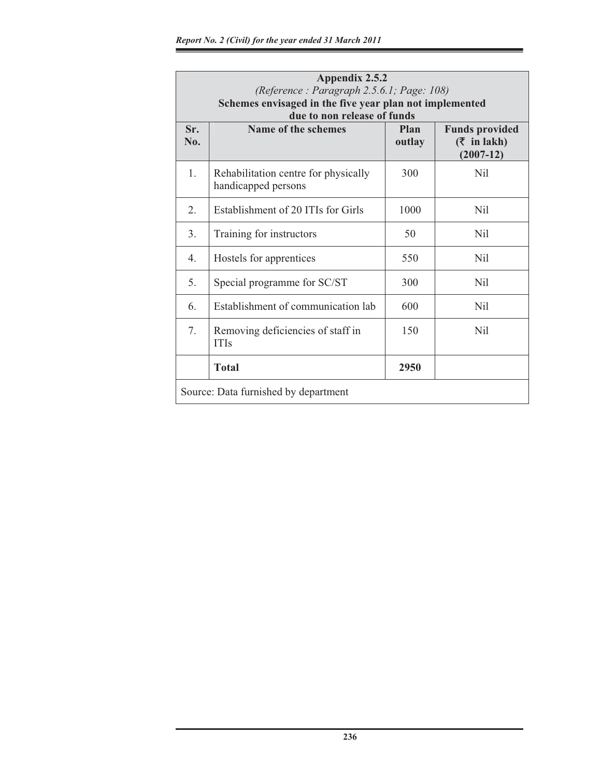| Appendix 2.5.2<br>(Reference: Paragraph 2.5.6.1; Page: 108)<br>Schemes envisaged in the five year plan not implemented<br>due to non release of funds |                                                             |                |                                                           |  |  |  |  |
|-------------------------------------------------------------------------------------------------------------------------------------------------------|-------------------------------------------------------------|----------------|-----------------------------------------------------------|--|--|--|--|
| Sr.<br>No.                                                                                                                                            | Name of the schemes                                         | Plan<br>outlay | <b>Funds provided</b><br>$($ ₹ in lakh $)$<br>$(2007-12)$ |  |  |  |  |
| 1.                                                                                                                                                    | Rehabilitation centre for physically<br>handicapped persons | 300            | Nil.                                                      |  |  |  |  |
| 2.                                                                                                                                                    | Establishment of 20 ITIs for Girls                          | 1000           | Nil                                                       |  |  |  |  |
| 3.                                                                                                                                                    | Training for instructors                                    | 50             | Nil                                                       |  |  |  |  |
| 4.                                                                                                                                                    | Hostels for apprentices                                     | 550            | Nil                                                       |  |  |  |  |
| 5.                                                                                                                                                    | Special programme for SC/ST                                 | 300            | Nil                                                       |  |  |  |  |
| 6.                                                                                                                                                    | Establishment of communication lab                          | 600            | Nil                                                       |  |  |  |  |
| 7.                                                                                                                                                    | Removing deficiencies of staff in<br><b>ITIs</b>            | 150            | Nil                                                       |  |  |  |  |
|                                                                                                                                                       | <b>Total</b>                                                | 2950           |                                                           |  |  |  |  |
|                                                                                                                                                       | Source: Data furnished by department                        |                |                                                           |  |  |  |  |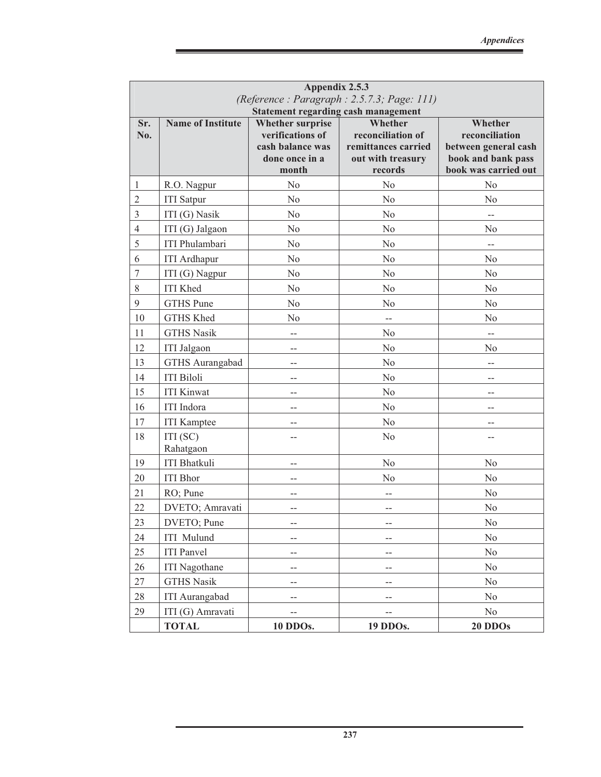| Appendix 2.5.3<br>(Reference: Paragraph: 2.5.7.3; Page: 111) |                                            |                                                                                            |                                                                                     |                                                                                                 |  |  |  |  |
|--------------------------------------------------------------|--------------------------------------------|--------------------------------------------------------------------------------------------|-------------------------------------------------------------------------------------|-------------------------------------------------------------------------------------------------|--|--|--|--|
|                                                              | <b>Statement regarding cash management</b> |                                                                                            |                                                                                     |                                                                                                 |  |  |  |  |
| Sr.<br>No.                                                   | <b>Name of Institute</b>                   | <b>Whether surprise</b><br>verifications of<br>cash balance was<br>done once in a<br>month | Whether<br>reconciliation of<br>remittances carried<br>out with treasury<br>records | Whether<br>reconciliation<br>between general cash<br>book and bank pass<br>book was carried out |  |  |  |  |
| 1                                                            | R.O. Nagpur                                | N <sub>0</sub>                                                                             | N <sub>o</sub>                                                                      | N <sub>o</sub>                                                                                  |  |  |  |  |
| $\overline{2}$                                               | <b>ITI</b> Satpur                          | No                                                                                         | N <sub>o</sub>                                                                      | No                                                                                              |  |  |  |  |
| 3                                                            | ITI (G) Nasik                              | N <sub>0</sub>                                                                             | N <sub>o</sub>                                                                      |                                                                                                 |  |  |  |  |
| $\overline{4}$                                               | ITI (G) Jalgaon                            | N <sub>0</sub>                                                                             | N <sub>o</sub>                                                                      | N <sub>0</sub>                                                                                  |  |  |  |  |
| 5                                                            | <b>ITI Phulambari</b>                      | N <sub>o</sub>                                                                             | N <sub>o</sub>                                                                      | $-$                                                                                             |  |  |  |  |
| 6                                                            | <b>ITI</b> Ardhapur                        | N <sub>o</sub>                                                                             | N <sub>o</sub>                                                                      | N <sub>o</sub>                                                                                  |  |  |  |  |
| $\tau$                                                       | ITI (G) Nagpur                             | N <sub>0</sub>                                                                             | N <sub>o</sub>                                                                      | N <sub>o</sub>                                                                                  |  |  |  |  |
| 8                                                            | <b>ITI Khed</b>                            | N <sub>o</sub>                                                                             | N <sub>o</sub>                                                                      | N <sub>o</sub>                                                                                  |  |  |  |  |
| 9                                                            | <b>GTHS</b> Pune                           | N <sub>o</sub>                                                                             | No                                                                                  | N <sub>o</sub>                                                                                  |  |  |  |  |
| 10                                                           | GTHS Khed                                  | N <sub>o</sub>                                                                             | $-$                                                                                 | N <sub>o</sub>                                                                                  |  |  |  |  |
| 11                                                           | <b>GTHS Nasik</b>                          | $-$                                                                                        | N <sub>o</sub>                                                                      | $\overline{a}$                                                                                  |  |  |  |  |
| 12                                                           | <b>ITI</b> Jalgaon                         | $-$                                                                                        | N <sub>o</sub>                                                                      | N <sub>o</sub>                                                                                  |  |  |  |  |
| 13                                                           | GTHS Aurangabad                            | $-$                                                                                        | N <sub>o</sub>                                                                      | $-$                                                                                             |  |  |  |  |
| 14                                                           | <b>ITI Biloli</b>                          | $-$                                                                                        | N <sub>o</sub>                                                                      | $-$                                                                                             |  |  |  |  |
| 15                                                           | <b>ITI Kinwat</b>                          |                                                                                            | No                                                                                  |                                                                                                 |  |  |  |  |
| 16                                                           | <b>ITI</b> Indora                          | $-$                                                                                        | No                                                                                  | $-$                                                                                             |  |  |  |  |
| 17                                                           | <b>ITI</b> Kamptee                         |                                                                                            | No                                                                                  |                                                                                                 |  |  |  |  |
| 18                                                           | ITI(SC)<br>Rahatgaon                       | $-$                                                                                        | N <sub>o</sub>                                                                      | $-$                                                                                             |  |  |  |  |
| 19                                                           | <b>ITI Bhatkuli</b>                        |                                                                                            | N <sub>o</sub>                                                                      | No                                                                                              |  |  |  |  |
| 20                                                           | <b>ITI</b> Bhor                            | $-$                                                                                        | No                                                                                  | N <sub>o</sub>                                                                                  |  |  |  |  |
| 21                                                           | RO; Pune                                   | $-$                                                                                        | $-$                                                                                 | N <sub>o</sub>                                                                                  |  |  |  |  |
| 22                                                           | DVETO; Amravati                            | $-$                                                                                        | $-$                                                                                 | No                                                                                              |  |  |  |  |
| 23                                                           | DVETO; Pune                                | $-$                                                                                        | --                                                                                  | No                                                                                              |  |  |  |  |
| 24                                                           | <b>ITI</b> Mulund                          | $-$                                                                                        | --                                                                                  | No                                                                                              |  |  |  |  |
| 25                                                           | <b>ITI</b> Panvel                          | $-$                                                                                        | --                                                                                  | $\rm No$                                                                                        |  |  |  |  |
| 26                                                           | <b>ITI</b> Nagothane                       | --                                                                                         | --                                                                                  | No                                                                                              |  |  |  |  |
| 27                                                           | <b>GTHS Nasik</b>                          | --                                                                                         | $-$                                                                                 | No                                                                                              |  |  |  |  |
| 28                                                           | <b>ITI Aurangabad</b>                      | --                                                                                         | $-\, -$                                                                             | No                                                                                              |  |  |  |  |
| 29                                                           | ITI (G) Amravati                           | --                                                                                         |                                                                                     | No                                                                                              |  |  |  |  |
|                                                              | <b>TOTAL</b>                               | 10 DDOs.                                                                                   | 19 DDOs.                                                                            | 20 DDOs                                                                                         |  |  |  |  |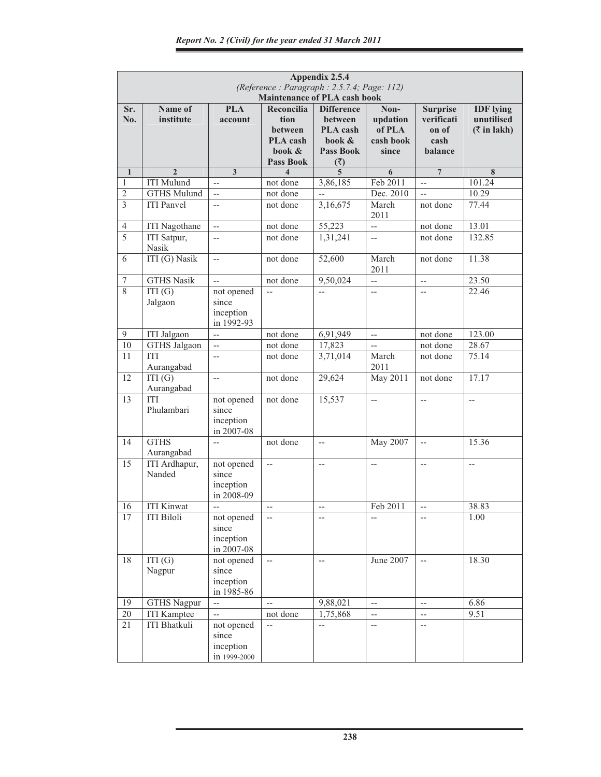|                | Appendix 2.5.4<br>(Reference: Paragraph: 2.5.7.4; Page: 112)<br><b>Maintenance of PLA cash book</b> |                                                  |                                                                                |                                                                                      |                                                     |                                                           |                                                                |  |  |
|----------------|-----------------------------------------------------------------------------------------------------|--------------------------------------------------|--------------------------------------------------------------------------------|--------------------------------------------------------------------------------------|-----------------------------------------------------|-----------------------------------------------------------|----------------------------------------------------------------|--|--|
| Sr.<br>No.     | Name of<br>institute                                                                                | <b>PLA</b><br>account                            | Reconcilia<br>tion<br><b>between</b><br>PLA cash<br>book &<br><b>Pass Book</b> | <b>Difference</b><br><b>between</b><br>PLA cash<br>book &<br><b>Pass Book</b><br>(₹) | Non-<br>updation<br>of PLA<br>cash book<br>since    | <b>Surprise</b><br>verificati<br>on of<br>cash<br>balance | <b>IDF</b> lying<br>unutilised<br>$(\overline{\zeta}$ in lakh) |  |  |
| $\mathbf{1}$   | $\overline{2}$                                                                                      | $\overline{\mathbf{3}}$                          | $\overline{\mathbf{4}}$                                                        | $\overline{5}$                                                                       | 6                                                   | $\overline{7}$                                            | 8                                                              |  |  |
| 1              | <b>ITI Mulund</b>                                                                                   | $\overline{a}$                                   | not done                                                                       | 3,86,185                                                                             | Feb 2011                                            | ш.,                                                       | 101.24                                                         |  |  |
| $\overline{2}$ | <b>GTHS Mulund</b>                                                                                  | $\overline{a}$                                   | not done                                                                       | $\overline{\phantom{a}}$                                                             | Dec. 2010                                           | u.                                                        | 10.29                                                          |  |  |
| 3              | <b>ITI Panvel</b>                                                                                   | $\overline{\phantom{a}}$                         | not done                                                                       | 3,16,675                                                                             | March<br>2011                                       | not done                                                  | 77.44                                                          |  |  |
| $\overline{4}$ | <b>ITI</b> Nagothane                                                                                | $\overline{\phantom{a}}$                         | not done                                                                       | 55,223                                                                               | u.                                                  | not done                                                  | 13.01                                                          |  |  |
| $\overline{5}$ | ITI Satpur,<br>Nasik                                                                                | <u></u>                                          | not done                                                                       | 1,31,241                                                                             | $-$                                                 | not done                                                  | 132.85                                                         |  |  |
| 6              | ITI (G) Nasik                                                                                       | $\overline{a}$                                   | not done                                                                       | 52,600                                                                               | March<br>2011                                       | not done                                                  | 11.38                                                          |  |  |
| 7              | <b>GTHS Nasik</b>                                                                                   | $\overline{a}$                                   | not done                                                                       | 9,50,024                                                                             | $\overline{\phantom{a}}$                            | $\overline{\phantom{a}}$                                  | 23.50                                                          |  |  |
| 8              | ITI(G)<br>Jalgaon                                                                                   | not opened<br>since<br>inception<br>in 1992-93   | $\overline{a}$                                                                 | $\overline{a}$                                                                       | $\overline{\phantom{a}}$                            | $\overline{a}$                                            | 22.46                                                          |  |  |
| 9              | <b>ITI</b> Jalgaon                                                                                  | ΞĒ,                                              | not done                                                                       | 6,91,949                                                                             | $\overline{\phantom{a}}$                            | not done                                                  | 123.00                                                         |  |  |
| 10             | <b>GTHS Jalgaon</b>                                                                                 | $\overline{\phantom{a}}$                         | not done                                                                       | 17,823                                                                               | $\overline{\phantom{m}}$                            | not done                                                  | 28.67                                                          |  |  |
| 11             | <b>ITI</b><br>Aurangabad                                                                            | $\overline{\phantom{a}}$                         | not done                                                                       | 3,71,014                                                                             | March<br>2011                                       | not done                                                  | 75.14                                                          |  |  |
| 12             | ITI(G)<br>Aurangabad                                                                                | $-$                                              | not done                                                                       | 29,624                                                                               | May 2011                                            | not done                                                  | 17.17                                                          |  |  |
| 13             | <b>ITI</b><br>Phulambari                                                                            | not opened<br>since<br>inception<br>in 2007-08   | not done                                                                       | 15,537                                                                               | $\hspace{0.05cm} -\hspace{0.05cm} -\hspace{0.05cm}$ | $-$                                                       | $-$                                                            |  |  |
| 14             | <b>GTHS</b><br>Aurangabad                                                                           | $\overline{\phantom{a}}$                         | not done                                                                       | $\overline{\phantom{a}}$                                                             | May 2007                                            | $\overline{\phantom{a}}$                                  | 15.36                                                          |  |  |
| 15             | ITI Ardhapur,<br>Nanded                                                                             | not opened<br>since<br>inception<br>in 2008-09   | $\overline{\phantom{a}}$                                                       | $\hspace{0.05cm} -\hspace{0.05cm} -\hspace{0.05cm}$                                  | $\hspace{0.05cm} -\hspace{0.05cm} -\hspace{0.05cm}$ | $-$                                                       | $\hspace{0.05cm} -\hspace{0.05cm} -\hspace{0.05cm}$            |  |  |
| 16             | <b>ITI Kinwat</b>                                                                                   |                                                  |                                                                                |                                                                                      | Feb 2011                                            |                                                           | 38.83                                                          |  |  |
| 17             | <b>ITI Biloli</b>                                                                                   | not opened<br>since<br>inception<br>in 2007-08   | $\overline{\phantom{m}}$                                                       |                                                                                      | $-$                                                 | $-$                                                       | 1.00                                                           |  |  |
| 18             | ITI(G)<br>Nagpur                                                                                    | not opened<br>since<br>inception<br>in 1985-86   | $\overline{\phantom{a}}$                                                       | $\overline{\phantom{a}}$                                                             | June 2007                                           | $-$                                                       | 18.30                                                          |  |  |
| 19             | <b>GTHS Nagpur</b>                                                                                  | $\overline{a}$                                   | $-$                                                                            | 9,88,021                                                                             | $\hspace{0.05cm} -\hspace{0.05cm} -\hspace{0.05cm}$ | $\overline{a}$                                            | 6.86                                                           |  |  |
| $20\,$         | <b>ITI</b> Kamptee                                                                                  | $\overline{a}$                                   | not done                                                                       | 1,75,868                                                                             | $\overline{\phantom{a}}$                            | $\hspace{0.05cm} -\hspace{0.05cm} -\hspace{0.05cm}$       | 9.51                                                           |  |  |
| 21             | <b>ITI Bhatkuli</b>                                                                                 | not opened<br>since<br>inception<br>in 1999-2000 | $\overline{\phantom{a}}$                                                       | $--$                                                                                 | $-$                                                 | $-$                                                       |                                                                |  |  |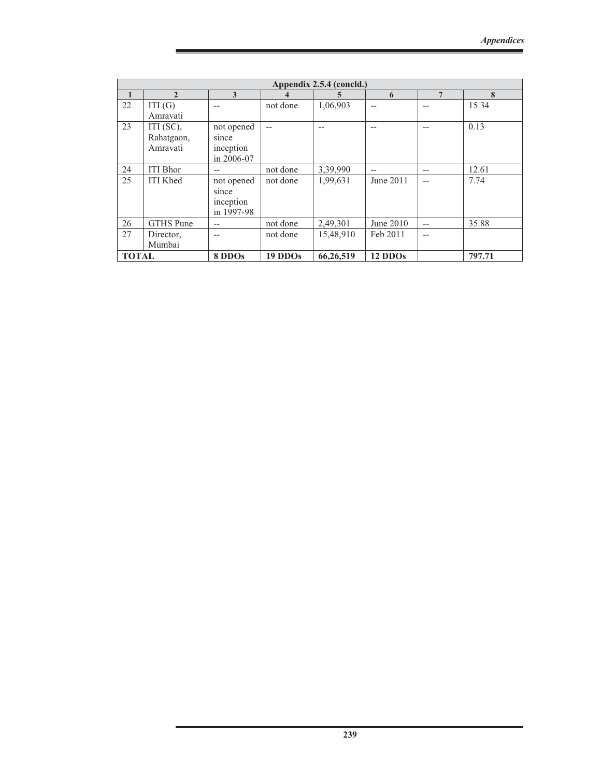|              | Appendix 2.5.4 (concld.) |            |          |           |           |     |        |  |  |
|--------------|--------------------------|------------|----------|-----------|-----------|-----|--------|--|--|
| $\mathbf{1}$ | $\mathbf{2}$             | 3          | 4        | 5.        | 6         | 7   | 8      |  |  |
| 22           | ITI(G)                   | --         | not done | 1,06,903  | $-$       |     | 15.34  |  |  |
|              | Amravati                 |            |          |           |           |     |        |  |  |
| 23           | ITI $(SC)$ ,             | not opened | --       |           | --        |     | 0.13   |  |  |
|              | Rahatgaon,               | since      |          |           |           |     |        |  |  |
|              | Amravati                 | inception  |          |           |           |     |        |  |  |
|              |                          | in 2006-07 |          |           |           |     |        |  |  |
| 24           | <b>ITI</b> Bhor          | --         | not done | 3,39,990  | --        | --  | 12.61  |  |  |
| 25           | <b>ITI Khed</b>          | not opened | not done | 1,99,631  | June 2011 | $-$ | 7.74   |  |  |
|              |                          | since      |          |           |           |     |        |  |  |
|              |                          | inception  |          |           |           |     |        |  |  |
|              |                          | in 1997-98 |          |           |           |     |        |  |  |
| 26           | <b>GTHS</b> Pune         | --         | not done | 2,49,301  | June 2010 | $-$ | 35.88  |  |  |
| 27           | Director,                | --         | not done | 15,48,910 | Feb 2011  | --  |        |  |  |
|              | Mumbai                   |            |          |           |           |     |        |  |  |
| <b>TOTAL</b> |                          | 8 DDOs     | 19 DDOs  | 66,26,519 | 12 DDOs   |     | 797.71 |  |  |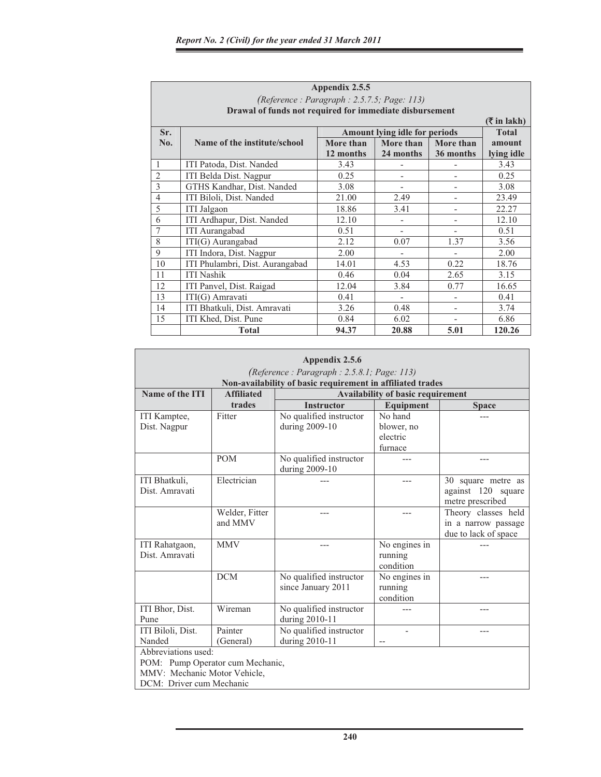Г

|                | Appendix 2.5.5                                          |           |                              |           |            |  |  |  |  |  |
|----------------|---------------------------------------------------------|-----------|------------------------------|-----------|------------|--|--|--|--|--|
|                | (Reference : Paragraph : 2.5.7.5; Page: 113)            |           |                              |           |            |  |  |  |  |  |
|                | Drawal of funds not required for immediate disbursement |           |                              |           |            |  |  |  |  |  |
|                | $(\bar{\bar{\mathbf{x}}}$ in lakh)                      |           |                              |           |            |  |  |  |  |  |
| Sr.            | Amount lying idle for periods<br><b>Total</b>           |           |                              |           |            |  |  |  |  |  |
| No.            | Name of the institute/school                            | More than | More than                    | More than | amount     |  |  |  |  |  |
|                |                                                         | 12 months | 24 months                    | 36 months | lying idle |  |  |  |  |  |
| 1              | ITI Patoda, Dist. Nanded                                | 3.43      |                              |           | 3.43       |  |  |  |  |  |
| $\overline{2}$ | ITI Belda Dist. Nagpur                                  | 0.25      | $\qquad \qquad \blacksquare$ |           | 0.25       |  |  |  |  |  |
| $\overline{3}$ | GTHS Kandhar, Dist. Nanded                              | 3.08      | $\overline{\phantom{0}}$     |           | 3.08       |  |  |  |  |  |
| $\overline{4}$ | ITI Biloli, Dist. Nanded                                | 21.00     | 2.49                         |           | 23.49      |  |  |  |  |  |
| 5              | ITI Jalgaon                                             | 18.86     | 3.41                         |           | 22.27      |  |  |  |  |  |
| 6              | ITI Ardhapur, Dist. Nanded                              | 12.10     |                              |           | 12.10      |  |  |  |  |  |
| $\overline{7}$ | <b>ITI</b> Aurangabad                                   | 0.51      | $\overline{\phantom{0}}$     |           | 0.51       |  |  |  |  |  |
| 8              | ITI(G) Aurangabad                                       | 2.12      | 0.07                         | 1.37      | 3.56       |  |  |  |  |  |
| 9              | ITI Indora, Dist. Nagpur                                | 2.00      |                              |           | 2.00       |  |  |  |  |  |
| 10             | ITI Phulambri, Dist. Aurangabad                         | 14.01     | 4.53                         | 0.22      | 18.76      |  |  |  |  |  |
| 11             | <b>ITI Nashik</b>                                       | 0.46      | 0.04                         | 2.65      | 3.15       |  |  |  |  |  |
| 12             | ITI Panvel, Dist. Raigad                                | 12.04     | 3.84                         | 0.77      | 16.65      |  |  |  |  |  |
| 13             | ITI(G) Amravati                                         | 0.41      |                              |           | 0.41       |  |  |  |  |  |
| 14             | ITI Bhatkuli, Dist. Amravati                            | 3.26      | 0.48                         |           | 3.74       |  |  |  |  |  |
| 15             | ITI Khed, Dist. Pune                                    | 0.84      | 6.02                         |           | 6.86       |  |  |  |  |  |
|                | <b>Total</b>                                            | 94.37     | 20.88                        | 5.01      | 120.26     |  |  |  |  |  |

|                                            | Appendix 2.5.6                                                                                                       |                         |                  |                      |  |  |  |  |  |
|--------------------------------------------|----------------------------------------------------------------------------------------------------------------------|-------------------------|------------------|----------------------|--|--|--|--|--|
| (Reference: Paragraph: 2.5.8.1; Page: 113) |                                                                                                                      |                         |                  |                      |  |  |  |  |  |
| Name of the ITI                            | Non-availability of basic requirement in affiliated trades<br>Availability of basic requirement<br><b>Affiliated</b> |                         |                  |                      |  |  |  |  |  |
|                                            | trades                                                                                                               | <b>Instructor</b>       | <b>Equipment</b> | <b>Space</b>         |  |  |  |  |  |
| ITI Kamptee,                               | Fitter                                                                                                               | No qualified instructor | No hand          |                      |  |  |  |  |  |
| Dist. Nagpur                               |                                                                                                                      | during 2009-10          | blower, no       |                      |  |  |  |  |  |
|                                            |                                                                                                                      |                         | electric         |                      |  |  |  |  |  |
|                                            |                                                                                                                      |                         | furnace          |                      |  |  |  |  |  |
|                                            | <b>POM</b>                                                                                                           | No qualified instructor |                  |                      |  |  |  |  |  |
|                                            |                                                                                                                      | during 2009-10          |                  |                      |  |  |  |  |  |
| ITI Bhatkuli,                              | Electrician                                                                                                          |                         |                  | 30 square metre as   |  |  |  |  |  |
| Dist. Amravati                             |                                                                                                                      |                         |                  | against 120 square   |  |  |  |  |  |
|                                            |                                                                                                                      |                         |                  | metre prescribed     |  |  |  |  |  |
|                                            | Welder, Fitter                                                                                                       |                         |                  | Theory classes held  |  |  |  |  |  |
|                                            | and MMV                                                                                                              |                         |                  | in a narrow passage  |  |  |  |  |  |
|                                            |                                                                                                                      |                         |                  | due to lack of space |  |  |  |  |  |
| ITI Rahatgaon,                             | <b>MMV</b>                                                                                                           |                         | No engines in    |                      |  |  |  |  |  |
| Dist. Amravati                             |                                                                                                                      |                         | running          |                      |  |  |  |  |  |
|                                            |                                                                                                                      |                         | condition        |                      |  |  |  |  |  |
|                                            | <b>DCM</b>                                                                                                           | No qualified instructor | No engines in    |                      |  |  |  |  |  |
|                                            |                                                                                                                      | since January 2011      | running          |                      |  |  |  |  |  |
|                                            |                                                                                                                      |                         | condition        |                      |  |  |  |  |  |
| ITI Bhor, Dist.                            | Wireman                                                                                                              | No qualified instructor |                  |                      |  |  |  |  |  |
| Pune                                       |                                                                                                                      | during 2010-11          |                  |                      |  |  |  |  |  |
| ITI Biloli, Dist.                          | Painter                                                                                                              | No qualified instructor |                  | ---                  |  |  |  |  |  |
| Nanded                                     | (General)                                                                                                            | during 2010-11          | $-$              |                      |  |  |  |  |  |
| Abbreviations used:                        |                                                                                                                      |                         |                  |                      |  |  |  |  |  |
| POM: Pump Operator cum Mechanic,           |                                                                                                                      |                         |                  |                      |  |  |  |  |  |
| MMV: Mechanic Motor Vehicle,               |                                                                                                                      |                         |                  |                      |  |  |  |  |  |
| DCM: Driver cum Mechanic                   |                                                                                                                      |                         |                  |                      |  |  |  |  |  |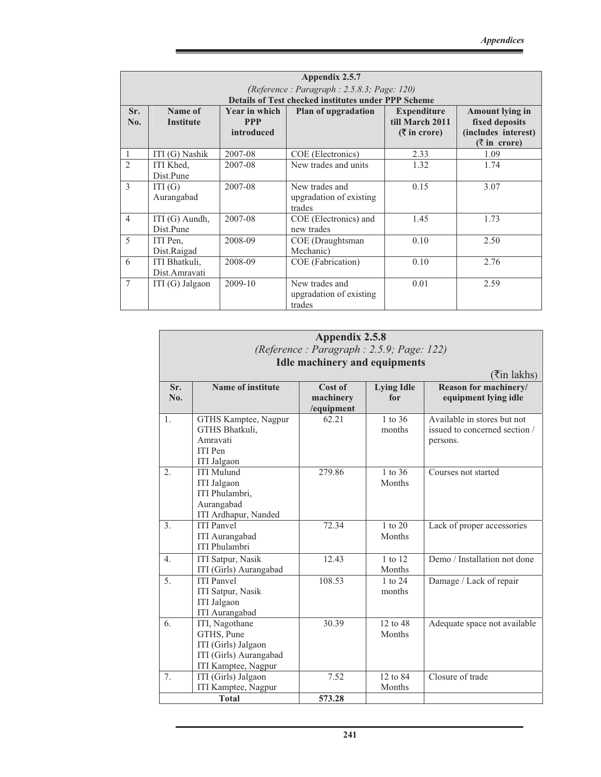|                    | Appendix 2.5.7<br>(Reference: Paragraph: 2.5.8.3; Page: 120)<br><b>Details of Test checked institutes under PPP Scheme</b> |                                                  |                                                     |                                                                      |                                                                                                  |  |  |  |  |
|--------------------|----------------------------------------------------------------------------------------------------------------------------|--------------------------------------------------|-----------------------------------------------------|----------------------------------------------------------------------|--------------------------------------------------------------------------------------------------|--|--|--|--|
| Sr.<br>No.         | Name of<br><b>Institute</b>                                                                                                | <b>Year in which</b><br><b>PPP</b><br>introduced | <b>Plan of upgradation</b>                          | <b>Expenditure</b><br>till March 2011<br>$(3\overline{5})$ in crore) | <b>Amount lying in</b><br>fixed deposits<br>(includes interest)<br>$(\overline{\zeta}$ in crore) |  |  |  |  |
| 1                  | ITI (G) Nashik                                                                                                             | 2007-08                                          | COE (Electronics)                                   | 2.33                                                                 | 1.09                                                                                             |  |  |  |  |
| $\mathfrak{D}_{1}$ | ITI Khed,<br>Dist.Pune                                                                                                     | 2007-08                                          | New trades and units                                | 1.32                                                                 | 1.74                                                                                             |  |  |  |  |
| $\mathbf{3}$       | ITI(G)<br>Aurangabad                                                                                                       | 2007-08                                          | New trades and<br>upgradation of existing<br>trades | 0.15                                                                 | 3.07                                                                                             |  |  |  |  |
| $\overline{4}$     | ITI (G) Aundh,<br>Dist.Pune                                                                                                | 2007-08                                          | COE (Electronics) and<br>new trades                 | 1.45                                                                 | 1.73                                                                                             |  |  |  |  |
| $\overline{5}$     | ITI Pen.<br>Dist.Raigad                                                                                                    | 2008-09                                          | COE (Draughtsman<br>Mechanic)                       | 0.10                                                                 | 2.50                                                                                             |  |  |  |  |
| 6                  | ITI Bhatkuli,<br>Dist.Amravati                                                                                             | 2008-09                                          | COE (Fabrication)                                   | 0.10                                                                 | 2.76                                                                                             |  |  |  |  |
| $\overline{7}$     | ITI $(G)$ Jalgaon                                                                                                          | 2009-10                                          | New trades and<br>upgradation of existing<br>trades | 0.01                                                                 | 2.59                                                                                             |  |  |  |  |

|                  | Appendix 2.5.8                                                                                       |                                    |                          |                                                                          |  |  |  |  |  |  |
|------------------|------------------------------------------------------------------------------------------------------|------------------------------------|--------------------------|--------------------------------------------------------------------------|--|--|--|--|--|--|
|                  | (Reference: Paragraph: 2.5.9; Page: 122)                                                             |                                    |                          |                                                                          |  |  |  |  |  |  |
|                  | <b>Idle machinery and equipments</b>                                                                 |                                    |                          |                                                                          |  |  |  |  |  |  |
|                  | $(\overline{\mathfrak{k}}$ in lakhs)                                                                 |                                    |                          |                                                                          |  |  |  |  |  |  |
| Sr.<br>No.       | Name of institute                                                                                    | Cost of<br>machinery<br>/equipment | <b>Lying Idle</b><br>for | Reason for machinery/<br>equipment lying idle                            |  |  |  |  |  |  |
| 1.               | GTHS Kamptee, Nagpur<br>GTHS Bhatkuli,<br>Amravati<br><b>ITI</b> Pen<br><b>ITI</b> Jalgaon           | 62.21                              | $1$ to $36$<br>months    | Available in stores but not<br>issued to concerned section /<br>persons. |  |  |  |  |  |  |
| 2.               | <b>ITI Mulund</b><br><b>ITI</b> Jalgaon<br>ITI Phulambri.<br>Aurangabad<br>ITI Ardhapur, Nanded      | 279.86                             | $1$ to $36$<br>Months    | Courses not started                                                      |  |  |  |  |  |  |
| 3.               | <b>ITI</b> Panvel<br><b>ITI</b> Aurangabad<br><b>ITI Phulambri</b>                                   | 72.34                              | $1$ to $20$<br>Months    | Lack of proper accessories                                               |  |  |  |  |  |  |
| $\overline{4}$ . | <b>ITI Satpur</b> , Nasik<br>ITI (Girls) Aurangabad                                                  | 12.43                              | 1 to 12<br>Months        | Demo / Installation not done                                             |  |  |  |  |  |  |
| 5.               | <b>ITI</b> Panvel<br><b>ITI Satpur, Nasik</b><br><b>ITI</b> Jalgaon<br><b>ITI</b> Aurangabad         | 108.53                             | 1 to 24<br>months        | Damage / Lack of repair                                                  |  |  |  |  |  |  |
| 6.               | ITI, Nagothane<br>GTHS, Pune<br>ITI (Girls) Jalgaon<br>ITI (Girls) Aurangabad<br>ITI Kamptee, Nagpur | 30.39                              | 12 to 48<br>Months       | Adequate space not available                                             |  |  |  |  |  |  |
| 7.               | ITI (Girls) Jalgaon<br>ITI Kamptee, Nagpur                                                           | 7.52                               | 12 to 84<br>Months       | Closure of trade                                                         |  |  |  |  |  |  |
|                  | <b>Total</b>                                                                                         | 573.28                             |                          |                                                                          |  |  |  |  |  |  |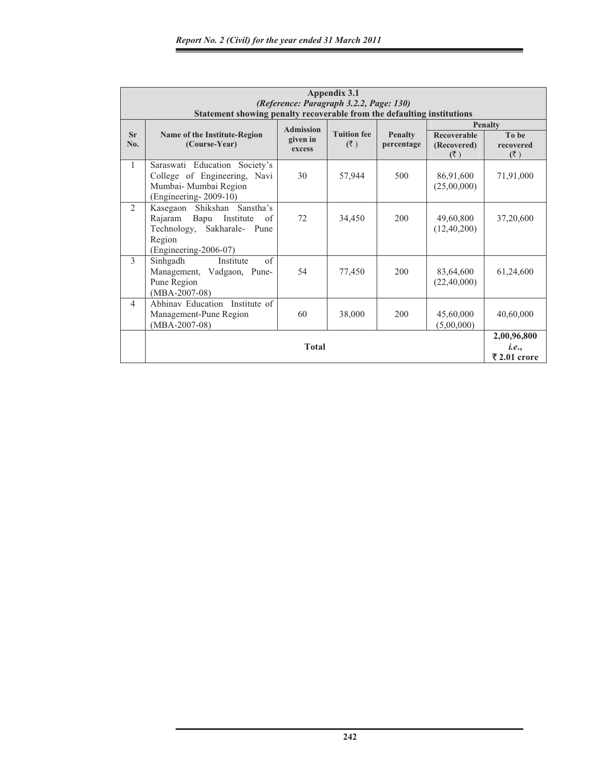|                | Appendix 3.1<br>(Reference: Paragraph 3.2.2, Page: 130)<br>Statement showing penalty recoverable from the defaulting institutions |                                        |                           |                              |                                 |                                      |  |  |
|----------------|-----------------------------------------------------------------------------------------------------------------------------------|----------------------------------------|---------------------------|------------------------------|---------------------------------|--------------------------------------|--|--|
| Sr<br>No.      | Name of the Institute-Region<br>(Course-Year)                                                                                     | <b>Admission</b><br>given in<br>excess | <b>Tuition fee</b><br>(5) | <b>Penalty</b><br>percentage | Recoverable<br>(Recovered)      | <b>Penalty</b><br>To be<br>recovered |  |  |
| 1              | Saraswati Education Society's<br>College of Engineering, Navi<br>Mumbai- Mumbai Region<br>$(Engineering-2009-10)$                 | 30                                     | 57,944                    | 500                          | (3)<br>86,91,600<br>(25,00,000) | (3)<br>71,91,000                     |  |  |
| $\mathfrak{D}$ | Kasegaon Shikshan<br>Sanstha's<br>Rajaram Bapu Institute<br>of<br>Technology, Sakharale- Pune<br>Region<br>(Engineering-2006-07)  | 72                                     | 34,450                    | 200                          | 49,60,800<br>(12, 40, 200)      | 37,20,600                            |  |  |
| $\mathcal{F}$  | of<br>Sinhgadh<br>Institute<br>Management, Vadgaon, Pune-<br>Pune Region<br>$(MBA-2007-08)$                                       | 54                                     | 77,450                    | 200                          | 83,64,600<br>(22, 40, 000)      | 61,24,600                            |  |  |
| $\overline{4}$ | Abhinav Education Institute of<br>Management-Pune Region<br>$(MBA-2007-08)$                                                       | 60                                     | 38,000                    | 200                          | 45,60,000<br>(5,00,000)         | 40,60,000                            |  |  |
|                | <b>Total</b>                                                                                                                      |                                        |                           |                              |                                 |                                      |  |  |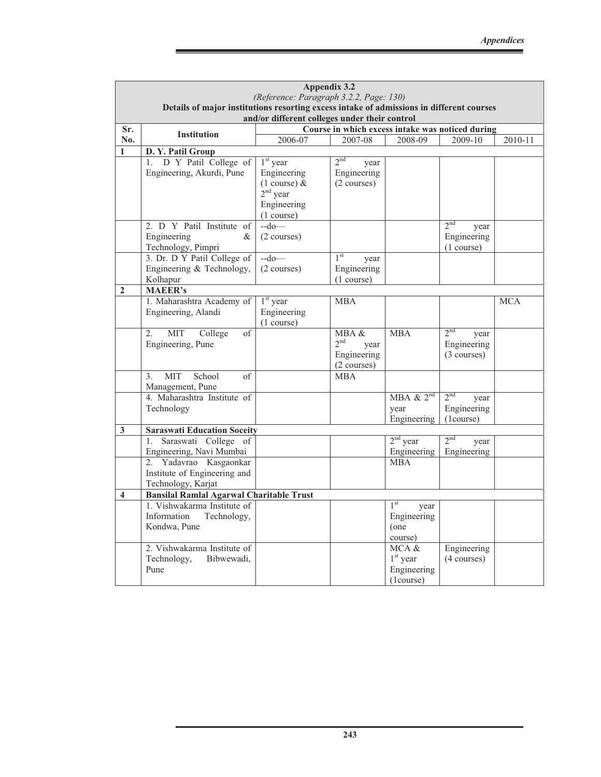|                         | Appendix 3.2<br>(Reference: Paragraph 3.2.2, Page: 130)                                                                                   |                         |                                                  |                           |                           |            |  |  |  |
|-------------------------|-------------------------------------------------------------------------------------------------------------------------------------------|-------------------------|--------------------------------------------------|---------------------------|---------------------------|------------|--|--|--|
|                         | Details of major institutions resorting excess intake of admissions in different courses<br>and/or different colleges under their control |                         |                                                  |                           |                           |            |  |  |  |
| Sr.                     |                                                                                                                                           |                         | Course in which excess intake was noticed during |                           |                           |            |  |  |  |
| No.                     | <b>Institution</b>                                                                                                                        | 2006-07                 | 2007-08                                          | 2008-09                   | 2009-10                   | 2010-11    |  |  |  |
| $\mathbf{1}$            | D.Y. Patil Group                                                                                                                          |                         |                                                  |                           |                           |            |  |  |  |
|                         | D Y Patil College of<br>$1_{\cdot}$                                                                                                       | $1st$ year              | 2 <sup>nd</sup><br>year                          |                           |                           |            |  |  |  |
|                         | Engineering, Akurdi, Pune                                                                                                                 | Engineering             | Engineering                                      |                           |                           |            |  |  |  |
|                         |                                                                                                                                           | $(1 \text{ course}) \&$ | $(2 \text{ courses})$                            |                           |                           |            |  |  |  |
|                         |                                                                                                                                           | $2nd$ year              |                                                  |                           |                           |            |  |  |  |
|                         |                                                                                                                                           | Engineering             |                                                  |                           |                           |            |  |  |  |
|                         |                                                                                                                                           | (1 course)              |                                                  |                           |                           |            |  |  |  |
|                         | 2. D Y Patil Institute of                                                                                                                 | $-do$ —                 |                                                  |                           | 2 <sup>nd</sup><br>year   |            |  |  |  |
|                         | Engineering<br>&                                                                                                                          | $(2 \text{ courses})$   |                                                  |                           | Engineering               |            |  |  |  |
|                         | Technology, Pimpri                                                                                                                        | $-do$ —                 | 1 <sup>st</sup>                                  |                           | (1 course)                |            |  |  |  |
|                         | 3. Dr. D Y Patil College of<br>Engineering & Technology,                                                                                  | (2 courses)             | year<br>Engineering                              |                           |                           |            |  |  |  |
|                         | Kolhapur                                                                                                                                  |                         | (1 course)                                       |                           |                           |            |  |  |  |
| $\mathbf{2}$            | <b>MAEER's</b>                                                                                                                            |                         |                                                  |                           |                           |            |  |  |  |
|                         | 1. Maharashtra Academy of                                                                                                                 | $1st$ year              | <b>MBA</b>                                       |                           |                           | <b>MCA</b> |  |  |  |
|                         | Engineering, Alandi                                                                                                                       | Engineering             |                                                  |                           |                           |            |  |  |  |
|                         |                                                                                                                                           | (1 course)              |                                                  |                           |                           |            |  |  |  |
|                         | <b>MIT</b><br>College<br>2.<br>of                                                                                                         |                         | MBA &                                            | <b>MBA</b>                | 2 <sub>nd</sub><br>year   |            |  |  |  |
|                         | Engineering, Pune                                                                                                                         |                         | 2 <sup>nd</sup><br>year                          |                           | Engineering               |            |  |  |  |
|                         |                                                                                                                                           |                         | Engineering                                      |                           | $(3 \text{ courses})$     |            |  |  |  |
|                         |                                                                                                                                           |                         | (2 courses)                                      |                           |                           |            |  |  |  |
|                         | School<br>MIT<br>of<br>3.                                                                                                                 |                         | <b>MBA</b>                                       |                           |                           |            |  |  |  |
|                         | Management, Pune                                                                                                                          |                         |                                                  |                           | 2 <sup>nd</sup>           |            |  |  |  |
|                         | 4. Maharashtra Institute of                                                                                                               |                         |                                                  | $MBA \& 2^{nd}$           | year                      |            |  |  |  |
|                         | Technology                                                                                                                                |                         |                                                  | year<br>Engineering       | Engineering<br>(1 course) |            |  |  |  |
| $\mathbf{3}$            | <b>Saraswati Education Soceity</b>                                                                                                        |                         |                                                  |                           |                           |            |  |  |  |
|                         | Saraswati College of<br>1.                                                                                                                |                         |                                                  | $2nd$ year                | 2 <sup>nd</sup><br>year   |            |  |  |  |
|                         | Engineering, Navi Mumbai                                                                                                                  |                         |                                                  | Engineering               | Engineering               |            |  |  |  |
|                         | 2. Yadavrao Kasgaonkar                                                                                                                    |                         |                                                  | <b>MBA</b>                |                           |            |  |  |  |
|                         | Institute of Engineering and                                                                                                              |                         |                                                  |                           |                           |            |  |  |  |
|                         | Technology, Karjat                                                                                                                        |                         |                                                  |                           |                           |            |  |  |  |
| $\overline{\mathbf{4}}$ | <b>Bansilal Ramlal Agarwal Charitable Trust</b>                                                                                           |                         |                                                  |                           |                           |            |  |  |  |
|                         | 1. Vishwakarma Institute of                                                                                                               |                         |                                                  | 1 <sup>st</sup><br>year   |                           |            |  |  |  |
|                         | Information<br>Technology,                                                                                                                |                         |                                                  | Engineering               |                           |            |  |  |  |
|                         | Kondwa, Pune                                                                                                                              |                         |                                                  | (one                      |                           |            |  |  |  |
|                         |                                                                                                                                           |                         |                                                  | course)                   |                           |            |  |  |  |
|                         | 2. Vishwakarma Institute of                                                                                                               |                         |                                                  | MCA &                     | Engineering               |            |  |  |  |
|                         | Technology,<br>Bibwewadi,<br>Pune                                                                                                         |                         |                                                  | $1st$ year<br>Engineering | $(4 \text{ courses})$     |            |  |  |  |
|                         |                                                                                                                                           |                         |                                                  | (1 course)                |                           |            |  |  |  |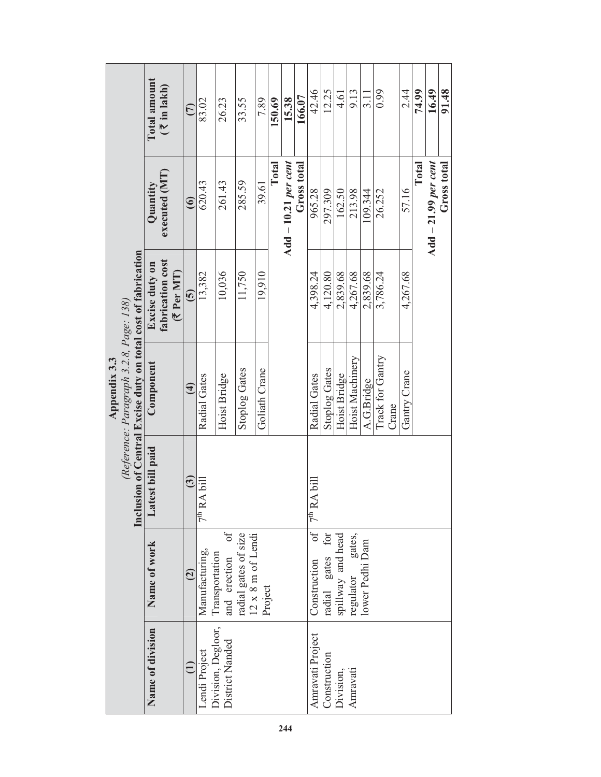|              |                                            |                                                               | Total amount     | $($ \termain 1 akh)                     | $\widehat{C}$          | 83.02                   | 26.23                                 | 33.55                | 7.89           | 150.69                                                              | 15.38                      | 166.07      | 42.46                   | 12.25                | 4.61                   | 9.13             | $\frac{11}{2}$                        | 0.99                      | 2.44            | 74.99 | 16.49                      | 91.48       |  |  |
|--------------|--------------------------------------------|---------------------------------------------------------------|------------------|-----------------------------------------|------------------------|-------------------------|---------------------------------------|----------------------|----------------|---------------------------------------------------------------------|----------------------------|-------------|-------------------------|----------------------|------------------------|------------------|---------------------------------------|---------------------------|-----------------|-------|----------------------------|-------------|--|--|
|              |                                            |                                                               | Quantity         | executed (MT)                           | $\widehat{\mathbf{6}}$ | 620.43                  | 261.43                                | 285.59               | 39.61          | Total                                                               | $\rm Add-10.21\,per\,cent$ | Gross total | 965.28                  | 297.309              | 162.50                 | 213.98           | 109.344                               | 26.252                    | 57.16           | Total | $\rm Add - 21.99$ per cent | Gross total |  |  |
|              |                                            |                                                               | Excise duty on   | fabrication cost<br>$(5^{\circ}$ Per MT | $\mathbf{\widehat{5}}$ | 13,382                  | 10,036                                | 11,750               | 19,910         |                                                                     |                            |             | 4,398.24                | 4,120.80             | 2,839.68               | 4,267.68         | 2,839.68                              | 3,786.24                  | 4,267.68        |       |                            |             |  |  |
| Appendix 3.3 | (Reference: Paragraph 3.2.8, Page: $138$ ) | Inclusion of Central Excise duty on total cost of fabrication | Component        |                                         | $\overline{4}$         | Radial Gates            | Hoist Bridge                          | <b>Stoplog Gates</b> | Goliath Crane  |                                                                     |                            |             | Radial Gates            | <b>Stoplog Gates</b> | Hoist Bridge           | Hoist Machinery  | A.G.Bridge                            | Track for Gantry<br>Crane | Gantry Crane    |       |                            |             |  |  |
|              |                                            |                                                               | Latest bill paid |                                         | $\mathbf{G}$           | 7 <sup>th</sup> RA bill |                                       |                      |                |                                                                     |                            |             | 7 <sup>th</sup> RA bill |                      |                        |                  |                                       |                           |                 |       |                            |             |  |  |
|              |                                            |                                                               |                  |                                         | Name of work           |                         | $\widehat{c}$                         | Manufacturing,       | Transportation | and erection of<br>radial gates of size<br>$12 \times 8$ m of Lendi | Project                    |             |                         |                      | $\int$<br>Construction | radial gates for | spillway and head<br>regulator gates. |                           | lower Pedhi Dam |       |                            |             |  |  |
|              |                                            |                                                               | Name of division |                                         | $\widehat{\Xi}$        | Lendi Project           | Division, Degloor,<br>District Nanded |                      |                |                                                                     |                            |             | Amravati Project        | Construction         | Division,              | Amravati         |                                       |                           |                 |       |                            |             |  |  |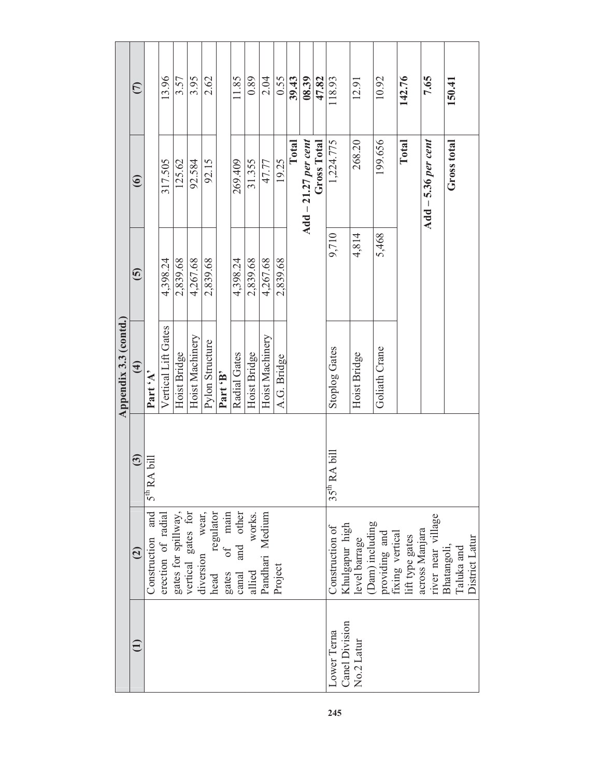|                              |                                                                                                                               |                      | Appendix 3.3 (contd.) |                          |                              |               |
|------------------------------|-------------------------------------------------------------------------------------------------------------------------------|----------------------|-----------------------|--------------------------|------------------------------|---------------|
|                              | $\widehat{c}$                                                                                                                 | $\overline{3}$       | $\bigoplus$           | $\widetilde{\mathbf{5}}$ | $\circledcirc$               | $\widehat{C}$ |
|                              | and<br>Construction                                                                                                           | $5^{th}$ RA bill     | Part 'A'              |                          |                              |               |
|                              | erection of radial                                                                                                            |                      | Vertical Lift Gates   | 4,398.24                 | 317.505                      | 13.96         |
|                              | gates for spillway,                                                                                                           |                      | Hoist Bridge          | 2,839.68                 | 125.62                       | 3.57          |
|                              |                                                                                                                               |                      | Hoist Machinery       | 4,267.68                 | 92.584                       | 3.95          |
|                              | vertical gates for<br>diversion wear,<br>head regulator<br>gates of main<br>gates of main<br>canal and other<br>allied works. |                      | Pylon Structure       | 2,839.68                 | 92.15                        | 2.62          |
|                              |                                                                                                                               |                      | Part 'B'              |                          |                              |               |
|                              |                                                                                                                               |                      | Radial Gates          | 4,398.24                 | 269.409                      | 11.85         |
|                              | allied                                                                                                                        |                      | Hoist Bridge          | 2,839.68                 | 31.355                       | 0.89          |
|                              | Pandhari Medium                                                                                                               |                      | Hoist Machinery       | 4,267.68                 | 47.77                        | 2.04          |
|                              | Project                                                                                                                       |                      | A.G. Bridge           | 2,839.68                 | 19.25                        | 0.55          |
|                              |                                                                                                                               |                      |                       |                          | Total                        | 39.43         |
|                              |                                                                                                                               |                      |                       |                          | Add $-21.27$ per cent        | 08.39         |
|                              |                                                                                                                               |                      |                       |                          | Gross Total                  | 47.82         |
| Lower Terna                  | Construction of                                                                                                               | RA bill<br>$35^{th}$ | <b>Stoplog Gates</b>  | 9,710                    | 1,224.775                    | 118.93        |
| Canel Division<br>No.2 Latur | Khulgapur high<br>level barrage                                                                                               |                      | Hoist Bridge          | 4,814                    | 268.20                       | 12.91         |
|                              | (Dam) including<br>providing and<br>fixing vertical                                                                           |                      | Goliath Crane         | 5,468                    | 199.656                      | 10.92         |
|                              | lift type gates<br>across Manjara                                                                                             |                      |                       |                          | Total                        | 142.76        |
|                              | river near village                                                                                                            |                      |                       |                          | $\Delta$ dd $-5.36$ per cent | 7.65          |
|                              | District Latur<br>Bhatangoli,<br>Taluka and                                                                                   |                      |                       |                          | Gross total                  | 150.41        |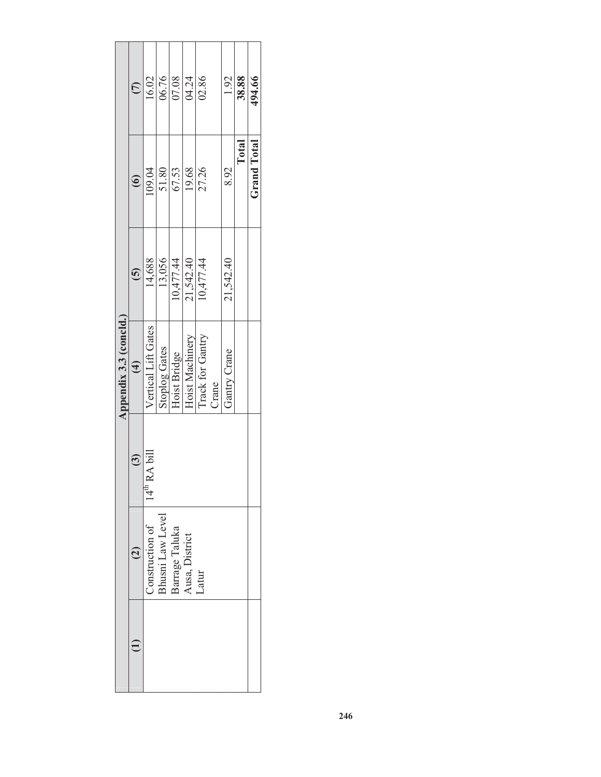|                        | $\widehat{\in}$ | 16.02                                                                   | 06.76                | 07.08        | 04.24           | 02.86            |       | 1.92         | 38.88 | 494.66             |
|------------------------|-----------------|-------------------------------------------------------------------------|----------------------|--------------|-----------------|------------------|-------|--------------|-------|--------------------|
|                        | $\odot$         | 109.04                                                                  | 51.80                | 67.53        | 19.68           | 27.26            |       | 8.92         | Total | <b>Grand Total</b> |
|                        | $\widehat{5}$   | 14,688                                                                  | 13,056               | 10,477.44    | 21,542.40       | 10,477.44        |       | 21,542.40    |       |                    |
| Appendix 3.3 (concld.) | $\bigoplus$     | <b>/ertical Lift Gates</b>                                              | <b>Stoplog Gates</b> | Hoist Bridge | Hoist Machinery | Track for Gantry | Crane | Gantry Crane |       |                    |
|                        | (3)             | 'RA bill<br>14 <sup>th</sup>                                            |                      |              |                 |                  |       |              |       |                    |
|                        |                 | Construction of<br>Bhusni Law Level<br>Barrage Taluka<br>Ausa, District |                      |              |                 | Latur            |       |              |       |                    |
|                        |                 |                                                                         |                      |              |                 |                  |       |              |       |                    |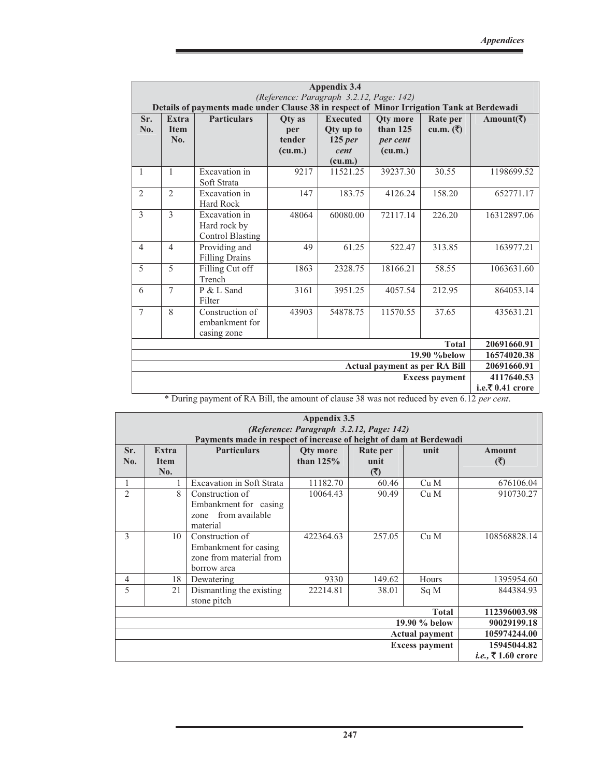|                          |                                    |                                                                                                                                                                                                                                                                                                                                     |                                    | <b>Appendix 3.4</b>                                                                                                                    |                                                      |                                             |                    |
|--------------------------|------------------------------------|-------------------------------------------------------------------------------------------------------------------------------------------------------------------------------------------------------------------------------------------------------------------------------------------------------------------------------------|------------------------------------|----------------------------------------------------------------------------------------------------------------------------------------|------------------------------------------------------|---------------------------------------------|--------------------|
|                          |                                    | Details of payments made under Clause 38 in respect of Minor Irrigation Tank at Berdewadi                                                                                                                                                                                                                                           |                                    | (Reference: Paragraph 3.2.12, Page: 142)                                                                                               |                                                      |                                             |                    |
| Sr.<br>No.               | <b>Extra</b><br><b>Item</b><br>No. | <b>Particulars</b>                                                                                                                                                                                                                                                                                                                  | Otv as<br>per<br>tender<br>(cu.m.) | <b>Executed</b><br><b>Qty up to</b><br>$125$ per<br>cent<br>(cu.m.)                                                                    | <b>Oty</b> more<br>than $125$<br>per cent<br>(cu.m.) | Rate per<br>cu.m. $(\overline{\mathbf{z}})$ | Amount(₹)          |
| 1                        | 1                                  | Excavation in<br>Soft Strata                                                                                                                                                                                                                                                                                                        | 9217                               | 11521.25                                                                                                                               | 39237.30                                             | 30.55                                       | 1198699.52         |
| $\overline{2}$           | $\mathfrak{D}$                     | Excavation in<br><b>Hard Rock</b>                                                                                                                                                                                                                                                                                                   | 147                                | 183.75                                                                                                                                 | 4126.24                                              | 158.20                                      | 652771.17          |
| $\overline{\mathcal{E}}$ | $\overline{\mathcal{E}}$           | Excavation in<br>Hard rock by<br><b>Control Blasting</b>                                                                                                                                                                                                                                                                            | 48064                              | 60080.00                                                                                                                               | 72117.14                                             | 226.20                                      | 16312897.06        |
| $\overline{4}$           | $\overline{4}$                     | Providing and<br><b>Filling Drains</b>                                                                                                                                                                                                                                                                                              | 49                                 | 61.25                                                                                                                                  | 522.47                                               | 313.85                                      | 163977.21          |
| 5                        | 5                                  | Filling Cut off<br>Trench                                                                                                                                                                                                                                                                                                           | 1863                               | 2328.75                                                                                                                                | 18166.21                                             | 58.55                                       | 1063631.60         |
| 6                        | 7                                  | P & L Sand<br>Filter                                                                                                                                                                                                                                                                                                                | 3161                               | 3951.25                                                                                                                                | 4057.54                                              | 212.95                                      | 864053.14          |
| $\overline{7}$           | 8                                  | Construction of<br>embankment for<br>casing zone                                                                                                                                                                                                                                                                                    | 43903                              | 54878.75                                                                                                                               | 11570.55                                             | 37.65                                       | 435631.21          |
|                          |                                    |                                                                                                                                                                                                                                                                                                                                     |                                    |                                                                                                                                        |                                                      | <b>Total</b>                                | 20691660.91        |
|                          |                                    |                                                                                                                                                                                                                                                                                                                                     |                                    |                                                                                                                                        |                                                      | 19.90 %below                                | 16574020.38        |
|                          |                                    |                                                                                                                                                                                                                                                                                                                                     |                                    |                                                                                                                                        | <b>Actual payment as per RA Bill</b>                 |                                             | 20691660.91        |
|                          |                                    |                                                                                                                                                                                                                                                                                                                                     |                                    |                                                                                                                                        |                                                      | <b>Excess payment</b>                       | 4117640.53         |
|                          | $*$ D. $\ldots$                    | $\mathcal{L}$ $\mathcal{L}$ $\mathbf{D}$ $\mathbf{A}$ $\mathbf{D}$ $\mathbf{11}$ $\mathbf{11}$ $\mathbf{1}$ $\mathbf{1}$ $\mathbf{1}$ $\mathbf{1}$ $\mathbf{1}$ $\mathbf{1}$ $\mathbf{1}$ $\mathbf{1}$ $\mathbf{1}$ $\mathbf{1}$ $\mathbf{1}$ $\mathbf{1}$ $\mathbf{1}$ $\mathbf{1}$ $\mathbf{1}$ $\mathbf{1}$ $\mathbf{1}$ $\math$ |                                    | $\cdots$ $\cdots$ $\cdots$ $\cdots$ $\cdots$ $\cdots$ $\cdots$ $\cdots$ $\cdots$ $\cdots$ $\cdots$ $\cdots$ $\cdots$ $\cdots$ $\cdots$ |                                                      | (10)                                        | i.e.₹ $0.41$ crore |

\* During payment of RA Bill, the amount of clause 38 was not reduced by even 6.12 *per cent*.

|                |                                    |                                                                                          | Appendix 3.5<br>(Reference: Paragraph 3.2.12, Page: 142) |                          |                       |                           |
|----------------|------------------------------------|------------------------------------------------------------------------------------------|----------------------------------------------------------|--------------------------|-----------------------|---------------------------|
| Sr.<br>No.     | <b>Extra</b><br><b>Item</b><br>No. | Payments made in respect of increase of height of dam at Berdewadi<br><b>Particulars</b> | <b>Qty more</b><br>than $125%$                           | Rate per<br>unit<br>( ₹) | unit                  | Amount<br>(3)             |
|                |                                    | <b>Excavation in Soft Strata</b>                                                         | 11182.70                                                 | 60.46                    | Cu M                  | 676106.04                 |
| $\overline{2}$ | 8                                  | Construction of<br>Embankment for casing<br>zone from available<br>material              | 10064.43                                                 | 90.49                    | Cu M                  | 910730.27                 |
| 3              | 10                                 | Construction of<br>Embankment for casing<br>zone from material from<br>borrow area       | 422364.63                                                | 257.05                   | Cu M                  | 108568828.14              |
| 4              | 18                                 | Dewatering                                                                               | 9330                                                     | 149.62                   | Hours                 | 1395954.60                |
| 5              | 21                                 | Dismantling the existing<br>stone pitch                                                  | 22214.81                                                 | 38.01                    | Sq M                  | 844384.93                 |
|                |                                    |                                                                                          |                                                          |                          | <b>Total</b>          | 112396003.98              |
|                |                                    |                                                                                          |                                                          |                          | 19.90 % below         | 90029199.18               |
|                |                                    |                                                                                          |                                                          |                          | <b>Actual payment</b> | 105974244.00              |
|                |                                    |                                                                                          |                                                          |                          | <b>Excess payment</b> | 15945044.82               |
|                |                                    |                                                                                          |                                                          |                          |                       | <i>i.e.</i> , ₹1.60 crore |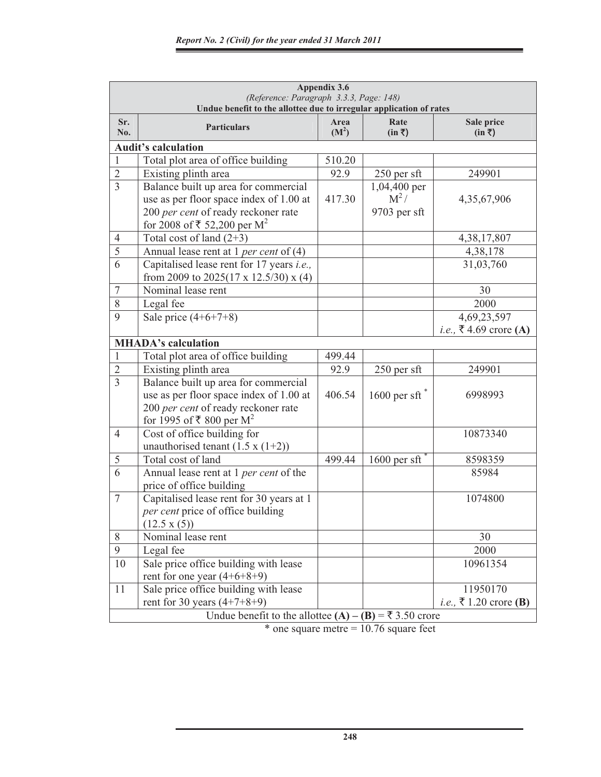|                | (Reference: Paragraph 3.3.3, Page: 148)<br>Undue benefit to the allottee due to irregular application of rates | Appendix 3.6              |                        |                                         |
|----------------|----------------------------------------------------------------------------------------------------------------|---------------------------|------------------------|-----------------------------------------|
| Sr.<br>No.     | <b>Particulars</b>                                                                                             | Area<br>(M <sup>2</sup> ) | Rate<br>$(in \bar{z})$ | Sale price<br>$(in \bar{z})$            |
|                | <b>Audit's calculation</b>                                                                                     |                           |                        |                                         |
| $\mathbf{1}$   | Total plot area of office building                                                                             | 510.20                    |                        |                                         |
| $\sqrt{2}$     | Existing plinth area                                                                                           | 92.9                      | 250 per sft            | 249901                                  |
| $\overline{3}$ | Balance built up area for commercial                                                                           |                           | 1,04,400 per           |                                         |
|                | use as per floor space index of 1.00 at                                                                        | 417.30                    | $M^2/$                 | 4,35,67,906                             |
|                | 200 per cent of ready reckoner rate                                                                            |                           | 9703 per sft           |                                         |
|                | for 2008 of ₹ 52,200 per $M^2$                                                                                 |                           |                        |                                         |
| $\overline{4}$ | Total cost of land $(2+3)$                                                                                     |                           |                        | 4,38,17,807                             |
| 5              | Annual lease rent at 1 per cent of $(4)$                                                                       |                           |                        | 4,38,178                                |
| 6              | Capitalised lease rent for 17 years <i>i.e.</i> ,<br>from 2009 to 2025(17 x 12.5/30) x (4)                     |                           |                        | 31,03,760                               |
| $\tau$         | Nominal lease rent                                                                                             |                           |                        | 30                                      |
| 8              | Legal fee                                                                                                      |                           |                        | 2000                                    |
| 9              | Sale price $(4+6+7+8)$                                                                                         |                           |                        | 4,69,23,597                             |
|                |                                                                                                                |                           |                        | <i>i.e.</i> , ₹4.69 crore (A)           |
|                | <b>MHADA's calculation</b>                                                                                     |                           |                        |                                         |
| $\mathbf{1}$   | Total plot area of office building                                                                             | 499.44                    |                        |                                         |
| $\overline{2}$ | Existing plinth area                                                                                           | 92.9                      | 250 per sft            | 249901                                  |
| $\overline{3}$ | Balance built up area for commercial                                                                           |                           |                        |                                         |
|                | use as per floor space index of 1.00 at                                                                        | 406.54                    | 1600 per sft $*$       | 6998993                                 |
|                | 200 per cent of ready reckoner rate                                                                            |                           |                        |                                         |
|                | for 1995 of ₹ 800 per $M^2$                                                                                    |                           |                        |                                         |
| $\overline{4}$ | Cost of office building for                                                                                    |                           |                        | 10873340                                |
|                | unauthorised tenant $(1.5 x (1+2))$                                                                            |                           |                        |                                         |
| 5              | Total cost of land                                                                                             | 499.44                    | $1600$ per sft         | 8598359                                 |
| 6              | Annual lease rent at 1 per cent of the<br>price of office building                                             |                           |                        | 85984                                   |
| $\overline{7}$ | Capitalised lease rent for 30 years at 1                                                                       |                           |                        | 1074800                                 |
|                | per cent price of office building                                                                              |                           |                        |                                         |
|                | $(12.5 \times (5))$                                                                                            |                           |                        |                                         |
| 8              | Nominal lease rent                                                                                             |                           |                        | 30                                      |
| 9              | Legal fee                                                                                                      |                           |                        | 2000                                    |
| 10             | Sale price office building with lease                                                                          |                           |                        | 10961354                                |
|                | rent for one year $(4+6+8+9)$                                                                                  |                           |                        |                                         |
| 11             | Sale price office building with lease                                                                          |                           |                        | 11950170                                |
|                | rent for 30 years $(4+7+8+9)$                                                                                  |                           |                        | <i>i.e.</i> , ₹ 1.20 crore ( <b>B</b> ) |
|                | Undue benefit to the allottee (A) – (B) = ₹ 3.50 crore                                                         |                           |                        |                                         |

 $*$  one square metre = 10.76 square feet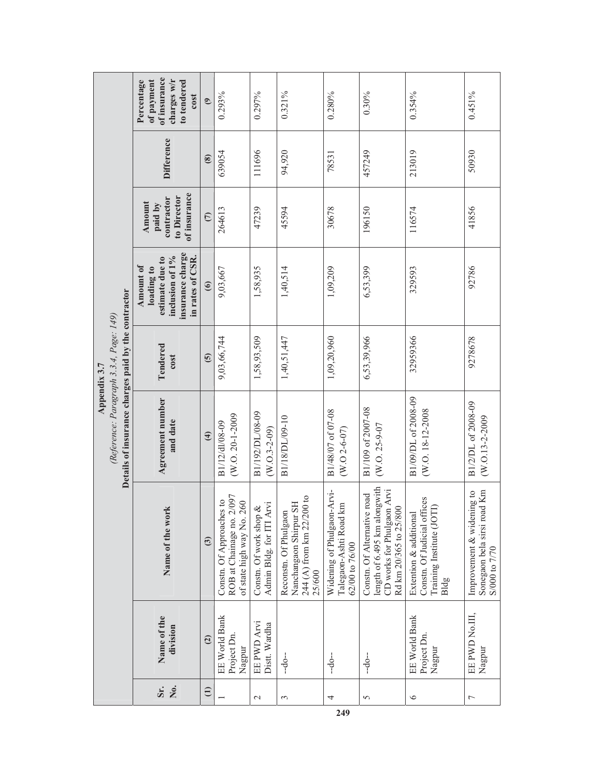|                |                                       |                                                                                                                     | Details of insurance charges paid by the contractor<br>(Reference: Paragraph 3.3.4, Page: 149) | Appendix 3.7     |                                                                                                              |                                                                |                   |                                                                                |
|----------------|---------------------------------------|---------------------------------------------------------------------------------------------------------------------|------------------------------------------------------------------------------------------------|------------------|--------------------------------------------------------------------------------------------------------------|----------------------------------------------------------------|-------------------|--------------------------------------------------------------------------------|
|                | Name of the<br>division<br>Sr.<br>Σó, | Name of the work                                                                                                    | Agreement number<br>and date                                                                   | Tendered<br>cost | insurance charge<br>in rates of CSR.<br>inclusion of 1%<br>estimate due to<br><b>Amount of</b><br>loading to | of insurance<br>to Director<br>contractor<br>Amount<br>paid by | <b>Difference</b> | of insurance<br>charges w/r<br>of payment<br>Percentage<br>to tendered<br>cost |
|                | $\overline{c}$<br>$\oplus$            | $\overline{3}$                                                                                                      | $\widehat{4}$                                                                                  | $\overline{6}$   | $\odot$                                                                                                      | $\overline{C}$                                                 | $\circled{s}$     | $\odot$                                                                        |
|                | EE World Bank<br>Project Dn<br>Nagpur | ROB at Chainage no. 2/097<br>Constn. Of Approaches to<br>of state high way No. 260                                  | (W.O. 20-1-2009<br>B1/12/dl/08-09                                                              | 9,03,66,744      | 9,03,667                                                                                                     | 264613                                                         | 639054            | 0.293%                                                                         |
| $\mathcal{L}$  | EE PWD Arvi<br>Distt. Wardha          | Admin Bldg. for ITI Arvi<br>Constn. Of work shop &                                                                  | B1/192/DL/08-09<br>$(W.0.3 - 2 - 09)$                                                          | 1,58,93,509      | 1,58,935                                                                                                     | 47239                                                          | 111696            | 0.297%                                                                         |
| 3              | $-do-$                                | 244 (A) from km 22/200 to<br>Nanchangaon Shirpur SH<br>Reconstn. Of Phulgaon<br>25/600                              | B1/18/DL/09-10                                                                                 | 1,40,51,447      | 1,40,514                                                                                                     | 45594                                                          | 94,920            | 0.321%                                                                         |
| 4<br>249       | $-do-$                                | Widening of Phulgaon-Arvi-<br>$\mathbf{m}$<br>Talegaon-Ashti Road I<br>62/00 to 76/00                               | B1/48/07 of 07-08<br>$(W.0 2 - 6 - 07)$                                                        | 1,09,20,960      | 1,09,209                                                                                                     | 30678                                                          | 78531             | 0.280%                                                                         |
| $\sigma$       | $-do-$                                | length of 6.495 km alongwith<br>CD works for Phulgaon Arvi<br>Constn. Of Alternative road<br>Rd km 20/365 to 25/800 | B1/109 of 2007-08<br>W.O. 25-9-07                                                              | 6,53,39,966      | 6,53,399                                                                                                     | 196150                                                         | 457249            | $0.30\%$                                                                       |
| $\circ$        | EE World Bank<br>Project Dn<br>Nagpur | Constn. Of Judicial offices<br>Training Institute (JOTI)<br>Extention & additional<br>Bldg                          | B1/09/DL of 2008-09<br>(W.O. 18-12-2008)                                                       | 32959366         | 329593                                                                                                       | 116574                                                         | 213019            | $0.354\%$                                                                      |
| $\overline{ }$ | EE PWD No.III,<br>Nagpur              | Sonegaon bela sirsi road Km<br>Improvement & widening to<br>S/000 to 7/70                                           | B1/2/DL of 2008-09<br>(W.O.13-2-2009                                                           | 9278678          | 92786                                                                                                        | 41856                                                          | 50930             | 0.451%                                                                         |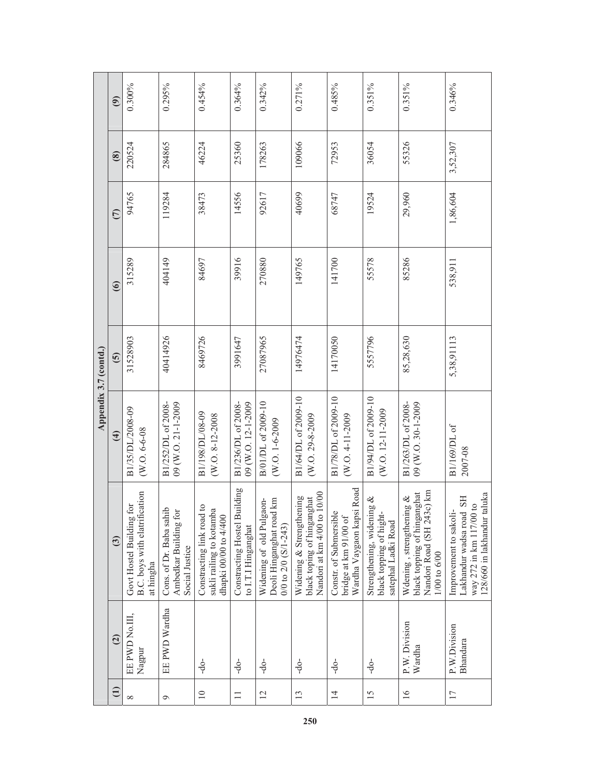|                       | $\widehat{\mathfrak{S}}$ | 0.300%                                                                                     | 0.295%                                                             | 0.454%                                                                                                 | 0.364%                                              | 0.342%                                                                           | 0.271%                                                                                | 0.485%                                                                       | 0.351%                                                                      | 0.351%                                                                                                       | 0.346%                                                                                                                    |
|-----------------------|--------------------------|--------------------------------------------------------------------------------------------|--------------------------------------------------------------------|--------------------------------------------------------------------------------------------------------|-----------------------------------------------------|----------------------------------------------------------------------------------|---------------------------------------------------------------------------------------|------------------------------------------------------------------------------|-----------------------------------------------------------------------------|--------------------------------------------------------------------------------------------------------------|---------------------------------------------------------------------------------------------------------------------------|
|                       | $\circled{s}$            | 220524                                                                                     | 284865                                                             | 46224                                                                                                  | 25360                                               | 178263                                                                           | 109066                                                                                | 72953                                                                        | 36054                                                                       | 55326                                                                                                        | 3,52,307                                                                                                                  |
|                       | $\widehat{\subset}$      | 94765                                                                                      | 119284                                                             | 38473                                                                                                  | 14556                                               | 92617                                                                            | 40699                                                                                 | 68747                                                                        | 19524                                                                       | 29,960                                                                                                       | 1,86,604                                                                                                                  |
|                       | $\widehat{\mathbf{6}}$   | 315289                                                                                     | 404149                                                             | 84697                                                                                                  | 39916                                               | 270880                                                                           | 149765                                                                                | 141700                                                                       | 55578                                                                       | 85286                                                                                                        | 538,911                                                                                                                   |
| Appendix 3.7 (contd.) | $\widehat{\mathbf{e}}$   | 31528903                                                                                   | 40414926                                                           | 8469726                                                                                                | 3991647                                             | 27087965                                                                         | 14976474                                                                              | 14170050                                                                     | 5557796                                                                     | 85,28,630                                                                                                    | 5,38,91113                                                                                                                |
|                       | $\widehat{f}$            | B1/35/DL/2008-09<br>(W.O. 6-6-08                                                           | B1/252/DL of 2008-<br>09 (W.O. 21-1-2009                           | B1/198/DL/08-09<br>(W.O. 8-12-2008)                                                                    | 09 (W.O. 12-1-2009<br>B1/236/DL of 2008-            | B/01/DL of 2009-10<br>(W.O. 1-6-2009                                             | B1/64/DL of 2009-10<br>(W.O. 29-8-2009                                                | B1/78/DL of 2009-10<br>(W.O. 4-11-2009                                       | B1/94/DL of 2009-10<br>(W.O. 12-11-2009                                     | B1/263/DL of 2008-<br>09 (W.O. 30-1-2009                                                                     | B1/169/DL of<br>2007-08                                                                                                   |
|                       | $\overline{3}$           | B.C. boys with elatrification<br>$\operatorname{for}$<br>Govt Hostel Building<br>at hingha | Cons. of Dr. Baba sahib<br>Ambedkar Building for<br>Social Justice | $\overline{\mathbf{c}}$<br>sukli railing to kotamba<br>Constracting link road<br>dhapki 00/00 to 4/400 | Constracting Hostel Building<br>to I.T.I Hinganghat | Deoli Hinganghat road km<br>Widening of old Pulgaon-<br>$0/0$ to $2/0$ (S/1-243) | Nandori at km 4/00 to 10/00<br>Widening & Strengthening<br>black toping of hinganghat | Wardha Vaygaon kapsi Road<br>Constr. of Submersible<br>bridge at km 91/00 of | Strengthening, widening &<br>black topping of hight-<br>satephal Ladki Road | 3c) km<br>black topping of hinganghat<br>Wdening, strengthening &<br>Nandori Road (SH 24<br>$1/00$ to $6/00$ | 128/660 in lakhandur taluka<br>Lakhandur wadsa road SH<br>$\frac{1}{10}$<br>Improvement to sakoli<br>way 272 in km 117/00 |
|                       | $\widetilde{a}$          | EE PWD No.III,<br>Nagpur                                                                   | EE PWD Wardha                                                      | -do-                                                                                                   | $-40-$                                              | $-40-$                                                                           | -9                                                                                    | $-0$                                                                         | -do-                                                                        | P.W. Division<br>Wardha                                                                                      | P.W.Division<br>Bhandara                                                                                                  |
|                       | $\widehat{\Xi}$          | $\infty$                                                                                   | $\circ$                                                            | $\overline{10}$                                                                                        | $\Box$                                              | $\overline{2}$                                                                   | 13                                                                                    | $\overline{4}$                                                               | 15                                                                          | 16                                                                                                           | 17                                                                                                                        |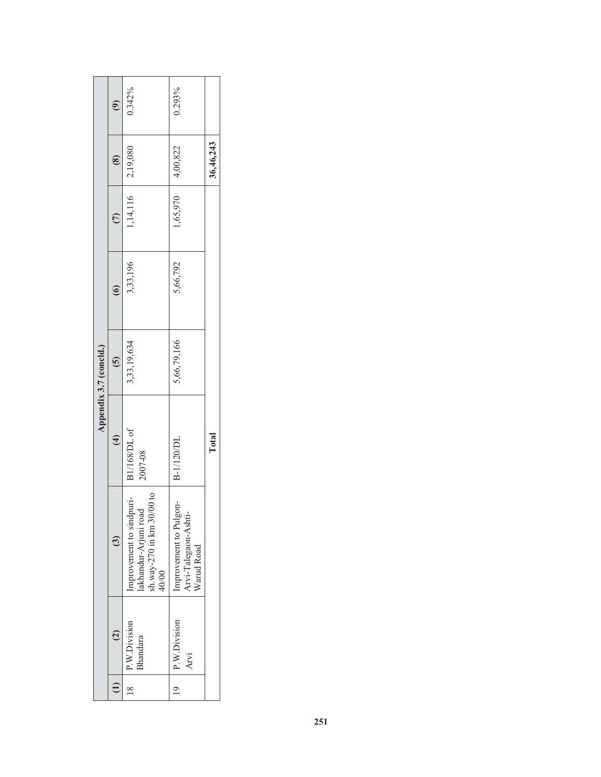|                        | $\widehat{\mathcal{E}}$ | 0.342%                                                                                  | 0.293%                                                       |           |
|------------------------|-------------------------|-----------------------------------------------------------------------------------------|--------------------------------------------------------------|-----------|
|                        | $- (8)$                 |                                                                                         |                                                              | 36,46,243 |
|                        | $\overline{c}$          | $1,14,116$ 2,19,080                                                                     | $1,65,970$ 4,00,822                                          |           |
|                        | $\frac{1}{2}$           | 3,33,196                                                                                | 5,66,792                                                     |           |
| Appendix 3.7 (concld.) | $\overline{S}$          | 3,33,19,634                                                                             | 5,66,79,166                                                  |           |
|                        | $\widehat{\mathcal{F}}$ | B1/168/DL of<br>2007-08                                                                 | B-1/120/DL                                                   | Total     |
|                        | $\ddot{\textbf{c}}$     | Improvement to sindpuri-<br>lakhandur-Arjuni road<br>sh.way-270 in km 30/00 to<br>40/00 | Improvement to Pulgon-<br>Arvi-Talegaon-Ashti-<br>Warud Road |           |
|                        | $\overline{\mathbf{C}}$ | $18$   P.W.Division<br>Bhandara                                                         | $19$   P.W.Division<br>Arvi                                  |           |
|                        |                         |                                                                                         |                                                              |           |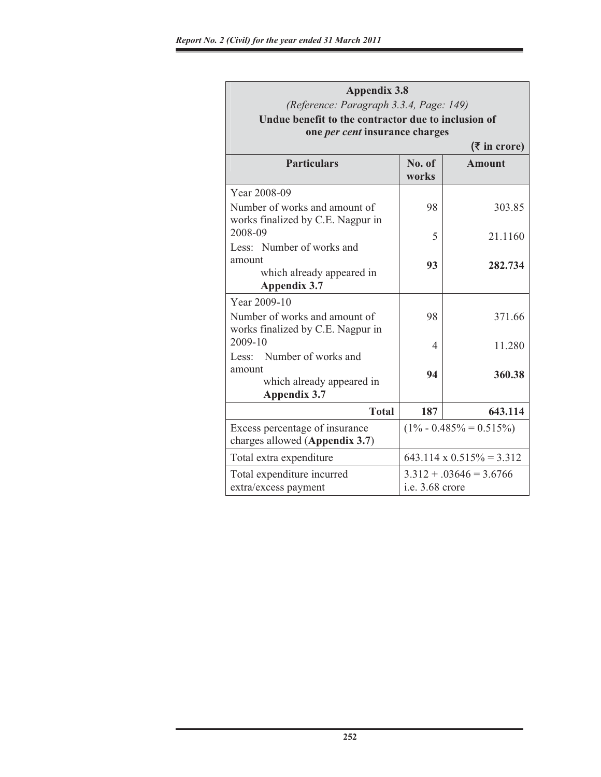| <b>Appendix 3.8</b>                                                                     |                 |                                  |
|-----------------------------------------------------------------------------------------|-----------------|----------------------------------|
| (Reference: Paragraph 3.3.4, Page: 149)                                                 |                 |                                  |
| Undue benefit to the contractor due to inclusion of                                     |                 |                                  |
| one per cent insurance charges                                                          |                 |                                  |
|                                                                                         |                 | $($ ₹ in crore)                  |
| <b>Particulars</b>                                                                      | No. of<br>works | <b>Amount</b>                    |
| Year 2008-09                                                                            |                 |                                  |
| Number of works and amount of<br>works finalized by C.E. Nagpur in                      | 98              | 303.85                           |
| 2008-09                                                                                 | 5               | 21.1160                          |
| Less: Number of works and<br>amount<br>which already appeared in<br><b>Appendix 3.7</b> | 93              | 282.734                          |
| Year 2009-10                                                                            |                 |                                  |
| Number of works and amount of<br>works finalized by C.E. Nagpur in                      | 98              | 371.66                           |
| 2009-10                                                                                 | 4               | 11.280                           |
| Less: Number of works and<br>amount<br>which already appeared in<br><b>Appendix 3.7</b> | 94              | 360.38                           |
| <b>Total</b>                                                                            | 187             | 643.114                          |
| Excess percentage of insurance<br>charges allowed (Appendix 3.7)                        |                 | $(1\% - 0.485\% = 0.515\%)$      |
| Total extra expenditure                                                                 |                 | $643.114 \times 0.515\% = 3.312$ |
| Total expenditure incurred                                                              |                 | $3.312 + .03646 = 3.6766$        |
| extra/excess payment                                                                    | i.e. 3.68 crore |                                  |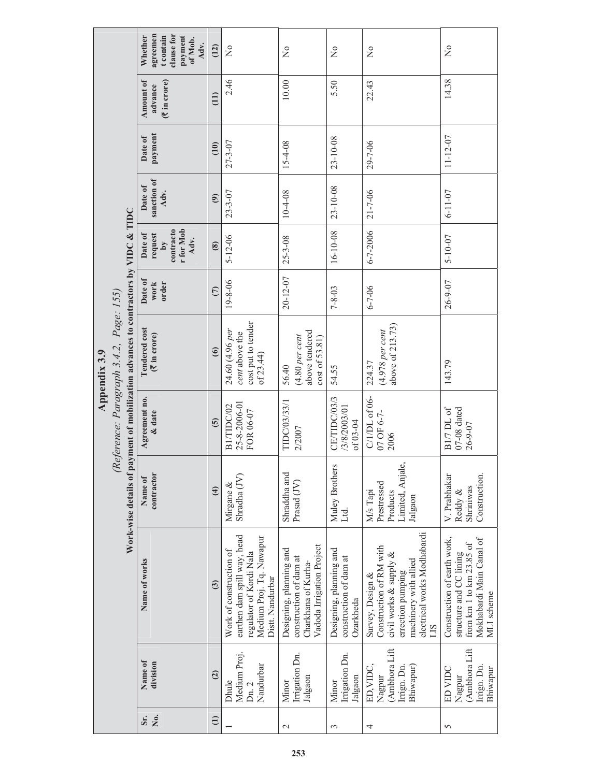|              |                                                                                                                                  | agreemen<br>clause for<br>t contain<br>Whether<br>payment<br>of Mob.<br>Adv.    | (12)           | $\frac{1}{2}$                                                                                                                     | $\frac{1}{2}$                                                                                         | $\frac{1}{2}$                                                  | $\frac{1}{2}$                                                                                                                                                     | $\frac{1}{2}$                                                                                                                |
|--------------|----------------------------------------------------------------------------------------------------------------------------------|---------------------------------------------------------------------------------|----------------|-----------------------------------------------------------------------------------------------------------------------------------|-------------------------------------------------------------------------------------------------------|----------------------------------------------------------------|-------------------------------------------------------------------------------------------------------------------------------------------------------------------|------------------------------------------------------------------------------------------------------------------------------|
|              |                                                                                                                                  | <b>Amount of</b><br>$(\bar{\mathbf{\mathsf{F}}}$ in crore)<br>advance           | (11)           | 2.46                                                                                                                              | 10.00                                                                                                 | 5.50                                                           | 22.43                                                                                                                                                             | 14.38                                                                                                                        |
|              |                                                                                                                                  | payment<br>Date of                                                              | (10)           | $27 - 3 - 07$                                                                                                                     | 15-4-08                                                                                               | $23 - 10 - 08$                                                 | $29 - 7 - 06$                                                                                                                                                     | $11 - 12 - 07$                                                                                                               |
|              |                                                                                                                                  | sanction of<br>Date of<br>Adv.                                                  | $\odot$        | $23 - 3 - 07$                                                                                                                     | 10-4-08                                                                                               | 23-10-08                                                       | $21 - 7 - 06$                                                                                                                                                     | $6 - 11 - 07$                                                                                                                |
|              |                                                                                                                                  | r for Mob<br>contracto<br>Date of<br>request<br>Adv.<br>$\overline{\mathbf{a}}$ | $\circledast$  | $5 - 12 - 06$                                                                                                                     | $25 - 3 - 08$                                                                                         | 16-10-08                                                       | 6-7-2006                                                                                                                                                          | $5 - 10 - 07$                                                                                                                |
|              |                                                                                                                                  | Date of<br>work<br>order                                                        | $\overline{C}$ | 19-8-06                                                                                                                           | 20-12-07                                                                                              | $7 - 8 - 03$                                                   | $6 - 7 - 06$                                                                                                                                                      | 26-9-07                                                                                                                      |
| Appendix 3.9 | Work-wise details of payment of mobilization advances to contractors by VIDC & TIDC<br>$(Reference: Paragraph 3.4.2, Page: 155)$ | <b>Tendered</b> cost<br>(₹ in crore)                                            | $\odot$        | cost put to tender<br>24.60 (4.96 per<br>cent above the<br>of 23.44)                                                              | above tendered<br>$(4.80$ per cent<br>cost of 53.81)<br>56.40                                         | 54.55                                                          | above of $213.73$<br>$(4.978$ per cent<br>224.37                                                                                                                  | 143.79                                                                                                                       |
|              |                                                                                                                                  | Agreement no.<br>& date                                                         | $\overline{6}$ | 25-8-2006-01<br>B1/TIDC/02<br>FOR 06-07                                                                                           | TIDC/03/33/1<br>2/2007                                                                                | CE/TIDC/03/3<br>3/8/2003/01<br>of 03-04                        | C/1/DL of 06-<br>07 OF 6-7-<br>2006                                                                                                                               | $07-08$ dated<br>B1/7 DL of<br>26-9-07                                                                                       |
|              |                                                                                                                                  | contractor<br>Name of                                                           | $\bigoplus$    | Shradha (JV)<br>Mirgane &                                                                                                         | Shraddha and<br>Prasad (JV)                                                                           | Muley Brothers<br>Ltd.                                         | Limited, Anjale,<br>Prestressed<br>M/s Tapi<br>Products<br>Jalgaon                                                                                                | Construction.<br>V. Prabhakar<br>Shriniwas<br>Reddy &                                                                        |
|              |                                                                                                                                  | Name of works                                                                   | $\overline{3}$ | earthen dam spill way, head<br>Medium Proj. Tq. Nawapur<br>Work of construction of<br>regulator of Kordi Nala<br>Distt. Nandurbar | Vadoda Irrigation Project<br>Designing, planning and<br>construction of dam at<br>Charkhana of Kurha- | Designing, planning and<br>construction of dam at<br>Ozarkheda | electrical works Modhabardi<br>Construction of RM with<br>civil works & supply &<br>machinery with allied<br>errection pumping<br>Survey, Design &<br><b>CILI</b> | Construction of earth work,<br>Mokhabardi Main Canal of<br>from km 1 to km 23.85 of<br>structure and CC lining<br>MLI scheme |
|              |                                                                                                                                  | Name of<br>division                                                             | $\overline{c}$ | Medium Proj<br>Nandurbar<br>Dhule<br>Dn. 2                                                                                        | Irrigation Dn.<br>Jalgaon<br>Minor                                                                    | Irrigation Dn.<br>Jalgaon<br>Minor                             | (Ambhora Lift<br>ED,VIDC,<br>Irrign. Dn.<br>Bhiwapur)<br>Nagpur                                                                                                   | (Ambhora Lift<br>Irrign. Dn.<br>Bhiwapur<br>ED VIDC<br>Nagpur                                                                |
|              |                                                                                                                                  | Χo.<br>Šr.                                                                      | $\ominus$      |                                                                                                                                   | $\mathbf{\sim}$                                                                                       | $\mathfrak{c}$                                                 | 4                                                                                                                                                                 | 5                                                                                                                            |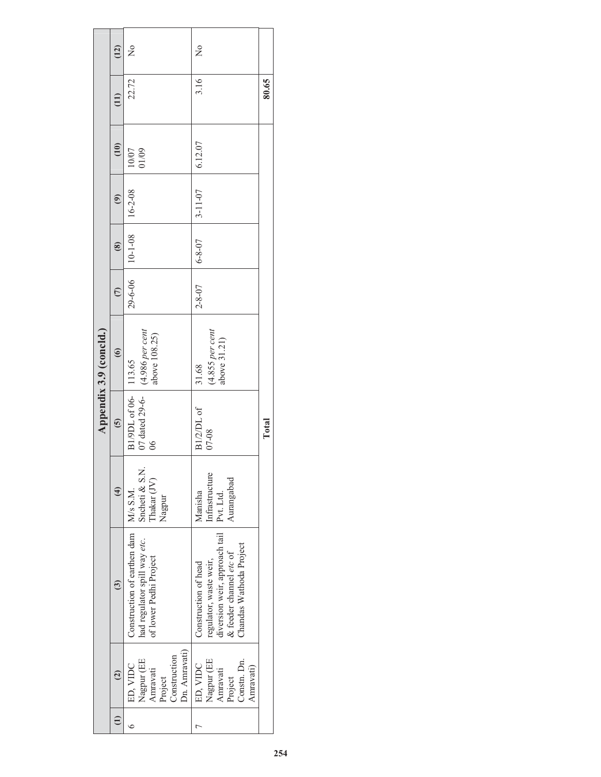|                        | (12)              | $\frac{1}{2}$                                                                                    | $\frac{1}{2}$                                                                                                                         |       |
|------------------------|-------------------|--------------------------------------------------------------------------------------------------|---------------------------------------------------------------------------------------------------------------------------------------|-------|
|                        | $\overline{11}$   | 22.72                                                                                            | 3.16                                                                                                                                  | 80.65 |
|                        | (10)              | 01/09<br>10/07                                                                                   | 6.12.07                                                                                                                               |       |
|                        | $\widehat{e}$     | $16 - 2 - 08$                                                                                    | $3 - 11 - 07$                                                                                                                         |       |
|                        | $\circledast$     | $-29-6-06$ 10-1-08                                                                               | $6 - 8 - 07$                                                                                                                          |       |
|                        | $\overline{C}$    |                                                                                                  | $2 - 8 - 07$                                                                                                                          |       |
| Appendix 3.9 (concld.) | $\odot$           | above 108.25)                                                                                    | $(4.855$ per cent<br>above 31.21)<br>31.68                                                                                            |       |
|                        | $\ddot{\bm{c}}$   | 07 dated 29-6-   (4.986 per cent<br>B1/9DL of 06-   113.65<br>86                                 | B1/2/DL of<br>$07 - 08$                                                                                                               | Total |
|                        | $\left( 4\right)$ | Sncheti & S.N.<br>Thakar (JV)<br>Nagpur                                                          | Infrastructure<br>Aurangabad<br>Manisha<br>Pvt. Ltd.                                                                                  |       |
|                        | $\ddot{\text{o}}$ | Construction of earthen dam   M/s S.M.<br>had regulator spill way etc.<br>of lower Pedhi Project | diversion weir, approach tail<br>Chandas Wathoda Project<br>& feeder channel etc of<br>regulator, waste weir,<br>Construction of head |       |
|                        | $\widehat{c}$     | Dn. Amravati)<br>Construction<br>Nagpur (EE<br>ED, VIDC<br>Amravati<br>Project                   | Nagpur (EE<br>Constn. Dn.<br>ED, VIDC<br>Amravati)<br>Amravatı<br>Project                                                             |       |
|                        |                   |                                                                                                  |                                                                                                                                       |       |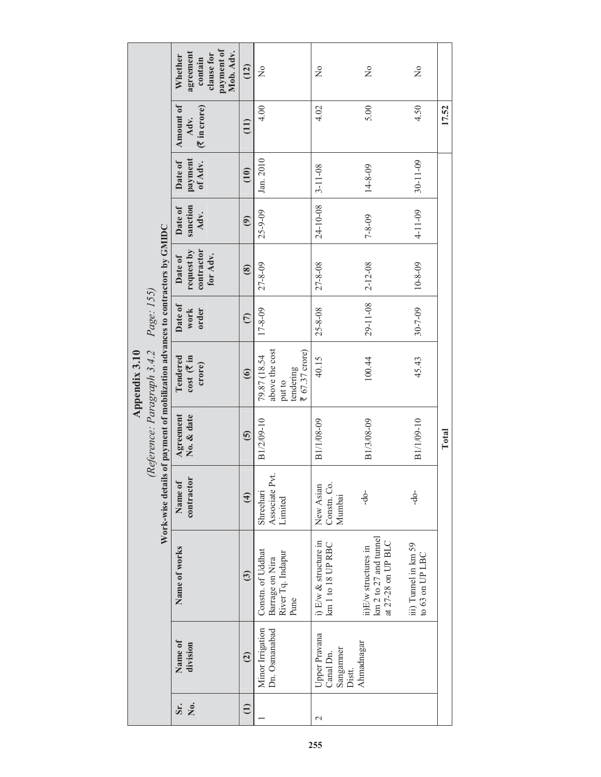|               |                                                                                               | payment of<br>agreement<br>Mob. Adv.<br>clause for<br>Whether<br>contain | (12)                | $\frac{1}{2}$                                                           | $\mathsf{S}^{\mathsf{O}}$                         | $\overline{\mathsf{z}}$                                             | $\frac{1}{2}$                           |       |
|---------------|-----------------------------------------------------------------------------------------------|--------------------------------------------------------------------------|---------------------|-------------------------------------------------------------------------|---------------------------------------------------|---------------------------------------------------------------------|-----------------------------------------|-------|
|               |                                                                                               | <b>Amount of</b><br>(₹ in crore)<br>Adv.                                 | (11)                | 4.00                                                                    | 4.02                                              | 5.00                                                                | 4.50                                    | 17.52 |
|               |                                                                                               | payment<br>Date of<br>of Adv.                                            | $\left(10\right)$   | Jan. 2010                                                               | $3 - 11 - 08$                                     | $14 - 8 - 09$                                                       | $30 - 11 - 09$                          |       |
|               |                                                                                               | sanction<br>Date of<br>Adv.                                              | $\widehat{e}$       | 25-9-09                                                                 | 24-10-08                                          | $7 - 8 - 09$                                                        | $4 - 11 - 09$                           |       |
|               |                                                                                               | contractor<br>request by<br>for Adv.<br>Date of                          | $\circled{s}$       | $27 - 8 - 09$                                                           | 27-8-08                                           | $2 - 12 - 08$                                                       | $10 - 8 - 09$                           |       |
|               | Page: 155)                                                                                    | Date of<br>work<br>order                                                 | $\overline{C}$      | $17 - 8 - 09$                                                           | $25 - 8 - 08$                                     | 29-11-08                                                            | 30-7-09                                 |       |
| Appendix 3.10 | Is of payment of mobilization advances to contractors by GMIDC<br>(Reference: Paragraph 3.4.2 | Tendered<br>cost (₹in<br>crore)                                          | $\odot$             | above the cost<br>₹ 67.37 crore)<br>79.87 (18.54<br>tendering<br>put to | 40.15                                             | 100.44                                                              | 45.43                                   |       |
|               |                                                                                               | Agreement<br>No. & date                                                  | $\overline{6}$      | B1/2/09-10                                                              | B1/1/08-09                                        | B1/3/08-09                                                          | B1/1/09-10                              | Total |
|               | Work-wise detai                                                                               | contractor<br>Name of                                                    | $\widehat{4}$       | Associate Pvt.<br>Shreehari<br>Limited                                  | Constn. Co.<br>New Asian<br>Mumbai                | -do-                                                                | $-do$                                   |       |
|               |                                                                                               | Name of works                                                            | $\ddot{\textbf{c}}$ | Constn. of Uddhat<br>River Tq. Indapur<br>Barrage on Nira<br>Pune       | i) E/w & structure in<br>km 1 to 18 UP RBC        | km 2 to 27 and tunnel<br>at 27-28 on UP BLC<br>ii)E/w structures in | iii) Tunnel in km 59<br>to 63 on UP LBC |       |
|               |                                                                                               | Name of<br>division                                                      | $\overline{c}$      | Minor Irrigation<br>Dn. Osmanabad                                       | Upper Pravana<br>Sanganmer<br>Canal Dn.<br>Distt. | Ahmadnagar                                                          |                                         |       |
|               |                                                                                               | Ż.<br>Sr.                                                                | $\widehat{\Xi}$     |                                                                         | $\mathcal{C}$                                     |                                                                     |                                         |       |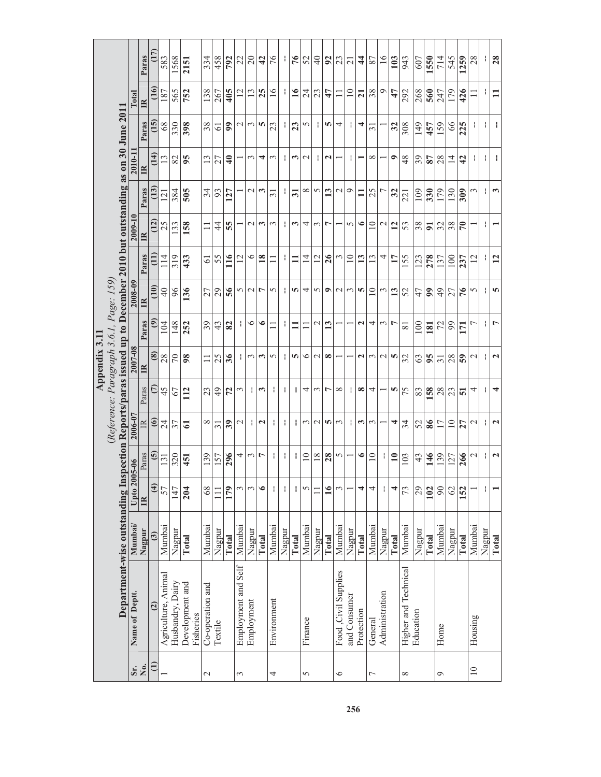|                                                                                                                    |                | Paras        | (17)              | 583                 | 1568             | 2151                         | 334              | 458             | 792           | 22                  | 20              | $\frac{1}{4}$         | 76              | ł,     | 76                 | 52              | $\frac{1}{4}$ | 92              | 23                   | $\overline{21}$       | 4                     | 87              | $\frac{6}{1}$  | 103           | 943                  | 607       | 1550           | 714             | 545             | 1259           | 28              | ł.     | 28                   |
|--------------------------------------------------------------------------------------------------------------------|----------------|--------------|-------------------|---------------------|------------------|------------------------------|------------------|-----------------|---------------|---------------------|-----------------|-----------------------|-----------------|--------|--------------------|-----------------|---------------|-----------------|----------------------|-----------------------|-----------------------|-----------------|----------------|---------------|----------------------|-----------|----------------|-----------------|-----------------|----------------|-----------------|--------|----------------------|
|                                                                                                                    | Total          | $\mathbb{R}$ | (16)              | 187                 | 565              | 752                          | 138              | 267             | 405           |                     | 13              | 25                    | $\overline{16}$ | Ť,     | $\overline{16}$    | 24              | 23            | 47              | $\Box$               | $\overline{10}$       | $\overline{21}$       | 38              | ⊝              | 47            | 292                  | 268       | 560            | 247             | 179             | 426            |                 | ÷,     | $\Xi$                |
|                                                                                                                    |                | Paras        | $\overline{15}$   | 68                  | 330              | 398                          | 38               | $\overline{6}$  | 99            | $\mathbf 1$         | 3               | n                     | 23              | ł      | 23                 | 5               | ł             | n               | 4                    | $\mathbf{I}$          | 4                     | $\overline{31}$ |                | 32            | 308                  | 149       | 457            | 159             | 66              | 225            | ÷.              | ł.     | ł                    |
|                                                                                                                    | 2010-11        | $\mathbb{R}$ | (14)              | 13                  | 82               | 95                           | 13               | 27              | $\frac{1}{4}$ |                     | 3               | 4                     | $\epsilon$      | ł      | ω                  | $\mathbf 2$     | ł             | $\mathbf{c}$    |                      | ł                     |                       | $\infty$        |                | $\bullet$     | 48                   | 39        | 87             | 28              | $\overline{14}$ | $\overline{4}$ | ÷.              | ŧ      | ł                    |
|                                                                                                                    |                | Paras        | $\left(13\right)$ | 121                 | 384              | 505                          | 34               | 93              | 127           |                     | $\mathbf{\sim}$ | 3                     | $\overline{31}$ | ł.     | $\overline{31}$    | ${}^{\circ}$    | $\sim$        | 13              | $\sim$               | $\circ$               | $\mathbf{I}$          | 25              | 1              | 32            | 221                  | 109       | 330            | 179             | 130             | 309            | $\omega$        | ł      | S                    |
|                                                                                                                    | 2009-10        | $\mathbb{R}$ | (12)              | 25                  | 133              | 158                          | $\equiv$         | $\frac{4}{4}$   | 55            |                     | $\mathbf 2$     | $\mathbf{\hat{c}}$    | $\epsilon$      | ł      | $\mathbf{\hat{c}}$ | 4               | $\epsilon$    | $\overline{ }$  |                      | 5                     | $\bullet$             | $\overline{10}$ | $\mathcal{C}$  | 12            | 53                   | 38        | $\overline{5}$ | 32              | 38              | $\mathbb{R}$   |                 | ł      |                      |
|                                                                                                                    |                | Paras        | Ë                 | 114                 | 319              | 433                          | $\overline{6}$   | 55              | 116           | 12                  | $\circ$         | $\overline{18}$       | Ξ               | ł.     | $\mathbf{1}$       | $\overline{14}$ | 12            | 26              | $\epsilon$           | $\overline{10}$       | 13                    | 13              | 4              | 17            | 155                  | 123       | 278            | 137             | 100             | 237            | $\overline{12}$ | ł.     | 12                   |
|                                                                                                                    | 2008-09        | $\mathbb{R}$ | (10)              | $\overline{40}$     | 96               | 136                          | 27               | 29              | 56            | 5                   | $\mathbf 2$     | Ļ                     | 5               | ÷      | Ю                  | 4               | 5             | $\bullet$       | $\sim$               | $\tilde{\phantom{0}}$ | S                     | $\equiv$        | 3              | 13            | 52                   | 47        | 99             | 49              | 27              | $\sqrt{6}$     | 5               | Ł      | S                    |
| (Reference: Paragraph 3.6.1, Page: 159)                                                                            |                | Paras        | $\widehat{e}$     | 104                 | 148              | 252                          | 39               | 43              | 82            | ł                   | $\circ$         | $\bullet$             | $\equiv$        | ŧ      | $\mathbf{1}$       | $\Box$          | $\sim$        | 13              |                      |                       | $\mathbf{\mathsf{N}}$ | 4               | $\epsilon$     | r             | $\overline{81}$      | 100       | 181            | 72              | 99              | 171            |                 | ł      | L                    |
| Appendix 3.11                                                                                                      | 2007-08        | $\mathbb{R}$ | $\circledast$     | 28                  | $\sqrt{2}$       | 98                           | $\equiv$         | 25              | 36            | ł                   | 3               | 3                     | 5               | ł      | n                  | $\circ$         | $\mathcal{L}$ | $\infty$        |                      |                       | $\mathbf{\tilde{c}}$  | 3               | $\mathbf 2$    | m             | 32                   | 63        | 95             | $\overline{31}$ | 28              | 59             | $\mathcal{C}$   | ł      | $\mathbf{\Omega}$    |
|                                                                                                                    |                | Paras        | $\in$             | 45                  | 67               | 112                          | 23               | $\frac{1}{2}$   | 72            | 3                   | ł               | $\mathbf{\hat{z}}$    | ł               | ł      | t                  | 4               | $\epsilon$    | $\overline{ }$  | $\infty$             | $\mathbf{I}$          | ∞                     | 4               |                | S             | 75                   | 83        | 158            | 28              | 23              | 51             | 4               | ŧ      | 4                    |
|                                                                                                                    | 2006-07        | $\mathbb{R}$ | $\circledcirc$    | 24                  | 37               | 61                           | $^{\circ}$       | $\overline{31}$ | 39            | $\sim$              | ł               | $\mathbf{\mathsf{N}}$ | ł               | ł      | ł                  | $\epsilon$      | $\sim$        | n               | $\epsilon$           | ł                     | $\sim$                | $\epsilon$      |                | 4             | 34                   | 52        | 86             | $\overline{17}$ | $\equiv$        | 27             | $\mathbf{\sim}$ | ł      | $\mathbf{\tilde{c}}$ |
|                                                                                                                    | $005 - 06$     | Paras        | $\overline{6}$    | 131                 | 320              | 451                          | 139              | 157             | 296           | 4                   | $\mathfrak{c}$  | L                     | ł.              | ŧ      | ł,                 | $\overline{10}$ | 18            | 28              | 5                    |                       | $\bullet$             | $\overline{10}$ | ł              | $\mathbf{10}$ | 103                  | 43        | 146            | 139             | 127             | 266            | $\mathcal{L}$   | Ł      | $\mathbf{z}$         |
|                                                                                                                    | Upto 20        | E            | $\widehat{f}$     | 57                  | 147              | 204                          | 68               | $\Xi$           | 179           | 3                   | 3               | $\bullet$             | ł               | ÷      | ł                  | 5               | $\Box$        | $\overline{16}$ | $\epsilon$           |                       | 4                     | 4               | ł              | 4             | 73                   | 29        | 102            | $\infty$        | 62              | 152            |                 | ł      |                      |
|                                                                                                                    | Mumbai         | Nagpur       | $\widehat{a}$     | Mumbai              | Nagpur           | Total                        | Mumbai           | Nagpur          | Total         | Mumbai              | Nagpur          | Total                 | Mumbai          | Nagpur | Total              | Mumbai          | Nagpur        | Total           | Mumbai               | Nagpur                | Total                 | Mumbai          | Nagpur         | Total         | Mumbai               | Nagpur    | Total          | Mumbai          | Nagpur          | Total          | Mumbai          | Nagpur | Total                |
| Department-wise outstanding Inspection Reports/paras issued up to December 2010 but outstanding as on 30 June 2011 | Name of Deptt. |              | $\overline{c}$    | Agriculture, Animal | Husbandry, Dairy | Development and<br>Fisheries | Co-operation and | Textile         |               | Employment and Self | Employment      |                       | Environment     |        |                    | Finance         |               |                 | Food, Civil Supplies | and Consumer          | Protection            | General         | Administration |               | Higher and Technical | Education |                | Home            |                 |                | Housing         |        |                      |
|                                                                                                                    | Sr.            | No.          | $\widehat{E}$     |                     |                  |                              | $\mathbf{C}$     |                 |               | $\epsilon$          |                 |                       | 4               |        |                    | 5               |               |                 | $\circ$              |                       |                       | $\overline{ }$  |                |               | $\infty$             |           |                | Ó               |                 |                | $\overline{10}$ |        |                      |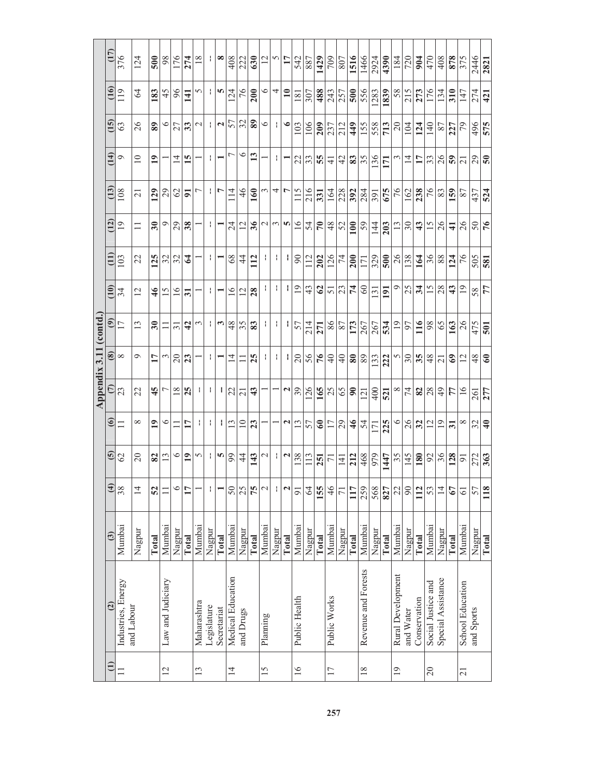|                 |                         |              |                 |                         |                       | Appendix 3.11   |                 | (contd.                  |                         |                |                          |                 |                 |                      |                  |                |
|-----------------|-------------------------|--------------|-----------------|-------------------------|-----------------------|-----------------|-----------------|--------------------------|-------------------------|----------------|--------------------------|-----------------|-----------------|----------------------|------------------|----------------|
| $\oplus$        | $\overline{c}$          | $\odot$      | $\widehat{4}$   | $\overline{\mathbf{e}}$ | $\circledcirc$        | E               | ⊛               | ම                        | $\widehat{10}$          | Ë              | (12)                     | $\overline{13}$ | (14)            | $\overline{15}$      | (16)             | (17)           |
| $\equiv$        | Industries, Energy      | Mumbai       | 38              | 62                      | $\Box$                | 23              | $\infty$        | 17                       | 34                      | 103            | 19                       | 108             | $\circ$         | 63                   | 119              | 376            |
|                 | and Labour              | Nagpur       | $\overline{4}$  | $\Omega$                | ∞                     | 22              | Ó               | $\overline{13}$          | 12                      | 22             | $\Box$                   | $\overline{21}$ | $\supseteq$     | 26                   | 64               | 124            |
|                 |                         | Total        | 52              | 82                      | $\overline{19}$       | 45              | 17              | $\overline{\mathbf{30}}$ | $\frac{4}{6}$           | 125            | $\overline{\mathbf{30}}$ | 129             | $\overline{19}$ | $\bf{89}$            | 183              | 500            |
| 12              | Law and Judiciary       | Mumbai       | $\Box$          | 13                      | $\circ$               | ┍               | 3               | Ξ                        | 15                      | 32             | $\circ$                  | 29              |                 | $\circ$              | 45               | 98             |
|                 |                         | Nagpur       | $\circ$         | $\circ$                 |                       | $\overline{18}$ | $\Omega$        | $\overline{5}$           | $\frac{6}{1}$           | 32             | 29                       | $\mathcal{O}$   | $\overline{4}$  | 27                   | 96               | 176            |
|                 |                         | <b>Total</b> | $\mathbf{1}$    | 19                      | 17                    | 25              | 23              | $\boldsymbol{d}$         | $\overline{\mathbf{5}}$ | $\mathfrak{c}$ | 38                       | 51              | 15              | 33                   | $\overline{141}$ | 274            |
| 13              | Maharashtra             | Mumbai       |                 | 5                       |                       |                 |                 | $\epsilon$               |                         |                |                          |                 |                 | $\mathcal{L}$        | S                | 18             |
|                 | Legislature             | Nagpur       | ÷               |                         | f.                    |                 | f,              |                          | ł.                      | ÷,             | ł                        | ÷.              | ł               |                      | ÷.               |                |
|                 | Secretariat             | Total        |                 | m                       |                       |                 |                 | $\boldsymbol{\omega}$    |                         |                |                          | r               |                 | $\mathbf{\tilde{c}}$ | m                | œ              |
| $\overline{1}$  | Medical Education       | Mumbai       | 50              | 99                      | 13                    | 22              | $\overline{4}$  | 48                       | $\geq$                  | 68             | 24                       | 114             | r               | 57                   | 124              | 408            |
|                 | and Drugs               | Nagpur       | 25              | 4                       | $\overline{10}$       | $\overline{z}$  |                 | 35                       | 12                      | $\overline{4}$ | 12                       | $\frac{4}{6}$   | $\circ$         | 32                   | 76               | 222            |
|                 |                         | Total        | 75              | 143                     | 23                    | 43              | 25              | 83                       | 28                      | 112            | 36                       | <b>160</b>      | 13              | 89                   | 200              | 630            |
| 15              | Planning                | Mumbai       | $\mathcal{L}$   | $\sim$                  |                       |                 | ł,              |                          | ÷.                      | ł,             | $\mathbf 2$              |                 |                 | $\circ$              | $\circ$          | $\overline{c}$ |
|                 |                         | Nagpur       | ÷.              | ÷.                      |                       |                 | ł.              | ÷,                       | ÷.                      | ł.             | $\epsilon$               | 4               | ÷.              | ÷.                   | 4                | ∽              |
|                 |                         | <b>Total</b> | $\mathbf{z}$    | $\mathbf{z}$            | $\mathbf{\mathbf{a}}$ | N               | H,              | J.                       | ł                       | I.             | S                        | L               |                 | $\bullet$            | $\mathbf{10}$    | $\mathbf{1}$   |
| 16              | Public Health           | Mumbai       | $\overline{9}$  | 138                     | 13                    | 39              | $\overline{c}$  | 57                       | $\overline{19}$         | $\infty$       | 16                       | 115             | 22              | 103                  | $\overline{181}$ | 542            |
|                 |                         | Nagpur       | 64              | 113                     | 57                    | 126             | 56              | 214                      | 43                      | 112            | 54                       | 216             | 33              | 106                  | 307              | 887            |
|                 |                         | Total        | 155             | 251                     | $\mathbf{e}$          | 165             | 76              | 271                      | $\mathcal{O}$           | 202            | $\mathcal{L}$            | 331             | 55              | 209                  | 488              | 1429           |
| 17              | Public Works            | Mumbai       | 46              | $\overline{2}$          | 17                    | 25              | $\overline{4}$  | 98                       | $\overline{51}$         | 126            | 48                       | 164             | $\frac{1}{4}$   | 237                  | 243              | 709            |
|                 |                         | Nagpur       | $\overline{71}$ | $\overline{4}$          | 29                    | 65              | $\Theta$        | 87                       | 23                      | $\overline{7}$ | 52                       | 228             | 42              | 212                  | 257              | 807            |
|                 |                         | Total        | 117             | 212                     | $\frac{4}{6}$         | $\infty$        | $\bf{80}$       | 173                      | 74                      | 200            | 100                      | 392             | 83              | 449                  | 500              | 1516           |
| 18              | Revenue and Forests     | Mumbai       | 259             | 468                     | 54                    | 121             | 89              | 267                      | $\infty$                | 171            | 59                       | 284             | 35              | 155                  | 556              | 1466           |
|                 |                         | Nagpur       | 568             | 979                     | 171                   | 400             | 133             | 267                      | 131                     | 329            | 144                      | 391             | 136             | 558                  | 283              | 2924           |
|                 |                         | Total        | 827             | 1447                    | 225                   | 521             | 222             | 534                      | 191                     | 500            | 203                      | 675             | 171             | 713                  | 1839             | 4390           |
| $\overline{19}$ | Rural Development       | Mumbai       | 22              | 35                      | $\circ$               | $\infty$        | S               | $\overline{19}$          | $\circ$                 | 26             | $\frac{3}{2}$            | 76              |                 | $\overline{c}$       | 58               | 184            |
|                 | and Water               | Nagpur       | $\overline{6}$  | 145                     | 26                    | 74              | $30\,$          | 57                       | 25                      | 138            | $30\,$                   | 162             | $\overline{1}$  | 104                  | 215              | 720            |
|                 | Conservation            | Total        | 112             | 180                     | 32                    | 82              | 35              | 116                      | 34                      | 164            | $\frac{4}{3}$            | 238             | $\mathbf{1}$    | 124                  | 273              | 904            |
| 20              | Social Justice and      | Mumbai       | 53              | 92                      | 12                    | 28              | 48              | 98                       | 15                      | 36             | 15                       | 76              | 33              | 140                  | 176              | 470            |
|                 | Special Assistance      | Nagpur       | $\overline{1}$  | 36                      | $^{19}$               | $\overline{6}$  | $\overline{21}$ | 65                       | 28                      | 88             | 26                       | 83              | 26              | 87                   | 134              | 408            |
|                 |                         | Total        | 67              | 128                     | $\overline{31}$       | 77              | $\mathbf{e}$    | 163                      | 43                      | 124            | $\overline{\mathbf{4}}$  | 159             | $\overline{5}$  | 227                  | 310              | 878            |
| $\overline{21}$ | <b>School Education</b> | Mumbai       | $\overline{6}$  | $\overline{91}$         | $\infty$              | 16              | 12              | 26                       | $\overline{19}$         | 76             | 26                       | 87              | $\overline{21}$ | 79                   | 147              | 375            |
|                 | and Sports              | Nagpur       | 57              | 272                     | 32                    | 261             | 48              | 475                      | 58                      | 505            | $50\,$                   | 437             | 29              | 496                  | 274              | 2446           |
|                 |                         | Total        | 118             | 363                     | $\overline{4}$        | 277             | 60              | $\overline{501}$         | $\frac{7}{7}$           | 581            | 76                       | 524             | 50              | 575                  | $\overline{421}$ | 2821           |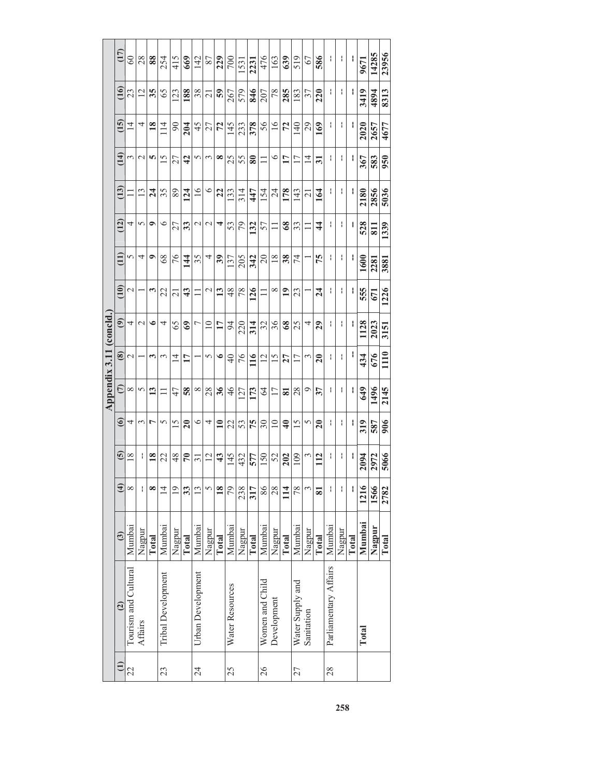|                        | (17)                     | $^{60}$              | 28            | 88              | 254                       | 415            | 669             | 142               | 87                  | 229             | 700             | 1531   | 2231      | 476             | 163             | 639                     | 519              | 67             | 586             | I                     |        |       | 9671   | 14285  | 23956 |
|------------------------|--------------------------|----------------------|---------------|-----------------|---------------------------|----------------|-----------------|-------------------|---------------------|-----------------|-----------------|--------|-----------|-----------------|-----------------|-------------------------|------------------|----------------|-----------------|-----------------------|--------|-------|--------|--------|-------|
|                        | (16)                     | 23                   | 12            | 35              | 65                        | 123            | 188             | 38                | $\overline{\Omega}$ | 59              | 267             | 579    | 846       | 207             | 78              | 285                     | 183              | 37             | 220             | ł                     | I      |       | 3419   | 4894   | 8313  |
|                        | $\overline{15}$          | $\overline{4}$       | 4             | $\overline{18}$ | 114                       | $\overline{6}$ | 204             | 45                | 27                  | 72              | 145             | 233    | 378       | 56              | $\overline{16}$ | 72                      | 140              | 29             | 169             | ł                     | ł      |       | 2020   | 2657   | 4677  |
|                        | (14)                     | 3                    | $\mathcal{L}$ | n               | $\overline{15}$           | 27             | $\frac{1}{4}$   | 5                 | 3                   | ∞               | 25              | 55     | $\bf{80}$ |                 | $\circ$         | 17                      | 17               | $\overline{4}$ | $\overline{31}$ | I                     | ł      |       | 367    | 583    | 950   |
|                        | $\widetilde{\mathbf{1}}$ | 二                    | $\frac{3}{2}$ | $\overline{24}$ | 35                        | 89             | 124             | $\overline{16}$   | $\circ$             | 22              | 133             | 314    | 447       | 154             | $\overline{24}$ | 178                     | 143              | $\overline{c}$ | 164             | I                     | I      |       | 2180   | 2856   | 5036  |
|                        | (12)                     | 4                    | 5             | ۰               | $\circ$                   | 27             | 33              | $\mathcal{C}$     | $\mathcal{C}$       | 4               | 53              | 79     | 132       | 57              | $\Box$          | $\frac{8}{3}$           | 33               |                | $\frac{4}{3}$   | ł                     | I      | I     | 528    | 811    | 1339  |
|                        | $\widehat{\Xi}$          | 5                    | 4             | ٩               | 68                        | 76             | $\frac{44}{1}$  | 35                | 4                   | 39              | 137             | 205    | 342       | $\overline{20}$ | $\frac{8}{18}$  | 38                      | 74               |                | 75              | ł                     | ł,     | H     | 1600   | 2281   | 3881  |
|                        | (10)                     | $\mathcal{C}$        |               | 3               | 22                        | $\overline{c}$ | $\ddot{a}$      | $\Box$            | $\mathcal{C}$       | 13              | 48              | 78     | 126       | $\Box$          | $\infty$        | $\overline{19}$         | 23               |                | $\overline{24}$ | I                     | ł      |       | 555    | 671    | 1226  |
|                        | $\widehat{e}$            | 4                    | $\mathcal{L}$ | $\bullet$       | 4                         | 65             | 3               | L                 | $\overline{10}$     | $\mathbf{1}$    | 54              | 220    | 314       | 32              | 36              | $\frac{8}{3}$           | 25               | 4              | $\overline{29}$ | ł                     | ł      | ł     | 1128   | 2023   | 3151  |
|                        | $\circledast$            | $\mathrel{\sim}$     |               | 3               | 3                         | $\overline{4}$ | 17              |                   | 5                   | $\bullet$       | $\overline{4}$  | 76     | 116       | $\overline{c}$  | $\overline{15}$ | 27                      | $\overline{17}$  | 3              | $\overline{20}$ | I                     | I      | ł     | 434    | 676    | 1110  |
| Appendix 3.11 (concld. | $\widehat{C}$            | $\infty$             | 5             | 13              |                           | 47             | 58              | $\infty$          | 28                  | 36              | 46              | 127    | 173       | $\mathcal{Z}$   | 17              | $\overline{\mathbf{s}}$ | 28               | O              | 37              | ł                     | I      |       | 649    | 1496   | 2145  |
|                        | $\circledcirc$           | 4                    | 3             | r               | 5                         | 15             | $\overline{20}$ | $\circ$           | 4                   | $\overline{10}$ | 22              | 53     | 75        | $30\,$          | $\overline{10}$ | $\frac{4}{ }$           | 15               | 5              | $\overline{20}$ | ł                     | I      | ł     | 319    | 587    | 906   |
|                        | $\tilde{6}$              | $\frac{8}{18}$       | I             | $\frac{8}{18}$  | 22                        | 48             | $\mathcal{F}$   | $\overline{31}$   | $\overline{2}$      | $\frac{43}{5}$  | 145             | 432    | 577       | 150             | 52              | 202                     | 109              | 3              | 112             | I                     |        |       | 2094   | 2972   | 5066  |
|                        | $\widehat{a}$            | ∞                    | ł             | ∞               | $\overline{14}$           | 19             | 33              | 13                | S                   | 18              | 79              | 238    | 317       | 86              | 28              | $\frac{14}{1}$          | 78               |                | 81              | ł                     | ł      |       | 1216   | 1566   | 2782  |
|                        | $\ddot{\textbf{c}}$      | Mumbai               | Nagpur        | Total           | Mumbai                    | Nagpur         | Total           | Mumbai            | Nagpur              | Total           | Mumbai          | Nagpur | Total     | Mumbai          | Nagpur          | Total                   | Mumbai           | Nagpur         | Total           | Mumbai                | Nagpur | Total | Mumbai | Nagpur | Total |
|                        | $\overline{c}$           | Tourism and Cultural | Affairs       |                 | <b>Tribal Development</b> |                |                 | Urban Development |                     |                 | Water Resources |        |           | Women and Child | Development     |                         | Water Supply and | Sanitation     |                 | Parliamentary Affairs |        |       | Total  |        |       |
|                        | $\widehat{=}$            | 22                   |               |                 | 23                        |                |                 | 24                |                     |                 | 25              |        |           | 26              |                 |                         | 27               |                |                 | 28                    |        |       |        |        |       |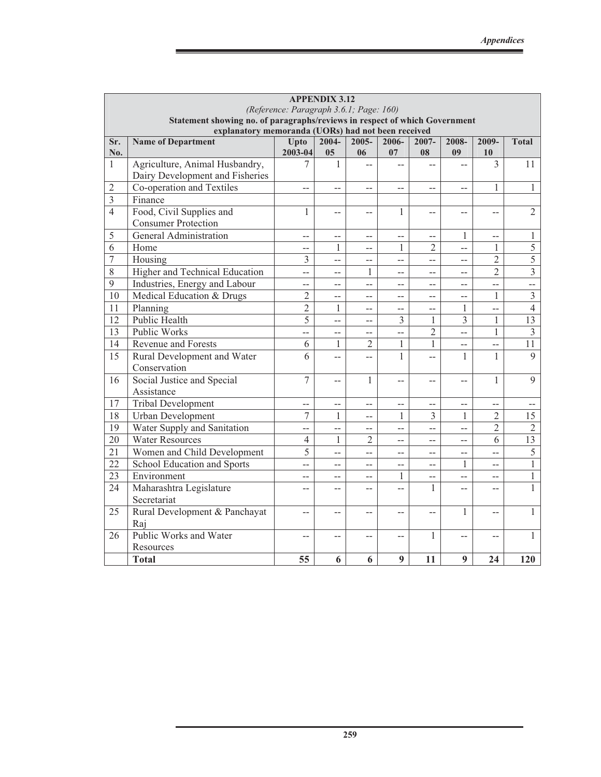| <b>APPENDIX 3.12</b> |                                                                                                                       |                        |                |                |                |                |                          |                |                         |  |  |  |
|----------------------|-----------------------------------------------------------------------------------------------------------------------|------------------------|----------------|----------------|----------------|----------------|--------------------------|----------------|-------------------------|--|--|--|
|                      | (Reference: Paragraph 3.6.1; Page: 160)<br>Statement showing no. of paragraphs/reviews in respect of which Government |                        |                |                |                |                |                          |                |                         |  |  |  |
|                      |                                                                                                                       |                        |                |                |                |                |                          |                |                         |  |  |  |
|                      | explanatory memoranda (UORs) had not been received                                                                    |                        |                |                |                |                |                          |                |                         |  |  |  |
| Sr.<br>No.           | <b>Name of Department</b>                                                                                             | <b>Upto</b><br>2003-04 | $2004 -$<br>05 | $2005 -$<br>06 | $2006 -$<br>07 | $2007 -$<br>08 | 2008-<br>09              | 2009-<br>10    | <b>Total</b>            |  |  |  |
| $\mathbf{1}$         | Agriculture, Animal Husbandry,                                                                                        | 7                      | 1              |                |                |                |                          | 3              | 11                      |  |  |  |
|                      | Dairy Development and Fisheries                                                                                       |                        |                |                |                |                |                          |                |                         |  |  |  |
| $\overline{2}$       | Co-operation and Textiles                                                                                             | $-$                    | $-$            | $-$            | $-$            | $-$            | $-$                      | 1              | $\mathbf{1}$            |  |  |  |
| $\overline{3}$       | Finance                                                                                                               |                        |                |                |                |                |                          |                |                         |  |  |  |
| $\overline{4}$       | Food, Civil Supplies and                                                                                              | $\mathbf{1}$           | --             | $-$            | 1              | $-$            | $-$                      | $-1$           | $\overline{2}$          |  |  |  |
|                      | <b>Consumer Protection</b>                                                                                            |                        |                |                |                |                |                          |                |                         |  |  |  |
| 5                    | General Administration                                                                                                | $-$                    | $-$            | $-$            | $-$            | $-$            | 1                        | $-$            | $\mathbf{1}$            |  |  |  |
| 6                    | Home                                                                                                                  | $-$                    | 1              | $-$            | $\mathbf{1}$   | $\overline{2}$ | $\overline{a}$           | 1              | $\overline{5}$          |  |  |  |
| 7                    | Housing                                                                                                               | 3                      | $-$            | $-$            | $-$            | --             | $\overline{\phantom{0}}$ | $\overline{2}$ | $\overline{5}$          |  |  |  |
| 8                    | Higher and Technical Education                                                                                        | $\overline{a}$         | $-$            | 1              | $-$            | $-$            | $-$                      | $\overline{2}$ | $\overline{3}$          |  |  |  |
| 9                    | Industries, Energy and Labour                                                                                         | $-$                    | $-$            | $\overline{a}$ | $-$            | $-$            | $-$                      | $-$            | $\overline{a}$          |  |  |  |
| 10                   | Medical Education & Drugs                                                                                             | $\overline{2}$         | $-$            | $-$            | $-$            | $-$            | $-$                      | $\mathbf{1}$   | $\overline{\mathbf{3}}$ |  |  |  |
| 11                   | Planning                                                                                                              | $\overline{2}$         | 1              | $\overline{a}$ | $-$            | $-$            | 1                        | $\overline{a}$ | $\overline{4}$          |  |  |  |
| 12                   | Public Health                                                                                                         | $\overline{5}$         | $\overline{a}$ | $\overline{a}$ | 3              | 1              | 3                        | $\mathbf{1}$   | 13                      |  |  |  |
| 13                   | Public Works                                                                                                          | $\overline{a}$         | --             | $\overline{a}$ | $\overline{a}$ | $\overline{2}$ | $\overline{a}$           | $\mathbf{1}$   | $\overline{3}$          |  |  |  |
| 14                   | <b>Revenue and Forests</b>                                                                                            | 6                      | 1              | $\overline{2}$ | $\mathbf{1}$   | $\mathbf{1}$   | $-$                      | $-$            | 11                      |  |  |  |
| 15                   | Rural Development and Water                                                                                           | 6                      | $\overline{a}$ | $\overline{a}$ | $\mathbf{1}$   | $\overline{a}$ | $\mathbf{1}$             | $\mathbf{1}$   | $\overline{9}$          |  |  |  |
|                      | Conservation                                                                                                          |                        |                |                |                |                |                          |                |                         |  |  |  |
| 16                   | Social Justice and Special                                                                                            | $\overline{7}$         | --             | $\mathbf{1}$   | $-$            | $-$            | $-$                      | $\mathbf{1}$   | 9                       |  |  |  |
|                      | Assistance                                                                                                            |                        |                |                |                |                |                          |                |                         |  |  |  |
| 17                   | <b>Tribal Development</b>                                                                                             | $-$                    | $-$            | $-$            | $-$            | --             | $-$                      | $\overline{a}$ | $ -$                    |  |  |  |
| 18                   | Urban Development                                                                                                     | 7                      | 1              | $-$            | 1              | 3              | 1                        | $\overline{2}$ | 15                      |  |  |  |
| 19                   | Water Supply and Sanitation                                                                                           | $-$                    | $\overline{a}$ | $-$            | $-$            | $-$            | $\overline{a}$           | $\overline{2}$ | $\overline{2}$          |  |  |  |
| 20                   | <b>Water Resources</b>                                                                                                | $\overline{4}$         | $\mathbf{1}$   | $\overline{2}$ | $-$            | $-$            | $-$                      | 6              | 13                      |  |  |  |
| 21                   | Women and Child Development                                                                                           | 5                      | $\overline{a}$ | $\overline{a}$ | $-$            | $-$            | $-$                      | $\overline{a}$ | 5                       |  |  |  |
| 22                   | School Education and Sports                                                                                           | $-$                    | $-$            | $-$            | $-$            | $-$            | 1                        | $-$            | $\mathbf{1}$            |  |  |  |
| $\overline{23}$      | Environment                                                                                                           | --                     | $-$            | $-$            | 1              | --             | --                       | --             | $\mathbf{1}$            |  |  |  |
| 24                   | Maharashtra Legislature                                                                                               | $-1$                   | $-$            | $-$            | $\overline{a}$ | 1              | $-$                      | $-$            | $\mathbf{1}$            |  |  |  |
|                      | Secretariat                                                                                                           |                        |                |                |                |                |                          |                |                         |  |  |  |
| 25                   | Rural Development & Panchayat                                                                                         | $-$                    | --             | $-$            | --             | --             | 1                        | $-$            | $\mathbf{1}$            |  |  |  |
|                      | Raj                                                                                                                   |                        |                |                |                |                |                          |                |                         |  |  |  |
| 26                   | Public Works and Water                                                                                                | $-$                    | $-$            | $-$            | $-$            | $\mathbf{1}$   | $-$                      | $-$            | $\mathbf{1}$            |  |  |  |
|                      | Resources                                                                                                             |                        |                |                |                |                |                          |                |                         |  |  |  |
|                      | <b>Total</b>                                                                                                          | 55                     | 6              | 6              | 9              | 11             | 9                        | 24             | 120                     |  |  |  |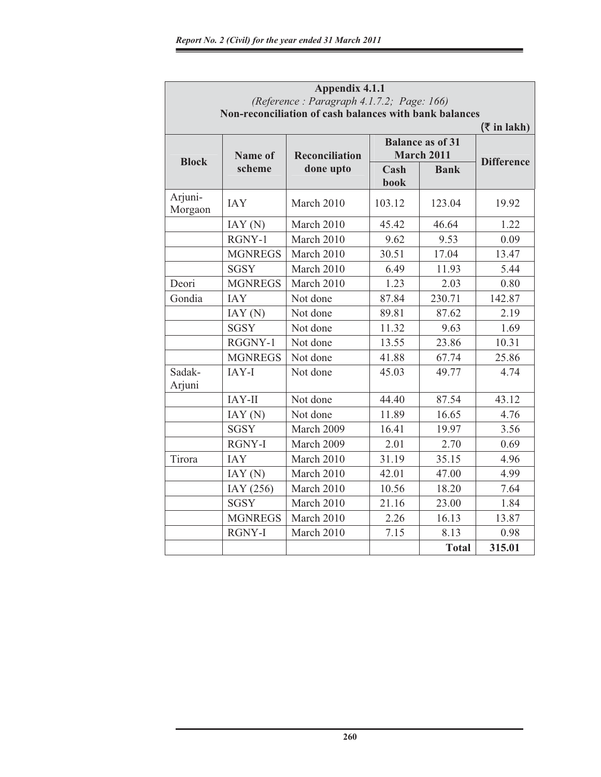|                    |                | <b>Appendix 4.1.1</b><br>(Reference: Paragraph 4.1.7.2; Page: 166)<br>Non-reconciliation of cash balances with bank balances |              |                                              |                                             |
|--------------------|----------------|------------------------------------------------------------------------------------------------------------------------------|--------------|----------------------------------------------|---------------------------------------------|
| <b>Block</b>       | Name of        | <b>Reconciliation</b>                                                                                                        |              | <b>Balance as of 31</b><br><b>March 2011</b> | $(\bar{\tau}$ in lakh)<br><b>Difference</b> |
|                    | scheme         | done upto                                                                                                                    | Cash<br>book | <b>Bank</b>                                  |                                             |
| Arjuni-<br>Morgaon | <b>JAY</b>     | March 2010                                                                                                                   | 103.12       | 123.04                                       | 19.92                                       |
|                    | IAY(N)         | March 2010                                                                                                                   | 45.42        | 46.64                                        | 1.22                                        |
|                    | RGNY-1         | March 2010                                                                                                                   | 9.62         | 9.53                                         | 0.09                                        |
|                    | <b>MGNREGS</b> | March 2010                                                                                                                   | 30.51        | 17.04                                        | 13.47                                       |
|                    | <b>SGSY</b>    | March 2010                                                                                                                   | 6.49         | 11.93                                        | 5.44                                        |
| Deori              | <b>MGNREGS</b> | March 2010                                                                                                                   | 1.23         | 2.03                                         | 0.80                                        |
| Gondia             | <b>IAY</b>     | Not done                                                                                                                     | 87.84        | 230.71                                       | 142.87                                      |
|                    | IAY(N)         | Not done                                                                                                                     | 89.81        | 87.62                                        | 2.19                                        |
|                    | <b>SGSY</b>    | Not done                                                                                                                     | 11.32        | 9.63                                         | 1.69                                        |
|                    | RGGNY-1        | Not done                                                                                                                     | 13.55        | 23.86                                        | 10.31                                       |
|                    | <b>MGNREGS</b> | Not done                                                                                                                     | 41.88        | 67.74                                        | 25.86                                       |
| Sadak-<br>Arjuni   | IAY-I          | Not done                                                                                                                     | 45.03        | 49.77                                        | 4.74                                        |
|                    | IAY-II         | Not done                                                                                                                     | 44.40        | 87.54                                        | 43.12                                       |
|                    | IAY(N)         | Not done                                                                                                                     | 11.89        | 16.65                                        | 4.76                                        |
|                    | <b>SGSY</b>    | March 2009                                                                                                                   | 16.41        | 19.97                                        | 3.56                                        |
|                    | <b>RGNY-I</b>  | March 2009                                                                                                                   | 2.01         | 2.70                                         | 0.69                                        |
| Tirora             | <b>IAY</b>     | March 2010                                                                                                                   | 31.19        | 35.15                                        | 4.96                                        |
|                    | IAY(N)         | March 2010                                                                                                                   | 42.01        | 47.00                                        | 4.99                                        |
|                    | IAY (256)      | March 2010                                                                                                                   | 10.56        | 18.20                                        | 7.64                                        |
|                    | <b>SGSY</b>    | March 2010                                                                                                                   | 21.16        | 23.00                                        | 1.84                                        |
|                    | <b>MGNREGS</b> | March 2010                                                                                                                   | 2.26         | 16.13                                        | 13.87                                       |
|                    | <b>RGNY-I</b>  | March 2010                                                                                                                   | 7.15         | 8.13                                         | 0.98                                        |
|                    |                |                                                                                                                              |              | <b>Total</b>                                 | 315.01                                      |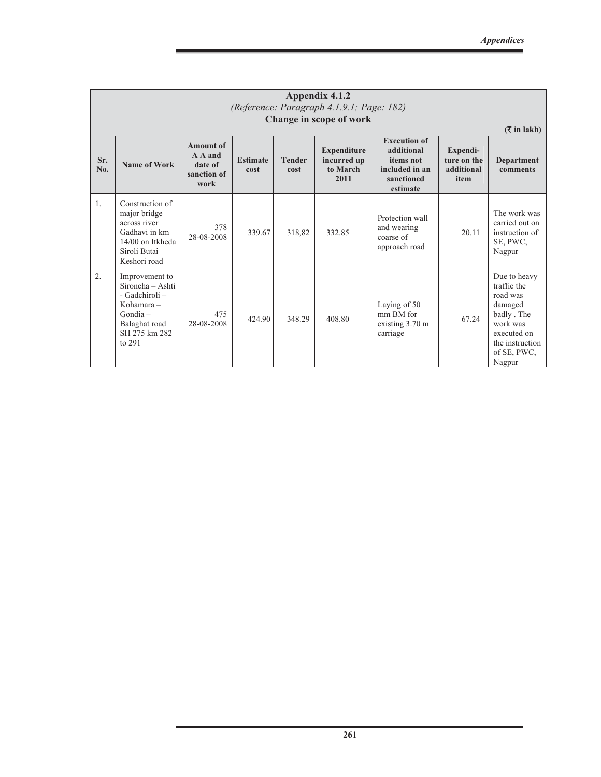|                |                                                                                                                                |                                                               |                         |                       | Appendix 4.1.2<br>(Reference: Paragraph 4.1.9.1; Page: 182)<br>Change in scope of work |                                                                                            |                                               | $(\bar{\bar{\mathbf{x}}}$ in lakh)                                                                                                      |
|----------------|--------------------------------------------------------------------------------------------------------------------------------|---------------------------------------------------------------|-------------------------|-----------------------|----------------------------------------------------------------------------------------|--------------------------------------------------------------------------------------------|-----------------------------------------------|-----------------------------------------------------------------------------------------------------------------------------------------|
| Sr.<br>No.     | Name of Work                                                                                                                   | <b>Amount of</b><br>A A and<br>date of<br>sanction of<br>work | <b>Estimate</b><br>cost | <b>Tender</b><br>cost | <b>Expenditure</b><br>incurred up<br>to March<br>2011                                  | <b>Execution of</b><br>additional<br>items not<br>included in an<br>sanctioned<br>estimate | Expendi-<br>ture on the<br>additional<br>item | <b>Department</b><br>comments                                                                                                           |
| $\mathbf{1}$ . | Construction of<br>major bridge<br>across river<br>Gadhavi in km<br>14/00 on Itkheda<br>Siroli Butai<br>Keshori road           | 378<br>28-08-2008                                             | 339.67                  | 318,82                | 332.85                                                                                 | Protection wall<br>and wearing<br>coarse of<br>approach road                               | 20.11                                         | The work was<br>carried out on<br>instruction of<br>SE, PWC,<br>Nagpur                                                                  |
| 2.             | Improvement to<br>Sironcha – Ashti<br>- Gadchiroli -<br>Kohamara $-$<br>$Gondia -$<br>Balaghat road<br>SH 275 km 282<br>to 291 | 475<br>28-08-2008                                             | 424.90                  | 348.29                | 408.80                                                                                 | Laying of 50<br>mm BM for<br>existing $3.70 \text{ m}$<br>carriage                         | 67.24                                         | Due to heavy<br>traffic the<br>road was<br>damaged<br>badly. The<br>work was<br>executed on<br>the instruction<br>of SE, PWC,<br>Nagpur |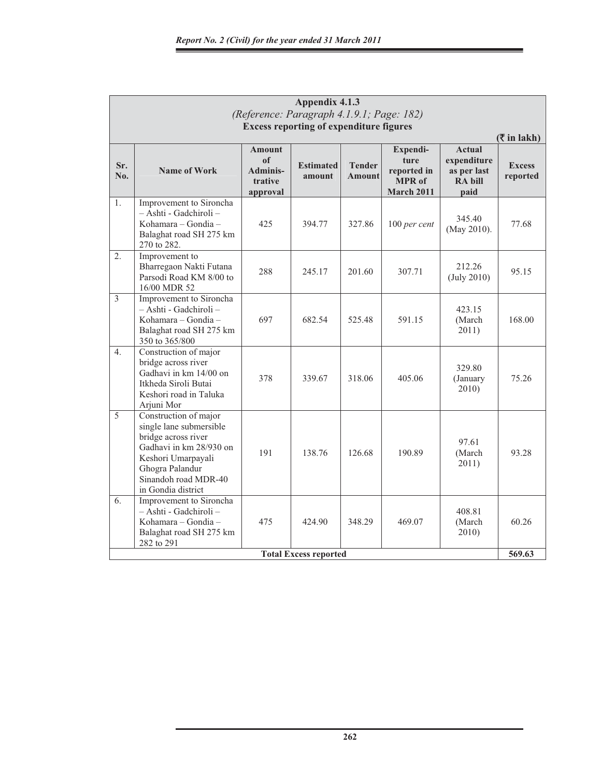|                | Appendix 4.1.3                                                                                                                                                                            |                                                                          |                                                |                                |                                                                       |                                                                       |                                            |  |  |  |  |
|----------------|-------------------------------------------------------------------------------------------------------------------------------------------------------------------------------------------|--------------------------------------------------------------------------|------------------------------------------------|--------------------------------|-----------------------------------------------------------------------|-----------------------------------------------------------------------|--------------------------------------------|--|--|--|--|
|                |                                                                                                                                                                                           |                                                                          | (Reference: Paragraph 4.1.9.1; Page: 182)      |                                |                                                                       |                                                                       |                                            |  |  |  |  |
|                |                                                                                                                                                                                           |                                                                          | <b>Excess reporting of expenditure figures</b> |                                |                                                                       |                                                                       | $(\overline{\mathbf{\mathsf{Z}}}$ in lakh) |  |  |  |  |
| Sr.<br>No.     | <b>Name of Work</b>                                                                                                                                                                       | <b>Amount</b><br><sub>of</sub><br><b>Adminis-</b><br>trative<br>approval | <b>Estimated</b><br>amount                     | <b>Tender</b><br><b>Amount</b> | Expendi-<br>ture<br>reported in<br><b>MPR</b> of<br><b>March 2011</b> | <b>Actual</b><br>expenditure<br>as per last<br><b>RA bill</b><br>paid | <b>Excess</b><br>reported                  |  |  |  |  |
| 1.             | Improvement to Sironcha<br>- Ashti - Gadchiroli -<br>Kohamara – Gondia –<br>Balaghat road SH 275 km<br>270 to 282.                                                                        | 425                                                                      | 394.77                                         | 327.86                         | $100$ per cent                                                        | 345.40<br>(May 2010).                                                 | 77.68                                      |  |  |  |  |
| 2.             | Improvement to<br>Bharregaon Nakti Futana<br>Parsodi Road KM 8/00 to<br>16/00 MDR 52                                                                                                      | 288                                                                      | 245.17                                         | 201.60                         | 307.71                                                                | 212.26<br>(July 2010)                                                 | 95.15                                      |  |  |  |  |
| $\overline{3}$ | Improvement to Sironcha<br>– Ashti - Gadchiroli –<br>Kohamara – Gondia –<br>Balaghat road SH 275 km<br>350 to 365/800                                                                     | 697                                                                      | 682.54                                         | 525.48                         | 591.15                                                                | 423.15<br>(March<br>2011)                                             | 168.00                                     |  |  |  |  |
| 4.             | Construction of major<br>bridge across river<br>Gadhavi in km 14/00 on<br>Itkheda Siroli Butai<br>Keshori road in Taluka<br>Arjuni Mor                                                    | 378                                                                      | 339.67                                         | 318.06                         | 405.06                                                                | 329.80<br>(January<br>2010)                                           | 75.26                                      |  |  |  |  |
| 5              | Construction of major<br>single lane submersible<br>bridge across river<br>Gadhavi in km 28/930 on<br>Keshori Umarpayali<br>Ghogra Palandur<br>Sinandoh road MDR-40<br>in Gondia district | 191                                                                      | 138.76                                         | 126.68                         | 190.89                                                                | 97.61<br>(March<br>2011)                                              | 93.28                                      |  |  |  |  |
| 6.             | Improvement to Sironcha<br>– Ashti - Gadchiroli –<br>Kohamara – Gondia –<br>Balaghat road SH 275 km<br>282 to 291                                                                         | 475                                                                      | 424.90                                         | 348.29                         | 469.07                                                                | 408.81<br>(March<br>2010)                                             | 60.26                                      |  |  |  |  |
|                |                                                                                                                                                                                           |                                                                          | <b>Total Excess reported</b>                   |                                |                                                                       |                                                                       | 569.63                                     |  |  |  |  |